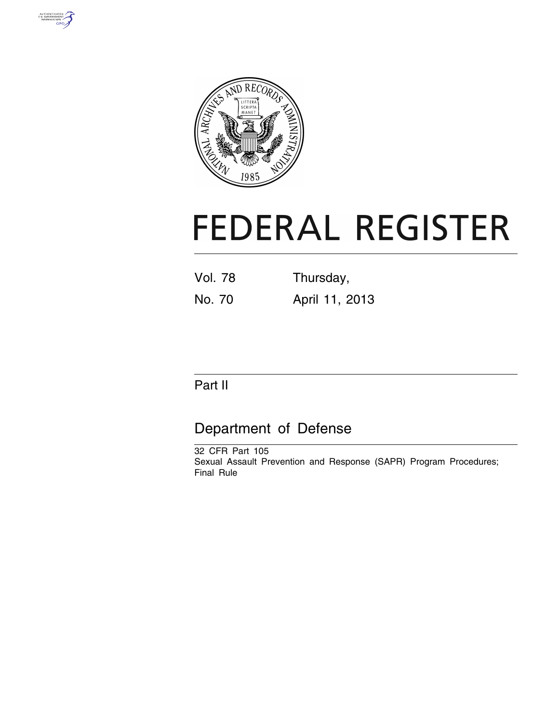



# **FEDERAL REGISTER**

Vol. 78 Thursday, No. 70 April 11, 2013

# Part II

# Department of Defense

32 CFR Part 105 Sexual Assault Prevention and Response (SAPR) Program Procedures; Final Rule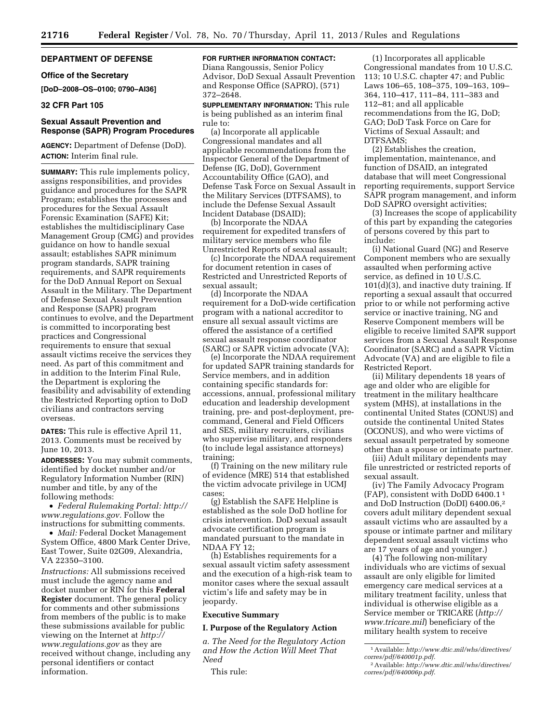## **DEPARTMENT OF DEFENSE**

#### **Office of the Secretary**

**[DoD–2008–OS–0100; 0790–AI36]** 

#### **32 CFR Part 105**

#### **Sexual Assault Prevention and Response (SAPR) Program Procedures**

**AGENCY:** Department of Defense (DoD). **ACTION:** Interim final rule.

**SUMMARY:** This rule implements policy, assigns responsibilities, and provides guidance and procedures for the SAPR Program; establishes the processes and procedures for the Sexual Assault Forensic Examination (SAFE) Kit; establishes the multidisciplinary Case Management Group (CMG) and provides guidance on how to handle sexual assault; establishes SAPR minimum program standards, SAPR training requirements, and SAPR requirements for the DoD Annual Report on Sexual Assault in the Military. The Department of Defense Sexual Assault Prevention and Response (SAPR) program continues to evolve, and the Department is committed to incorporating best practices and Congressional requirements to ensure that sexual assault victims receive the services they need. As part of this commitment and in addition to the Interim Final Rule, the Department is exploring the feasibility and advisability of extending the Restricted Reporting option to DoD civilians and contractors serving overseas.

**DATES:** This rule is effective April 11, 2013. Comments must be received by June 10, 2013.

**ADDRESSES:** You may submit comments, identified by docket number and/or Regulatory Information Number (RIN) number and title, by any of the following methods:

• *Federal Rulemaking Portal: [http://](http://www.regulations.gov) [www.regulations.gov.](http://www.regulations.gov)* Follow the instructions for submitting comments.

• *Mail:* Federal Docket Management System Office, 4800 Mark Center Drive, East Tower, Suite 02G09, Alexandria, VA 22350–3100.

*Instructions:* All submissions received must include the agency name and docket number or RIN for this **Federal Register** document. The general policy for comments and other submissions from members of the public is to make these submissions available for public viewing on the Internet at *[http://](http://www.regulations.gov) [www.regulations.gov](http://www.regulations.gov)* as they are received without change, including any personal identifiers or contact information.

**FOR FURTHER INFORMATION CONTACT:**  Diana Rangoussis, Senior Policy Advisor, DoD Sexual Assault Prevention and Response Office (SAPRO), (571) 372–2648.

**SUPPLEMENTARY INFORMATION:** This rule is being published as an interim final rule to:

(a) Incorporate all applicable Congressional mandates and all applicable recommendations from the Inspector General of the Department of Defense (IG, DoD), Government Accountability Office (GAO), and Defense Task Force on Sexual Assault in the Military Services (DTFSAMS), to include the Defense Sexual Assault Incident Database (DSAID);

(b) Incorporate the NDAA requirement for expedited transfers of military service members who file Unrestricted Reports of sexual assault;

(c) Incorporate the NDAA requirement for document retention in cases of Restricted and Unrestricted Reports of sexual assault;

(d) Incorporate the NDAA requirement for a DoD-wide certification program with a national accreditor to ensure all sexual assault victims are offered the assistance of a certified sexual assault response coordinator (SARC) or SAPR victim advocate (VA);

(e) Incorporate the NDAA requirement for updated SAPR training standards for Service members, and in addition containing specific standards for: accessions, annual, professional military education and leadership development training, pre- and post-deployment, precommand, General and Field Officers and SES, military recruiters, civilians who supervise military, and responders (to include legal assistance attorneys) training;

(f) Training on the new military rule of evidence (MRE) 514 that established the victim advocate privilege in UCMJ cases;

(g) Establish the SAFE Helpline is established as the sole DoD hotline for crisis intervention. DoD sexual assault advocate certification program is mandated pursuant to the mandate in NDAA FY 12;

(h) Establishes requirements for a sexual assault victim safety assessment and the execution of a high-risk team to monitor cases where the sexual assault victim's life and safety may be in jeopardy.

#### **Executive Summary**

**I. Purpose of the Regulatory Action** 

*a. The Need for the Regulatory Action and How the Action Will Meet That Need* 

This rule:

(1) Incorporates all applicable Congressional mandates from 10 U.S.C. 113; 10 U.S.C. chapter 47; and Public Laws 106–65, 108–375, 109–163, 109– 364, 110–417, 111–84, 111–383 and 112–81; and all applicable recommendations from the IG, DoD; GAO; DoD Task Force on Care for Victims of Sexual Assault; and DTFSAMS;

(2) Establishes the creation, implementation, maintenance, and function of DSAID, an integrated database that will meet Congressional reporting requirements, support Service SAPR program management, and inform DoD SAPRO oversight activities;

(3) Increases the scope of applicability of this part by expanding the categories of persons covered by this part to include:

(i) National Guard (NG) and Reserve Component members who are sexually assaulted when performing active service, as defined in 10 U.S.C. 101(d)(3), and inactive duty training. If reporting a sexual assault that occurred prior to or while not performing active service or inactive training, NG and Reserve Component members will be eligible to receive limited SAPR support services from a Sexual Assault Response Coordinator (SARC) and a SAPR Victim Advocate (VA) and are eligible to file a Restricted Report.

(ii) Military dependents 18 years of age and older who are eligible for treatment in the military healthcare system (MHS), at installations in the continental United States (CONUS) and outside the continental United States (OCONUS), and who were victims of sexual assault perpetrated by someone other than a spouse or intimate partner.

(iii) Adult military dependents may file unrestricted or restricted reports of sexual assault.

(iv) The Family Advocacy Program (FAP), consistent with DoDD 6400.1 1 and DoD Instruction (DoDI) 6400.06,2 covers adult military dependent sexual assault victims who are assaulted by a spouse or intimate partner and military dependent sexual assault victims who are 17 years of age and younger.)

(4) The following non-military individuals who are victims of sexual assault are only eligible for limited emergency care medical services at a military treatment facility, unless that individual is otherwise eligible as a Service member or TRICARE (*[http://](http://www.tricare.mil) [www.tricare.mil](http://www.tricare.mil)*) beneficiary of the military health system to receive

<sup>1</sup>Available: *[http://www.dtic.mil/whs/directives/](http://www.dtic.mil/whs/directives/corres/pdf/640001p.pdf)  [corres/pdf/640001p.pdf](http://www.dtic.mil/whs/directives/corres/pdf/640001p.pdf)*.

<sup>2</sup>Available: *[http://www.dtic.mil/whs/directives/](http://www.dtic.mil/whs/directives/corres/pdf/640006p.pdf)  [corres/pdf/640006p.pdf](http://www.dtic.mil/whs/directives/corres/pdf/640006p.pdf)*.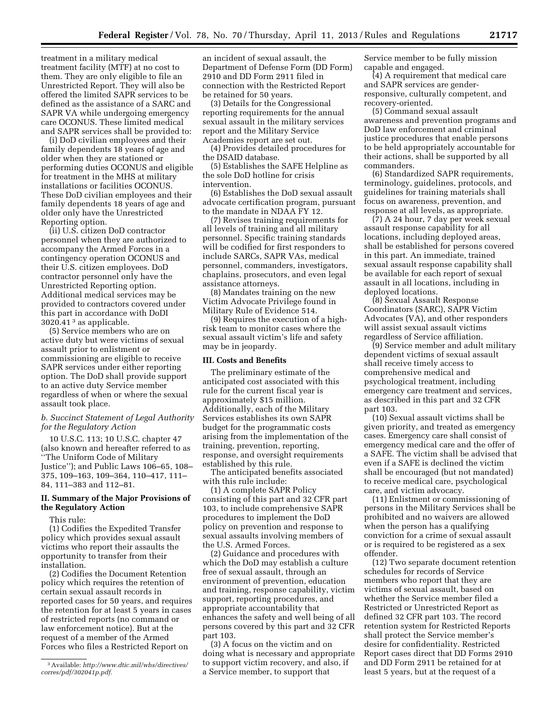treatment in a military medical treatment facility (MTF) at no cost to them. They are only eligible to file an Unrestricted Report. They will also be offered the limited SAPR services to be defined as the assistance of a SARC and SAPR VA while undergoing emergency care OCONUS. These limited medical and SAPR services shall be provided to:

(i) DoD civilian employees and their family dependents 18 years of age and older when they are stationed or performing duties OCONUS and eligible for treatment in the MHS at military installations or facilities OCONUS. These DoD civilian employees and their family dependents 18 years of age and older only have the Unrestricted Reporting option.

(ii) U.S. citizen DoD contractor personnel when they are authorized to accompany the Armed Forces in a contingency operation OCONUS and their U.S. citizen employees. DoD contractor personnel only have the Unrestricted Reporting option. Additional medical services may be provided to contractors covered under this part in accordance with DoDI  $3020.41<sup>3</sup>$  as applicable.

(5) Service members who are on active duty but were victims of sexual assault prior to enlistment or commissioning are eligible to receive SAPR services under either reporting option. The DoD shall provide support to an active duty Service member regardless of when or where the sexual assault took place.

#### *b. Succinct Statement of Legal Authority for the Regulatory Action*

10 U.S.C. 113; 10 U.S.C. chapter 47 (also known and hereafter referred to as ''The Uniform Code of Military Justice''); and Public Laws 106–65, 108– 375, 109–163, 109–364, 110–417, 111– 84, 111–383 and 112–81.

#### **II. Summary of the Major Provisions of the Regulatory Action**

This rule:

(1) Codifies the Expedited Transfer policy which provides sexual assault victims who report their assaults the opportunity to transfer from their installation.

(2) Codifies the Document Retention policy which requires the retention of certain sexual assault records in reported cases for 50 years, and requires the retention for at least 5 years in cases of restricted reports (no command or law enforcement notice). But at the request of a member of the Armed Forces who files a Restricted Report on

an incident of sexual assault, the Department of Defense Form (DD Form) 2910 and DD Form 2911 filed in connection with the Restricted Report be retained for 50 years.

(3) Details for the Congressional reporting requirements for the annual sexual assault in the military services report and the Military Service Academies report are set out.

(4) Provides detailed procedures for the DSAID database.

(5) Establishes the SAFE Helpline as the sole DoD hotline for crisis intervention.

(6) Establishes the DoD sexual assault advocate certification program, pursuant to the mandate in NDAA FY 12.

(7) Revises training requirements for all levels of training and all military personnel. Specific training standards will be codified for first responders to include SARCs, SAPR VAs, medical personnel, commanders, investigators, chaplains, prosecutors, and even legal assistance attorneys.

(8) Mandates training on the new Victim Advocate Privilege found in Military Rule of Evidence 514.

(9) Requires the execution of a highrisk team to monitor cases where the sexual assault victim's life and safety may be in jeopardy.

#### **III. Costs and Benefits**

The preliminary estimate of the anticipated cost associated with this rule for the current fiscal year is approximately \$15 million. Additionally, each of the Military Services establishes its own SAPR budget for the programmatic costs arising from the implementation of the training, prevention, reporting, response, and oversight requirements established by this rule.

The anticipated benefits associated with this rule include:

(1) A complete SAPR Policy consisting of this part and 32 CFR part 103, to include comprehensive SAPR procedures to implement the DoD policy on prevention and response to sexual assaults involving members of the U.S. Armed Forces.

(2) Guidance and procedures with which the DoD may establish a culture free of sexual assault, through an environment of prevention, education and training, response capability, victim support, reporting procedures, and appropriate accountability that enhances the safety and well being of all persons covered by this part and 32 CFR part 103.

(3) A focus on the victim and on doing what is necessary and appropriate to support victim recovery, and also, if a Service member, to support that

Service member to be fully mission capable and engaged.

(4) A requirement that medical care and SAPR services are genderresponsive, culturally competent, and recovery-oriented.

(5) Command sexual assault awareness and prevention programs and DoD law enforcement and criminal justice procedures that enable persons to be held appropriately accountable for their actions, shall be supported by all commanders.

(6) Standardized SAPR requirements, terminology, guidelines, protocols, and guidelines for training materials shall focus on awareness, prevention, and response at all levels, as appropriate.

(7) A 24 hour, 7 day per week sexual assault response capability for all locations, including deployed areas, shall be established for persons covered in this part. An immediate, trained sexual assault response capability shall be available for each report of sexual assault in all locations, including in deployed locations.

(8) Sexual Assault Response Coordinators (SARC), SAPR Victim Advocates (VA), and other responders will assist sexual assault victims regardless of Service affiliation.

(9) Service member and adult military dependent victims of sexual assault shall receive timely access to comprehensive medical and psychological treatment, including emergency care treatment and services, as described in this part and 32 CFR part 103.

(10) Sexual assault victims shall be given priority, and treated as emergency cases. Emergency care shall consist of emergency medical care and the offer of a SAFE. The victim shall be advised that even if a SAFE is declined the victim shall be encouraged (but not mandated) to receive medical care, psychological care, and victim advocacy.

(11) Enlistment or commissioning of persons in the Military Services shall be prohibited and no waivers are allowed when the person has a qualifying conviction for a crime of sexual assault or is required to be registered as a sex offender.

(12) Two separate document retention schedules for records of Service members who report that they are victims of sexual assault, based on whether the Service member filed a Restricted or Unrestricted Report as defined 32 CFR part 103. The record retention system for Restricted Reports shall protect the Service member's desire for confidentiality. Restricted Report cases direct that DD Forms 2910 and DD Form 2911 be retained for at least 5 years, but at the request of a

<sup>3</sup>Available: *[http://www.dtic.mil/whs/directives/](http://www.dtic.mil/whs/directives/corres/pdf/302041p.pdf)  [corres/pdf/302041p.pdf.](http://www.dtic.mil/whs/directives/corres/pdf/302041p.pdf)*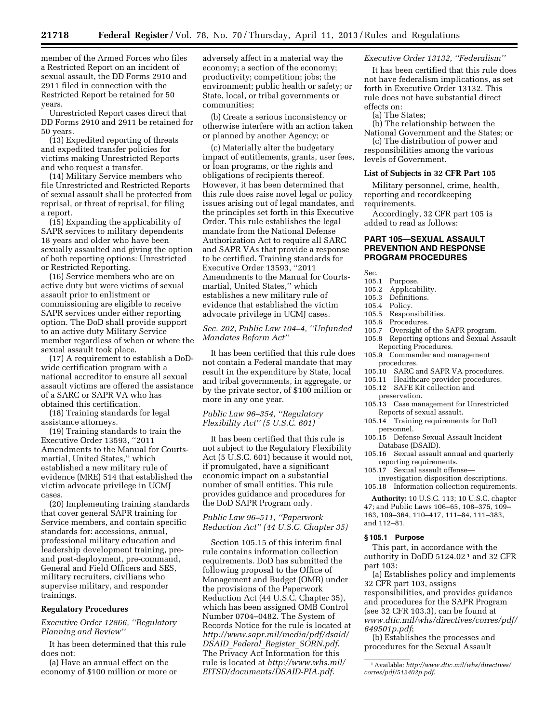member of the Armed Forces who files a Restricted Report on an incident of sexual assault, the DD Forms 2910 and 2911 filed in connection with the Restricted Report be retained for 50 years.

Unrestricted Report cases direct that DD Forms 2910 and 2911 be retained for 50 years.

(13) Expedited reporting of threats and expedited transfer policies for victims making Unrestricted Reports and who request a transfer.

(14) Military Service members who file Unrestricted and Restricted Reports of sexual assault shall be protected from reprisal, or threat of reprisal, for filing a report.

(15) Expanding the applicability of SAPR services to military dependents 18 years and older who have been sexually assaulted and giving the option of both reporting options: Unrestricted or Restricted Reporting.

(16) Service members who are on active duty but were victims of sexual assault prior to enlistment or commissioning are eligible to receive SAPR services under either reporting option. The DoD shall provide support to an active duty Military Service member regardless of when or where the sexual assault took place.

(17) A requirement to establish a DoDwide certification program with a national accreditor to ensure all sexual assault victims are offered the assistance of a SARC or SAPR VA who has obtained this certification.

(18) Training standards for legal assistance attorneys.

(19) Training standards to train the Executive Order 13593, ''2011 Amendments to the Manual for Courtsmartial, United States,'' which established a new military rule of evidence (MRE) 514 that established the victim advocate privilege in UCMJ cases.

(20) Implementing training standards that cover general SAPR training for Service members, and contain specific standards for: accessions, annual, professional military education and leadership development training, preand post-deployment, pre-command, General and Field Officers and SES, military recruiters, civilians who supervise military, and responder trainings.

#### **Regulatory Procedures**

#### *Executive Order 12866, ''Regulatory Planning and Review''*

It has been determined that this rule does not:

(a) Have an annual effect on the economy of \$100 million or more or adversely affect in a material way the economy; a section of the economy; productivity; competition; jobs; the environment; public health or safety; or State, local, or tribal governments or communities;

(b) Create a serious inconsistency or otherwise interfere with an action taken or planned by another Agency; or

(c) Materially alter the budgetary impact of entitlements, grants, user fees, or loan programs, or the rights and obligations of recipients thereof. However, it has been determined that this rule does raise novel legal or policy issues arising out of legal mandates, and the principles set forth in this Executive Order. This rule establishes the legal mandate from the National Defense Authorization Act to require all SARC and SAPR VAs that provide a response to be certified. Training standards for Executive Order 13593, ''2011 Amendments to the Manual for Courtsmartial, United States,'' which establishes a new military rule of evidence that established the victim advocate privilege in UCMJ cases.

#### *Sec. 202, Public Law 104–4, ''Unfunded Mandates Reform Act''*

It has been certified that this rule does not contain a Federal mandate that may result in the expenditure by State, local and tribal governments, in aggregate, or by the private sector, of \$100 million or more in any one year.

#### *Public Law 96–354, ''Regulatory Flexibility Act'' (5 U.S.C. 601)*

It has been certified that this rule is not subject to the Regulatory Flexibility Act (5 U.S.C. 601) because it would not, if promulgated, have a significant economic impact on a substantial number of small entities. This rule provides guidance and procedures for the DoD SAPR Program only.

## *Public Law 96–511, ''Paperwork Reduction Act'' (44 U.S.C. Chapter 35)*

Section 105.15 of this interim final rule contains information collection requirements. DoD has submitted the following proposal to the Office of Management and Budget (OMB) under the provisions of the Paperwork Reduction Act (44 U.S.C. Chapter 35), which has been assigned OMB Control Number 0704–0482. The System of Records Notice for the rule is located at *[http://www.sapr.mil/media/pdf/dsaid/](http://www.sapr.mil/media/pdf/dsaid/DSAID_Federal_Register_SORN.pdf) DSAID*\_*Federal*\_*Register*\_*[SORN.pdf](http://www.sapr.mil/media/pdf/dsaid/DSAID_Federal_Register_SORN.pdf)*. The Privacy Act Information for this rule is located at *[http://www.whs.mil/](http://www.whs.mil/EITSD/documents/DSAID-PIA.pdf)  [EITSD/documents/DSAID-PIA.pdf](http://www.whs.mil/EITSD/documents/DSAID-PIA.pdf)*.

#### *Executive Order 13132, ''Federalism''*

It has been certified that this rule does not have federalism implications, as set forth in Executive Order 13132. This rule does not have substantial direct effects on:

#### (a) The States;

(b) The relationship between the National Government and the States; or

(c) The distribution of power and responsibilities among the various levels of Government.

#### **List of Subjects in 32 CFR Part 105**

Military personnel, crime, health, reporting and recordkeeping requirements.

Accordingly, 32 CFR part 105 is added to read as follows:

## **PART 105—SEXUAL ASSAULT PREVENTION AND RESPONSE PROGRAM PROCEDURES**

Sec.

- 105.1 Purpose.
- 105.2 Applicability.
- 105.3 Definitions.
- 105.4 Policy.
- 105.5 Responsibilities.
	-
- 105.6 Procedures.<br>105.7 Oversight o Oversight of the SAPR program.
- 105.8 Reporting options and Sexual Assault Reporting Procedures.
- 105.9 Commander and management procedures.
- 105.10 SARC and SAPR VA procedures.
- 105.11 Healthcare provider procedures.
- 105.12 SAFE Kit collection and preservation.
- 105.13 Case management for Unrestricted Reports of sexual assault.
- 105.14 Training requirements for DoD personnel.
- 105.15 Defense Sexual Assault Incident Database (DSAID).
- 105.16 Sexual assault annual and quarterly reporting requirements.
- 105.17 Sexual assault offense—
- investigation disposition descriptions. 105.18 Information collection requirements.

**Authority:** 10 U.S.C. 113; 10 U.S.C. chapter 47; and Public Laws 106–65, 108–375, 109– 163, 109–364, 110–417, 111–84, 111–383, and 112–81.

#### **§ 105.1 Purpose**

This part, in accordance with the authority in DoDD 5124.02 1 and 32 CFR part 103:

(a) Establishes policy and implements 32 CFR part 103, assigns responsibilities, and provides guidance and procedures for the SAPR Program (see 32 CFR 103.3), can be found at *[www.dtic.mil/whs/directives/corres/pdf/](http://www.dtic.mil/whs/directives/corres/pdf/649501p.pdf)  [649501p.pdf](http://www.dtic.mil/whs/directives/corres/pdf/649501p.pdf)*;

(b) Establishes the processes and procedures for the Sexual Assault

<sup>1</sup>Available: *[http://www.dtic.mil/whs/directives/](http://www.dtic.mil/whs/directives/corres/pdf/512402p.pdf)  [corres/pdf/512402p.pdf](http://www.dtic.mil/whs/directives/corres/pdf/512402p.pdf)*.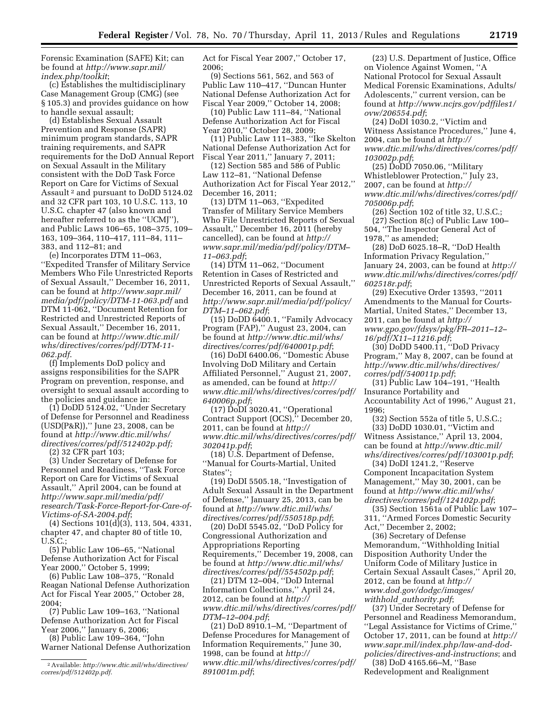Forensic Examination (SAFE) Kit; can be found at *[http://www.sapr.mil/](http://www.sapr.mil/index.php/toolkit) [index.php/toolkit](http://www.sapr.mil/index.php/toolkit)*;

(c) Establishes the multidisciplinary Case Management Group (CMG) (see § 105.3) and provides guidance on how to handle sexual assault;

(d) Establishes Sexual Assault Prevention and Response (SAPR) minimum program standards, SAPR training requirements, and SAPR requirements for the DoD Annual Report on Sexual Assault in the Military consistent with the DoD Task Force Report on Care for Victims of Sexual Assault 2 and pursuant to DoDD 5124.02 and 32 CFR part 103, 10 U.S.C. 113, 10 U.S.C. chapter 47 (also known and hereafter referred to as the ''UCMJ''), and Public Laws 106–65, 108–375, 109– 163, 109–364, 110–417, 111–84, 111– 383, and 112–81; and

(e) Incorporates DTM 11–063, ''Expedited Transfer of Military Service Members Who File Unrestricted Reports of Sexual Assault,'' December 16, 2011, can be found at *[http://www.sapr.mil/](http://www.sapr.mil/media/pdf/policy/DTM-11-063.pdf) [media/pdf/policy/DTM-11-063.pdf](http://www.sapr.mil/media/pdf/policy/DTM-11-063.pdf)* and DTM 11-062, ''Document Retention for Restricted and Unrestricted Reports of Sexual Assault,'' December 16, 2011, can be found at *[http://www.dtic.mil/](http://www.dtic.mil/whs/directives/corres/pdf/DTM-11-062.pdf)  [whs/directives/corres/pdf/DTM-11-](http://www.dtic.mil/whs/directives/corres/pdf/DTM-11-062.pdf)  [062.pdf](http://www.dtic.mil/whs/directives/corres/pdf/DTM-11-062.pdf)*.

(f) Implements DoD policy and assigns responsibilities for the SAPR Program on prevention, response, and oversight to sexual assault according to the policies and guidance in:

(1) DoDD 5124.02, ''Under Secretary of Defense for Personnel and Readiness (USD(P&R)),'' June 23, 2008, can be found at *[http://www.dtic.mil/whs/](http://www.dtic.mil/whs/directives/corres/pdf/512402p.pdf)  [directives/corres/pdf/512402p.pdf;](http://www.dtic.mil/whs/directives/corres/pdf/512402p.pdf)* 

(2) 32 CFR part 103;

(3) Under Secretary of Defense for Personnel and Readiness, ''Task Force Report on Care for Victims of Sexual Assault,'' April 2004, can be found at *[http://www.sapr.mil/media/pdf/](http://www.sapr.mil/media/pdf/research/Task-Force-Report-for-Care-of-Victims-of-SA-2004.pdf)  [research/Task-Force-Report-for-Care-of-](http://www.sapr.mil/media/pdf/research/Task-Force-Report-for-Care-of-Victims-of-SA-2004.pdf)[Victims-of-SA-2004.pdf](http://www.sapr.mil/media/pdf/research/Task-Force-Report-for-Care-of-Victims-of-SA-2004.pdf)*;

(4) Sections 101(d)(3), 113, 504, 4331, chapter 47, and chapter 80 of title 10, U.S.C.;

(5) Public Law 106–65, ''National Defense Authorization Act for Fiscal Year 2000,'' October 5, 1999;

(6) Public Law 108–375, ''Ronald Reagan National Defense Authorization Act for Fiscal Year 2005,'' October 28, 2004;

(7) Public Law 109–163, ''National Defense Authorization Act for Fiscal Year 2006,'' January 6, 2006;

(8) Public Law 109–364, ''John Warner National Defense Authorization Act for Fiscal Year 2007,'' October 17, 2006;

(9) Sections 561, 562, and 563 of Public Law 110–417, ''Duncan Hunter National Defense Authorization Act for Fiscal Year 2009,'' October 14, 2008;

(10) Public Law 111–84, ''National Defense Authorization Act for Fiscal Year 2010,'' October 28, 2009;

(11) Public Law 111–383, ''Ike Skelton National Defense Authorization Act for Fiscal Year 2011,'' January 7, 2011;

(12) Section 585 and 586 of Public Law 112–81, ''National Defense Authorization Act for Fiscal Year 2012,'' December 16, 2011;

(13) DTM 11–063, ''Expedited Transfer of Military Service Members Who File Unrestricted Reports of Sexual Assault,'' December 16, 2011 (hereby cancelled), can be found at *[http://](http://www.sapr.mil/media/pdf/policy/DTM-11-063.pdf)  [www.sapr.mil/media/pdf/policy/DTM–](http://www.sapr.mil/media/pdf/policy/DTM-11-063.pdf) [11–063.pdf](http://www.sapr.mil/media/pdf/policy/DTM-11-063.pdf)*;

(14) DTM 11–062, ''Document Retention in Cases of Restricted and Unrestricted Reports of Sexual Assault,'' December 16, 2011, can be found at *[http://www.sapr.mil/media/pdf/policy/](http://www.sapr.mil/media/pdf/policy/DTM-11-062.pdf)  [DTM–11–062.pdf](http://www.sapr.mil/media/pdf/policy/DTM-11-062.pdf)*;

(15) DoDD 6400.1, ''Family Advocacy Program (FAP),'' August 23, 2004, can be found at *[http://www.dtic.mil/whs/](http://www.dtic.mil/whs/directives/corres/pdf/640001p.pdf)  [directives/corres/pdf/640001p.pdf](http://www.dtic.mil/whs/directives/corres/pdf/640001p.pdf)*;

(16) DoDI 6400.06, ''Domestic Abuse Involving DoD Military and Certain Affiliated Personnel,'' August 21, 2007, as amended, can be found at *[http://](http://www.dtic.mil/whs/directives/corres/pdf/640006p.pdf) [www.dtic.mil/whs/directives/corres/pdf/](http://www.dtic.mil/whs/directives/corres/pdf/640006p.pdf)  [640006p.pdf](http://www.dtic.mil/whs/directives/corres/pdf/640006p.pdf)*;

(17) DoDI 3020.41, ''Operational Contract Support (OCS),'' December 20, 2011, can be found at *[http://](http://www.dtic.mil/whs/directives/corres/pdf/302041p.pdf) [www.dtic.mil/whs/directives/corres/pdf/](http://www.dtic.mil/whs/directives/corres/pdf/302041p.pdf)  [302041p.pdf](http://www.dtic.mil/whs/directives/corres/pdf/302041p.pdf)*;

(18) U.S. Department of Defense, ''Manual for Courts-Martial, United States"

(19) DoDI 5505.18, ''Investigation of Adult Sexual Assault in the Department of Defense,'' January 25, 2013, can be found at *[http://www.dtic.mil/whs/](http://www.dtic.mil/whs/directives/corres/pdf/550518p.pdf)  [directives/corres/pdf/550518p.pdf](http://www.dtic.mil/whs/directives/corres/pdf/550518p.pdf)*;

(20) DoDI 5545.02, ''DoD Policy for Congressional Authorization and Appropriations Reporting Requirements,'' December 19, 2008, can be found at *[http://www.dtic.mil/whs/](http://www.dtic.mil/whs/directives/corres/pdf/554502p.pdf)  [directives/corres/pdf/554502p.pdf](http://www.dtic.mil/whs/directives/corres/pdf/554502p.pdf)*;

(21) DTM 12–004, ''DoD Internal Information Collections,'' April 24, 2012, can be found at *[http://](http://www.dtic.mil/whs/directives/corres/pdf/DTM-12-004.pdf) [www.dtic.mil/whs/directives/corres/pdf/](http://www.dtic.mil/whs/directives/corres/pdf/DTM-12-004.pdf)  [DTM–12–004.pdf](http://www.dtic.mil/whs/directives/corres/pdf/DTM-12-004.pdf)*;

(21) DoD 8910.1–M, ''Department of Defense Procedures for Management of Information Requirements,'' June 30, 1998, can be found at *[http://](http://www.dtic.mil/whs/directives/corres/pdf/891001m.pdf) [www.dtic.mil/whs/directives/corres/pdf/](http://www.dtic.mil/whs/directives/corres/pdf/891001m.pdf)  [891001m.pdf](http://www.dtic.mil/whs/directives/corres/pdf/891001m.pdf)*;

(23) U.S. Department of Justice, Office on Violence Against Women, ''A National Protocol for Sexual Assault Medical Forensic Examinations, Adults/ Adolescents,'' current version, can be found at *[http://www.ncjrs.gov/pdffiles1/](http://www.ncjrs.gov/pdffiles1/ovw/206554.pdf) [ovw/206554.pdf](http://www.ncjrs.gov/pdffiles1/ovw/206554.pdf)*;

(24) DoDI 1030.2, ''Victim and Witness Assistance Procedures,'' June 4, 2004, can be found at *[http://](http://www.dtic.mil/whs/directives/corres/pdf/103002p.pdf) [www.dtic.mil/whs/directives/corres/pdf/](http://www.dtic.mil/whs/directives/corres/pdf/103002p.pdf)  [103002p.pdf](http://www.dtic.mil/whs/directives/corres/pdf/103002p.pdf)*;

(25) DoDD 7050.06, ''Military Whistleblower Protection,'' July 23, 2007, can be found at *[http://](http://www.dtic.mil/whs/directives/corres/pdf/705006p.pdf) [www.dtic.mil/whs/directives/corres/pdf/](http://www.dtic.mil/whs/directives/corres/pdf/705006p.pdf)  [705006p.pdf](http://www.dtic.mil/whs/directives/corres/pdf/705006p.pdf)*;

(26) Section 102 of title 32, U.S.C.;

(27) Section 8(c) of Public Law 100– 504, ''The Inspector General Act of 1978,'' as amended;

(28) DoD 6025.18–R, ''DoD Health Information Privacy Regulation,'' January 24, 2003, can be found at *[http://](http://www.dtic.mil/whs/directives/corres/pdf/602518r.pdf) [www.dtic.mil/whs/directives/corres/pdf/](http://www.dtic.mil/whs/directives/corres/pdf/602518r.pdf)  [602518r.pdf](http://www.dtic.mil/whs/directives/corres/pdf/602518r.pdf)*;

(29) Executive Order 13593, ''2011 Amendments to the Manual for Courts-Martial, United States,'' December 13, 2011, can be found at *[http://](http://www.gpo.gov/fdsys/pkg/FR-2011-12-16/pdf/X11-11216.pdf) [www.gpo.gov/fdsys/pkg/FR–2011–12–](http://www.gpo.gov/fdsys/pkg/FR-2011-12-16/pdf/X11-11216.pdf) [16/pdf/X11–11216.pdf](http://www.gpo.gov/fdsys/pkg/FR-2011-12-16/pdf/X11-11216.pdf)*;

(30) DoDD 5400.11, ''DoD Privacy Program,'' May 8, 2007, can be found at *[http://www.dtic.mil/whs/directives/](http://www.dtic.mil/whs/directives/corres/pdf/540011p.pdf) [corres/pdf/540011p.pdf](http://www.dtic.mil/whs/directives/corres/pdf/540011p.pdf)*;

(31) Public Law 104–191, ''Health Insurance Portability and Accountability Act of 1996,'' August 21, 1996;

(32) Section 552a of title 5, U.S.C.; (33) DoDD 1030.01, ''Victim and Witness Assistance,'' April 13, 2004, can be found at *[http://www.dtic.mil/](http://www.dtic.mil/whs/directives/corres/pdf/103001p.pdf)  [whs/directives/corres/pdf/103001p.pdf](http://www.dtic.mil/whs/directives/corres/pdf/103001p.pdf)*;

(34) DoDI 1241.2, ''Reserve Component Incapacitation System Management,'' May 30, 2001, can be found at *[http://www.dtic.mil/whs/](http://www.dtic.mil/whs/directives/corres/pdf/124102p.pdf)  [directives/corres/pdf/124102p.pdf](http://www.dtic.mil/whs/directives/corres/pdf/124102p.pdf)*;

(35) Section 1561a of Public Law 107– 311, ''Armed Forces Domestic Security Act,'' December 2, 2002;

(36) Secretary of Defense Memorandum, ''Withholding Initial Disposition Authority Under the Uniform Code of Military Justice in Certain Sexual Assault Cases,'' April 20, 2012, can be found at *[http://](http://www.dod.gov/dodgc/images/withhold_authority.pdf) [www.dod.gov/dodgc/images/](http://www.dod.gov/dodgc/images/withhold_authority.pdf) withhold*\_*[authority.pdf](http://www.dod.gov/dodgc/images/withhold_authority.pdf)*;

(37) Under Secretary of Defense for Personnel and Readiness Memorandum, ''Legal Assistance for Victims of Crime,'' October 17, 2011, can be found at *[http://](http://www.sapr.mil/index.php/law-and-dod-policies/directives-and-instructions) [www.sapr.mil/index.php/law-and-dod](http://www.sapr.mil/index.php/law-and-dod-policies/directives-and-instructions)[policies/directives-and-instructions](http://www.sapr.mil/index.php/law-and-dod-policies/directives-and-instructions)*; and

(38) DoD 4165.66–M, ''Base Redevelopment and Realignment

<sup>2</sup>Available: *[http://www.dtic.mil/whs/directives/](http://www.dtic.mil/whs/directives/corres/pdf/512402p.pdf)  [corres/pdf/512402p.pdf](http://www.dtic.mil/whs/directives/corres/pdf/512402p.pdf)*.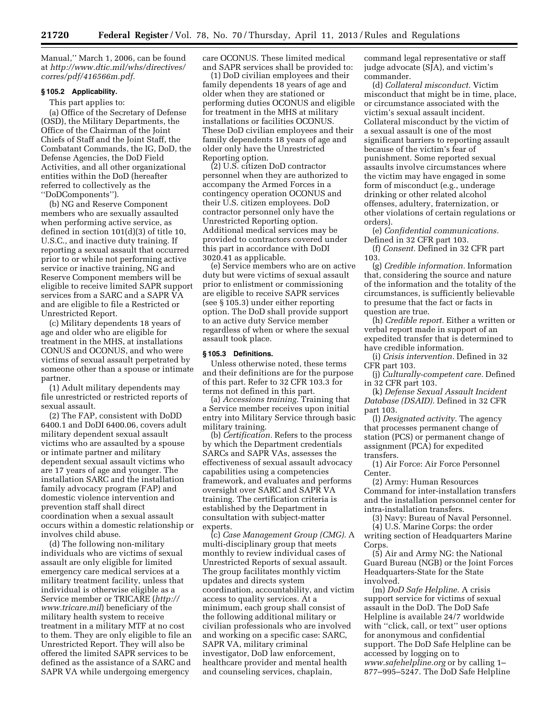Manual,'' March 1, 2006, can be found at *[http://www.dtic.mil/whs/directives/](http://www.dtic.mil/whs/directives/corres/pdf/416566m.pdf) [corres/pdf/416566m.pdf.](http://www.dtic.mil/whs/directives/corres/pdf/416566m.pdf)* 

#### **§ 105.2 Applicability.**

This part applies to:

(a) Office of the Secretary of Defense (OSD), the Military Departments, the Office of the Chairman of the Joint Chiefs of Staff and the Joint Staff, the Combatant Commands, the IG, DoD, the Defense Agencies, the DoD Field Activities, and all other organizational entities within the DoD (hereafter referred to collectively as the ''DoDComponents'').

(b) NG and Reserve Component members who are sexually assaulted when performing active service, as defined in section 101(d)(3) of title 10, U.S.C., and inactive duty training. If reporting a sexual assault that occurred prior to or while not performing active service or inactive training, NG and Reserve Component members will be eligible to receive limited SAPR support services from a SARC and a SAPR VA and are eligible to file a Restricted or Unrestricted Report.

(c) Military dependents 18 years of age and older who are eligible for treatment in the MHS, at installations CONUS and OCONUS, and who were victims of sexual assault perpetrated by someone other than a spouse or intimate partner.

(1) Adult military dependents may file unrestricted or restricted reports of sexual assault.

(2) The FAP, consistent with DoDD 6400.1 and DoDI 6400.06, covers adult military dependent sexual assault victims who are assaulted by a spouse or intimate partner and military dependent sexual assault victims who are 17 years of age and younger. The installation SARC and the installation family advocacy program (FAP) and domestic violence intervention and prevention staff shall direct coordination when a sexual assault occurs within a domestic relationship or involves child abuse.

(d) The following non-military individuals who are victims of sexual assault are only eligible for limited emergency care medical services at a military treatment facility, unless that individual is otherwise eligible as a Service member or TRICARE (*[http://](http://www.tricare.mil) [www.tricare.mil](http://www.tricare.mil)*) beneficiary of the military health system to receive treatment in a military MTF at no cost to them. They are only eligible to file an Unrestricted Report. They will also be offered the limited SAPR services to be defined as the assistance of a SARC and SAPR VA while undergoing emergency

care OCONUS. These limited medical and SAPR services shall be provided to:

(1) DoD civilian employees and their family dependents 18 years of age and older when they are stationed or performing duties OCONUS and eligible for treatment in the MHS at military installations or facilities OCONUS. These DoD civilian employees and their family dependents 18 years of age and older only have the Unrestricted Reporting option.

(2) U.S. citizen DoD contractor personnel when they are authorized to accompany the Armed Forces in a contingency operation OCONUS and their U.S. citizen employees. DoD contractor personnel only have the Unrestricted Reporting option. Additional medical services may be provided to contractors covered under this part in accordance with DoDI 3020.41 as applicable.

(e) Service members who are on active duty but were victims of sexual assault prior to enlistment or commissioning are eligible to receive SAPR services (see § 105.3) under either reporting option. The DoD shall provide support to an active duty Service member regardless of when or where the sexual assault took place.

#### **§ 105.3 Definitions.**

Unless otherwise noted, these terms and their definitions are for the purpose of this part. Refer to 32 CFR 103.3 for terms not defined in this part.

(a) *Accessions training.* Training that a Service member receives upon initial entry into Military Service through basic military training.

(b) *Certification.* Refers to the process by which the Department credentials SARCs and SAPR VAs, assesses the effectiveness of sexual assault advocacy capabilities using a competencies framework, and evaluates and performs oversight over SARC and SAPR VA training. The certification criteria is established by the Department in consultation with subject-matter experts.

(c) *Case Management Group (CMG).* A multi-disciplinary group that meets monthly to review individual cases of Unrestricted Reports of sexual assault. The group facilitates monthly victim updates and directs system coordination, accountability, and victim access to quality services. At a minimum, each group shall consist of the following additional military or civilian professionals who are involved and working on a specific case: SARC, SAPR VA, military criminal investigator, DoD law enforcement, healthcare provider and mental health and counseling services, chaplain,

command legal representative or staff judge advocate (SJA), and victim's commander.

(d) *Collateral misconduct.* Victim misconduct that might be in time, place, or circumstance associated with the victim's sexual assault incident. Collateral misconduct by the victim of a sexual assault is one of the most significant barriers to reporting assault because of the victim's fear of punishment. Some reported sexual assaults involve circumstances where the victim may have engaged in some form of misconduct (e.g., underage drinking or other related alcohol offenses, adultery, fraternization, or other violations of certain regulations or orders).

(e) *Confidential communications.*  Defined in 32 CFR part 103.

(f) *Consent.* Defined in 32 CFR part 103.

(g) *Credible information.* Information that, considering the source and nature of the information and the totality of the circumstances, is sufficiently believable to presume that the fact or facts in question are true.

(h) *Credible report.* Either a written or verbal report made in support of an expedited transfer that is determined to have credible information.

(i) *Crisis intervention.* Defined in 32 CFR part 103.

(j) *Culturally-competent care.* Defined in 32 CFR part 103.

(k) *Defense Sexual Assault Incident Database (DSAID).* Defined in 32 CFR part 103.

(l) *Designated activity.* The agency that processes permanent change of station (PCS) or permanent change of assignment (PCA) for expedited transfers.

(1) Air Force: Air Force Personnel Center.

(2) Army: Human Resources Command for inter-installation transfers and the installation personnel center for intra-installation transfers.

(3) Navy: Bureau of Naval Personnel. (4) U.S. Marine Corps: the order writing section of Headquarters Marine

Corps.

(5) Air and Army NG: the National Guard Bureau (NGB) or the Joint Forces Headquarters-State for the State involved.

(m) *DoD Safe Helpline.* A crisis support service for victims of sexual assault in the DoD. The DoD Safe Helpline is available 24/7 worldwide with ''click, call, or text'' user options for anonymous and confidential support. The DoD Safe Helpline can be accessed by logging on to *[www.safehelpline.org](http://www.safehelpline.org)* or by calling 1– 877–995–5247. The DoD Safe Helpline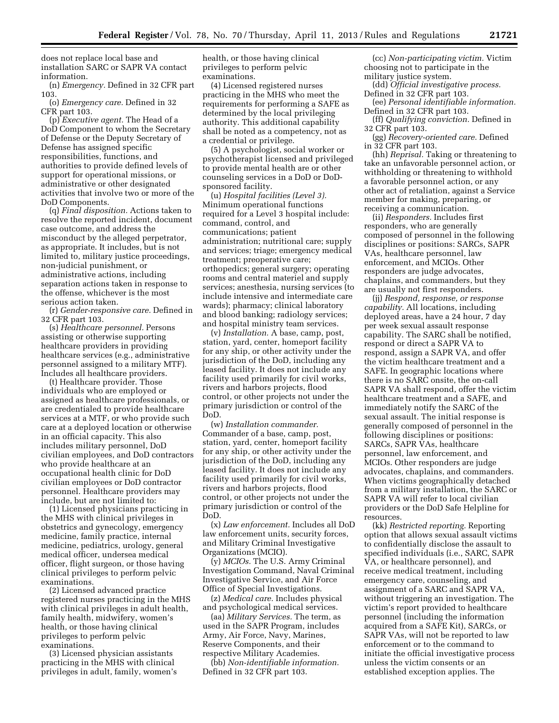does not replace local base and installation SARC or SAPR VA contact information.

(n) *Emergency.* Defined in 32 CFR part 103.

(o) *Emergency care.* Defined in 32 CFR part 103.

(p) *Executive agent.* The Head of a DoD Component to whom the Secretary of Defense or the Deputy Secretary of Defense has assigned specific responsibilities, functions, and authorities to provide defined levels of support for operational missions, or administrative or other designated activities that involve two or more of the DoD Components.

(q) *Final disposition.* Actions taken to resolve the reported incident, document case outcome, and address the misconduct by the alleged perpetrator, as appropriate. It includes, but is not limited to, military justice proceedings, non-judicial punishment, or administrative actions, including separation actions taken in response to the offense, whichever is the most serious action taken.

(r) *Gender-responsive care.* Defined in 32 CFR part 103.

(s) *Healthcare personnel.* Persons assisting or otherwise supporting healthcare providers in providing healthcare services (e.g., administrative personnel assigned to a military MTF). Includes all healthcare providers.

(t) Healthcare provider. Those individuals who are employed or assigned as healthcare professionals, or are credentialed to provide healthcare services at a MTF, or who provide such care at a deployed location or otherwise in an official capacity. This also includes military personnel, DoD civilian employees, and DoD contractors who provide healthcare at an occupational health clinic for DoD civilian employees or DoD contractor personnel. Healthcare providers may include, but are not limited to:

(1) Licensed physicians practicing in the MHS with clinical privileges in obstetrics and gynecology, emergency medicine, family practice, internal medicine, pediatrics, urology, general medical officer, undersea medical officer, flight surgeon, or those having clinical privileges to perform pelvic examinations.

(2) Licensed advanced practice registered nurses practicing in the MHS with clinical privileges in adult health, family health, midwifery, women's health, or those having clinical privileges to perform pelvic examinations.

(3) Licensed physician assistants practicing in the MHS with clinical privileges in adult, family, women's health, or those having clinical privileges to perform pelvic examinations.

(4) Licensed registered nurses practicing in the MHS who meet the requirements for performing a SAFE as determined by the local privileging authority. This additional capability shall be noted as a competency, not as a credential or privilege.

(5) A psychologist, social worker or psychotherapist licensed and privileged to provide mental health are or other counseling services in a DoD or DoDsponsored facility.

(u) *Hospital facilities (Level 3).*  Minimum operational functions required for a Level 3 hospital include: command, control, and communications; patient administration; nutritional care; supply and services; triage; emergency medical treatment; preoperative care; orthopedics; general surgery; operating rooms and central materiel and supply services; anesthesia, nursing services (to include intensive and intermediate care wards); pharmacy; clinical laboratory and blood banking; radiology services; and hospital ministry team services.

(v) *Installation.* A base, camp, post, station, yard, center, homeport facility for any ship, or other activity under the jurisdiction of the DoD, including any leased facility. It does not include any facility used primarily for civil works, rivers and harbors projects, flood control, or other projects not under the primary jurisdiction or control of the DoD.

(w) *Installation commander.*  Commander of a base, camp, post, station, yard, center, homeport facility for any ship, or other activity under the jurisdiction of the DoD, including any leased facility. It does not include any facility used primarily for civil works, rivers and harbors projects, flood control, or other projects not under the primary jurisdiction or control of the DoD.

(x) *Law enforcement.* Includes all DoD law enforcement units, security forces, and Military Criminal Investigative Organizations (MCIO).

(y) *MCIOs.* The U.S. Army Criminal Investigation Command, Naval Criminal Investigative Service, and Air Force Office of Special Investigations.

(z) *Medical care.* Includes physical and psychological medical services.

(aa) *Military Services.* The term, as used in the SAPR Program, includes Army, Air Force, Navy, Marines, Reserve Components, and their respective Military Academies.

(bb) *Non-identifiable information.*  Defined in 32 CFR part 103.

(cc) *Non-participating victim.* Victim choosing not to participate in the military justice system.

(dd) *Official investigative process.*  Defined in 32 CFR part 103.

(ee) *Personal identifiable information.*  Defined in 32 CFR part 103.

(ff) *Qualifying conviction.* Defined in 32 CFR part 103.

(gg) *Recovery-oriented care.* Defined in 32 CFR part 103.

(hh) *Reprisal.* Taking or threatening to take an unfavorable personnel action, or withholding or threatening to withhold a favorable personnel action, or any other act of retaliation, against a Service member for making, preparing, or receiving a communication.

(ii) *Responders.* Includes first responders, who are generally composed of personnel in the following disciplines or positions: SARCs, SAPR VAs, healthcare personnel, law enforcement, and MCIOs. Other responders are judge advocates, chaplains, and commanders, but they are usually not first responders.

(jj) *Respond, response, or response capability.* All locations, including deployed areas, have a 24 hour, 7 day per week sexual assault response capability. The SARC shall be notified, respond or direct a SAPR VA to respond, assign a SAPR VA, and offer the victim healthcare treatment and a SAFE. In geographic locations where there is no SARC onsite, the on-call SAPR VA shall respond, offer the victim healthcare treatment and a SAFE, and immediately notify the SARC of the sexual assault. The initial response is generally composed of personnel in the following disciplines or positions: SARCs, SAPR VAs, healthcare personnel, law enforcement, and MCIOs. Other responders are judge advocates, chaplains, and commanders. When victims geographically detached from a military installation, the SARC or SAPR VA will refer to local civilian providers or the DoD Safe Helpline for resources.

(kk) *Restricted reporting.* Reporting option that allows sexual assault victims to confidentially disclose the assault to specified individuals (i.e., SARC, SAPR VA, or healthcare personnel), and receive medical treatment, including emergency care, counseling, and assignment of a SARC and SAPR VA, without triggering an investigation. The victim's report provided to healthcare personnel (including the information acquired from a SAFE Kit), SARCs, or SAPR VAs, will not be reported to law enforcement or to the command to initiate the official investigative process unless the victim consents or an established exception applies. The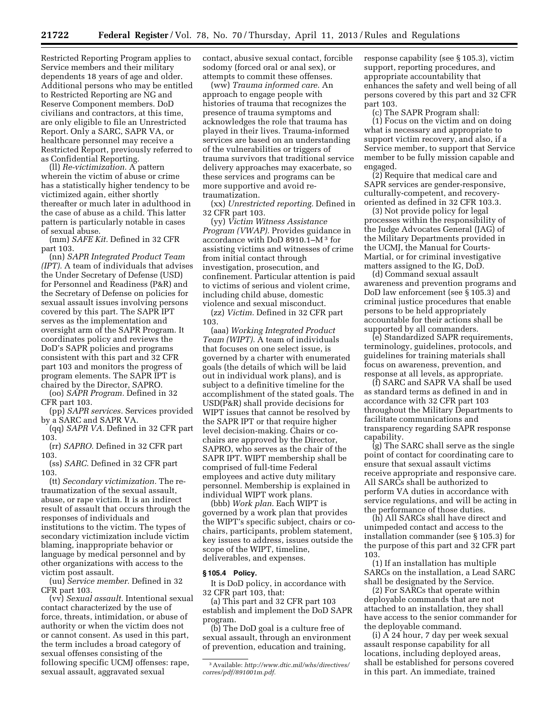Restricted Reporting Program applies to Service members and their military dependents 18 years of age and older. Additional persons who may be entitled to Restricted Reporting are NG and Reserve Component members. DoD civilians and contractors, at this time, are only eligible to file an Unrestricted Report. Only a SARC, SAPR VA, or healthcare personnel may receive a Restricted Report, previously referred to as Confidential Reporting.

(ll) *Re-victimization.* A pattern wherein the victim of abuse or crime has a statistically higher tendency to be victimized again, either shortly thereafter or much later in adulthood in the case of abuse as a child. This latter pattern is particularly notable in cases of sexual abuse.

(mm) *SAFE Kit.* Defined in 32 CFR part 103.

(nn) *SAPR Integrated Product Team (IPT).* A team of individuals that advises the Under Secretary of Defense (USD) for Personnel and Readiness (P&R) and the Secretary of Defense on policies for sexual assault issues involving persons covered by this part. The SAPR IPT serves as the implementation and oversight arm of the SAPR Program. It coordinates policy and reviews the DoD's SAPR policies and programs consistent with this part and 32 CFR part 103 and monitors the progress of program elements. The SAPR IPT is chaired by the Director, SAPRO.

(oo) *SAPR Program.* Defined in 32 CFR part 103.

(pp) *SAPR services.* Services provided by a SARC and SAPR VA.

(qq) *SAPR VA.* Defined in 32 CFR part 103.

(rr) *SAPRO.* Defined in 32 CFR part 103.

(ss) *SARC.* Defined in 32 CFR part 103.

(tt) *Secondary victimization.* The retraumatization of the sexual assault, abuse, or rape victim. It is an indirect result of assault that occurs through the responses of individuals and institutions to the victim. The types of secondary victimization include victim blaming, inappropriate behavior or language by medical personnel and by other organizations with access to the victim post assault.

(uu) *Service member.* Defined in 32 CFR part 103.

(vv) *Sexual assault.* Intentional sexual contact characterized by the use of force, threats, intimidation, or abuse of authority or when the victim does not or cannot consent. As used in this part, the term includes a broad category of sexual offenses consisting of the following specific UCMJ offenses: rape, sexual assault, aggravated sexual

contact, abusive sexual contact, forcible sodomy (forced oral or anal sex), or attempts to commit these offenses.

(ww) *Trauma informed care.* An approach to engage people with histories of trauma that recognizes the presence of trauma symptoms and acknowledges the role that trauma has played in their lives. Trauma-informed services are based on an understanding of the vulnerabilities or triggers of trauma survivors that traditional service delivery approaches may exacerbate, so these services and programs can be more supportive and avoid retraumatization.

(xx) *Unrestricted reporting.* Defined in 32 CFR part 103.

(yy) *Victim Witness Assistance Program (VWAP).* Provides guidance in accordance with DoD 8910.1–M 3 for assisting victims and witnesses of crime from initial contact through investigation, prosecution, and confinement. Particular attention is paid to victims of serious and violent crime, including child abuse, domestic violence and sexual misconduct.

(zz) *Victim.* Defined in 32 CFR part 103.

(aaa) *Working Integrated Product Team (WIPT).* A team of individuals that focuses on one select issue, is governed by a charter with enumerated goals (the details of which will be laid out in individual work plans), and is subject to a definitive timeline for the accomplishment of the stated goals. The USD(P&R) shall provide decisions for WIPT issues that cannot be resolved by the SAPR IPT or that require higher level decision-making. Chairs or cochairs are approved by the Director, SAPRO, who serves as the chair of the SAPR IPT. WIPT membership shall be comprised of full-time Federal employees and active duty military personnel. Membership is explained in individual WIPT work plans.

(bbb) *Work plan.* Each WIPT is governed by a work plan that provides the WIPT's specific subject, chairs or cochairs, participants, problem statement, key issues to address, issues outside the scope of the WIPT, timeline, deliverables, and expenses.

#### **§ 105.4 Policy.**

It is DoD policy, in accordance with 32 CFR part 103, that:

(a) This part and 32 CFR part 103 establish and implement the DoD SAPR program.

(b) The DoD goal is a culture free of sexual assault, through an environment of prevention, education and training,

response capability (see § 105.3), victim support, reporting procedures, and appropriate accountability that enhances the safety and well being of all persons covered by this part and 32 CFR part 103.

(c) The SAPR Program shall:

(1) Focus on the victim and on doing what is necessary and appropriate to support victim recovery, and also, if a Service member, to support that Service member to be fully mission capable and engaged.

(2) Require that medical care and SAPR services are gender-responsive, culturally-competent, and recoveryoriented as defined in 32 CFR 103.3.

(3) Not provide policy for legal processes within the responsibility of the Judge Advocates General (JAG) of the Military Departments provided in the UCMJ, the Manual for Courts-Martial, or for criminal investigative matters assigned to the IG, DoD.

(d) Command sexual assault awareness and prevention programs and DoD law enforcement (see § 105.3) and criminal justice procedures that enable persons to be held appropriately accountable for their actions shall be supported by all commanders.

(e) Standardized SAPR requirements, terminology, guidelines, protocols, and guidelines for training materials shall focus on awareness, prevention, and response at all levels, as appropriate.

(f) SARC and SAPR VA shall be used as standard terms as defined in and in accordance with 32 CFR part 103 throughout the Military Departments to facilitate communications and transparency regarding SAPR response capability.

(g) The SARC shall serve as the single point of contact for coordinating care to ensure that sexual assault victims receive appropriate and responsive care. All SARCs shall be authorized to perform VA duties in accordance with service regulations, and will be acting in the performance of those duties.

(h) All SARCs shall have direct and unimpeded contact and access to the installation commander (see § 105.3) for the purpose of this part and 32 CFR part 103.

(1) If an installation has multiple SARCs on the installation, a Lead SARC shall be designated by the Service.

(2) For SARCs that operate within deployable commands that are not attached to an installation, they shall have access to the senior commander for the deployable command.

(i) A 24 hour, 7 day per week sexual assault response capability for all locations, including deployed areas, shall be established for persons covered in this part. An immediate, trained

<sup>3</sup>Available: *[http://www.dtic.mil/whs/directives/](http://www.dtic.mil/whs/directives/corres/pdf/891001m.pdf)  [corres/pdf/891001m.pdf.](http://www.dtic.mil/whs/directives/corres/pdf/891001m.pdf)*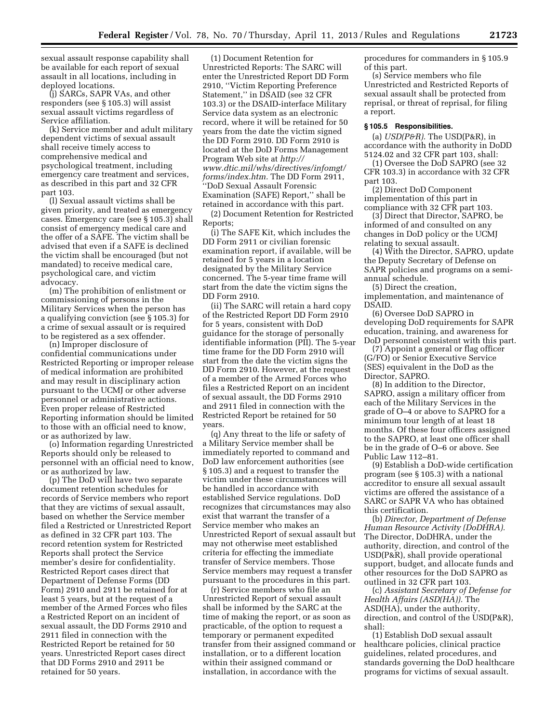sexual assault response capability shall be available for each report of sexual assault in all locations, including in deployed locations.

(j) SARCs, SAPR VAs, and other responders (see § 105.3) will assist sexual assault victims regardless of Service affiliation.

(k) Service member and adult military dependent victims of sexual assault shall receive timely access to comprehensive medical and psychological treatment, including emergency care treatment and services, as described in this part and 32 CFR part 103.

(l) Sexual assault victims shall be given priority, and treated as emergency cases. Emergency care (see § 105.3) shall consist of emergency medical care and the offer of a SAFE. The victim shall be advised that even if a SAFE is declined the victim shall be encouraged (but not mandated) to receive medical care, psychological care, and victim advocacy.

(m) The prohibition of enlistment or commissioning of persons in the Military Services when the person has a qualifying conviction (see § 105.3) for a crime of sexual assault or is required to be registered as a sex offender.

(n) Improper disclosure of confidential communications under Restricted Reporting or improper release of medical information are prohibited and may result in disciplinary action pursuant to the UCMJ or other adverse personnel or administrative actions. Even proper release of Restricted Reporting information should be limited to those with an official need to know, or as authorized by law.

(o) Information regarding Unrestricted Reports should only be released to personnel with an official need to know, or as authorized by law.

(p) The DoD will have two separate document retention schedules for records of Service members who report that they are victims of sexual assault, based on whether the Service member filed a Restricted or Unrestricted Report as defined in 32 CFR part 103. The record retention system for Restricted Reports shall protect the Service member's desire for confidentiality. Restricted Report cases direct that Department of Defense Forms (DD Form) 2910 and 2911 be retained for at least 5 years, but at the request of a member of the Armed Forces who files a Restricted Report on an incident of sexual assault, the DD Forms 2910 and 2911 filed in connection with the Restricted Report be retained for 50 years. Unrestricted Report cases direct that DD Forms 2910 and 2911 be retained for 50 years.

(1) Document Retention for Unrestricted Reports: The SARC will enter the Unrestricted Report DD Form 2910, ''Victim Reporting Preference Statement,'' in DSAID (see 32 CFR 103.3) or the DSAID-interface Military Service data system as an electronic record, where it will be retained for 50 years from the date the victim signed the DD Form 2910. DD Form 2910 is located at the DoD Forms Management Program Web site at *[http://](http://www.dtic.mil/whs/directives/infomgt/forms/index.htm) [www.dtic.mil/whs/directives/infomgt/](http://www.dtic.mil/whs/directives/infomgt/forms/index.htm)  [forms/index.htm.](http://www.dtic.mil/whs/directives/infomgt/forms/index.htm)* The DD Form 2911, ''DoD Sexual Assault Forensic Examination (SAFE) Report,'' shall be retained in accordance with this part.

(2) Document Retention for Restricted Reports;

(i) The SAFE Kit, which includes the DD Form 2911 or civilian forensic examination report, if available, will be retained for 5 years in a location designated by the Military Service concerned. The 5-year time frame will start from the date the victim signs the DD Form 2910.

(ii) The SARC will retain a hard copy of the Restricted Report DD Form 2910 for 5 years, consistent with DoD guidance for the storage of personally identifiable information (PII). The 5-year time frame for the DD Form 2910 will start from the date the victim signs the DD Form 2910. However, at the request of a member of the Armed Forces who files a Restricted Report on an incident of sexual assault, the DD Forms 2910 and 2911 filed in connection with the Restricted Report be retained for 50 years.

(q) Any threat to the life or safety of a Military Service member shall be immediately reported to command and DoD law enforcement authorities (see § 105.3) and a request to transfer the victim under these circumstances will be handled in accordance with established Service regulations. DoD recognizes that circumstances may also exist that warrant the transfer of a Service member who makes an Unrestricted Report of sexual assault but may not otherwise meet established criteria for effecting the immediate transfer of Service members. Those Service members may request a transfer pursuant to the procedures in this part.

(r) Service members who file an Unrestricted Report of sexual assault shall be informed by the SARC at the time of making the report, or as soon as practicable, of the option to request a temporary or permanent expedited transfer from their assigned command or installation, or to a different location within their assigned command or installation, in accordance with the

procedures for commanders in § 105.9 of this part.

(s) Service members who file Unrestricted and Restricted Reports of sexual assault shall be protected from reprisal, or threat of reprisal, for filing a report.

#### **§ 105.5 Responsibilities.**

(a) *USD(P&R).* The USD(P&R), in accordance with the authority in DoDD 5124.02 and 32 CFR part 103, shall:

(1) Oversee the DoD SAPRO (see 32 CFR 103.3) in accordance with 32 CFR part 103.

(2) Direct DoD Component implementation of this part in compliance with 32 CFR part 103.

(3) Direct that Director, SAPRO, be informed of and consulted on any changes in DoD policy or the UCMJ relating to sexual assault.

(4) With the Director, SAPRO, update the Deputy Secretary of Defense on SAPR policies and programs on a semiannual schedule.

(5) Direct the creation, implementation, and maintenance of DSAID.

(6) Oversee DoD SAPRO in developing DoD requirements for SAPR education, training, and awareness for DoD personnel consistent with this part.

(7) Appoint a general or flag officer (G/FO) or Senior Executive Service (SES) equivalent in the DoD as the Director, SAPRO.

(8) In addition to the Director, SAPRO, assign a military officer from each of the Military Services in the grade of O–4 or above to SAPRO for a minimum tour length of at least 18 months. Of these four officers assigned to the SAPRO, at least one officer shall be in the grade of O–6 or above. See Public Law 112–81.

(9) Establish a DoD-wide certification program (see § 105.3) with a national accreditor to ensure all sexual assault victims are offered the assistance of a SARC or SAPR VA who has obtained this certification.

(b) *Director, Department of Defense Human Resource Activity (DoDHRA).*  The Director, DoDHRA, under the authority, direction, and control of the USD(P&R), shall provide operational support, budget, and allocate funds and other resources for the DoD SAPRO as outlined in 32 CFR part 103.

(c) *Assistant Secretary of Defense for Health Affairs (ASD(HA)).* The ASD(HA), under the authority, direction, and control of the USD(P&R), shall:

(1) Establish DoD sexual assault healthcare policies, clinical practice guidelines, related procedures, and standards governing the DoD healthcare programs for victims of sexual assault.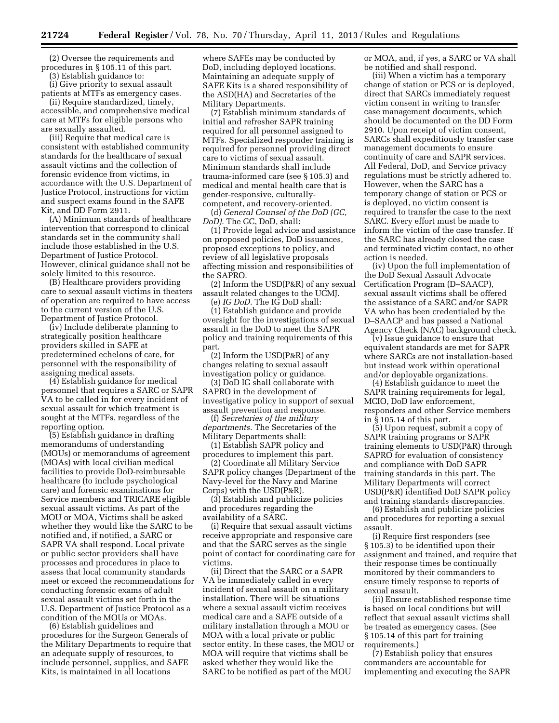(2) Oversee the requirements and procedures in § 105.11 of this part.

(3) Establish guidance to:

(i) Give priority to sexual assault patients at MTFs as emergency cases.

(ii) Require standardized, timely, accessible, and comprehensive medical care at MTFs for eligible persons who are sexually assaulted.

(iii) Require that medical care is consistent with established community standards for the healthcare of sexual assault victims and the collection of forensic evidence from victims, in accordance with the U.S. Department of Justice Protocol, instructions for victim and suspect exams found in the SAFE Kit, and DD Form 2911.

(A) Minimum standards of healthcare intervention that correspond to clinical standards set in the community shall include those established in the U.S. Department of Justice Protocol. However, clinical guidance shall not be solely limited to this resource.

(B) Healthcare providers providing care to sexual assault victims in theaters of operation are required to have access to the current version of the U.S. Department of Justice Protocol.

(iv) Include deliberate planning to strategically position healthcare providers skilled in SAFE at predetermined echelons of care, for personnel with the responsibility of assigning medical assets.

(4) Establish guidance for medical personnel that requires a SARC or SAPR VA to be called in for every incident of sexual assault for which treatment is sought at the MTFs, regardless of the reporting option.

(5) Establish guidance in drafting memorandums of understanding (MOUs) or memorandums of agreement (MOAs) with local civilian medical facilities to provide DoD-reimbursable healthcare (to include psychological care) and forensic examinations for Service members and TRICARE eligible sexual assault victims. As part of the MOU or MOA, Victims shall be asked whether they would like the SARC to be notified and, if notified, a SARC or SAPR VA shall respond. Local private or public sector providers shall have processes and procedures in place to assess that local community standards meet or exceed the recommendations for conducting forensic exams of adult sexual assault victims set forth in the U.S. Department of Justice Protocol as a condition of the MOUs or MOAs.

(6) Establish guidelines and procedures for the Surgeon Generals of the Military Departments to require that an adequate supply of resources, to include personnel, supplies, and SAFE Kits, is maintained in all locations

where SAFEs may be conducted by DoD, including deployed locations. Maintaining an adequate supply of SAFE Kits is a shared responsibility of the ASD(HA) and Secretaries of the Military Departments.

(7) Establish minimum standards of initial and refresher SAPR training required for all personnel assigned to MTFs. Specialized responder training is required for personnel providing direct care to victims of sexual assault. Minimum standards shall include trauma-informed care (see § 105.3) and medical and mental health care that is gender-responsive, culturallycompetent, and recovery-oriented.

(d) *General Counsel of the DoD (GC, DoD).* The GC, DoD, shall:

(1) Provide legal advice and assistance on proposed policies, DoD issuances, proposed exceptions to policy, and review of all legislative proposals affecting mission and responsibilities of the SAPRO.

(2) Inform the USD(P&R) of any sexual assault related changes to the UCMJ.

(e) *IG DoD.* The IG DoD shall:

(1) Establish guidance and provide oversight for the investigations of sexual assault in the DoD to meet the SAPR policy and training requirements of this part.

(2) Inform the USD(P&R) of any changes relating to sexual assault investigation policy or guidance.

(3) DoD IG shall collaborate with SAPRO in the development of investigative policy in support of sexual assault prevention and response.

(f) *Secretaries of the military departments.* The Secretaries of the Military Departments shall:

(1) Establish SAPR policy and procedures to implement this part.

(2) Coordinate all Military Service SAPR policy changes (Department of the Navy-level for the Navy and Marine Corps) with the USD(P&R).

(3) Establish and publicize policies and procedures regarding the availability of a SARC.

(i) Require that sexual assault victims receive appropriate and responsive care and that the SARC serves as the single point of contact for coordinating care for victims.

(ii) Direct that the SARC or a SAPR VA be immediately called in every incident of sexual assault on a military installation. There will be situations where a sexual assault victim receives medical care and a SAFE outside of a military installation through a MOU or MOA with a local private or public sector entity. In these cases, the MOU or MOA will require that victims shall be asked whether they would like the SARC to be notified as part of the MOU

or MOA, and, if yes, a SARC or VA shall be notified and shall respond.

(iii) When a victim has a temporary change of station or PCS or is deployed, direct that SARCs immediately request victim consent in writing to transfer case management documents, which should be documented on the DD Form 2910. Upon receipt of victim consent, SARCs shall expeditiously transfer case management documents to ensure continuity of care and SAPR services. All Federal, DoD, and Service privacy regulations must be strictly adhered to. However, when the SARC has a temporary change of station or PCS or is deployed, no victim consent is required to transfer the case to the next SARC. Every effort must be made to inform the victim of the case transfer. If the SARC has already closed the case and terminated victim contact, no other action is needed.

(iv) Upon the full implementation of the DoD Sexual Assault Advocate Certification Program (D–SAACP), sexual assault victims shall be offered the assistance of a SARC and/or SAPR VA who has been credentialed by the D–SAACP and has passed a National Agency Check (NAC) background check.

(v) Issue guidance to ensure that equivalent standards are met for SAPR where SARCs are not installation-based but instead work within operational and/or deployable organizations.

(4) Establish guidance to meet the SAPR training requirements for legal, MCIO, DoD law enforcement, responders and other Service members in § 105.14 of this part.

(5) Upon request, submit a copy of SAPR training programs or SAPR training elements to USD(P&R) through SAPRO for evaluation of consistency and compliance with DoD SAPR training standards in this part. The Military Departments will correct USD(P&R) identified DoD SAPR policy and training standards discrepancies.

(6) Establish and publicize policies and procedures for reporting a sexual assault.

(i) Require first responders (see § 105.3) to be identified upon their assignment and trained, and require that their response times be continually monitored by their commanders to ensure timely response to reports of sexual assault.

(ii) Ensure established response time is based on local conditions but will reflect that sexual assault victims shall be treated as emergency cases. (See § 105.14 of this part for training requirements.)

(7) Establish policy that ensures commanders are accountable for implementing and executing the SAPR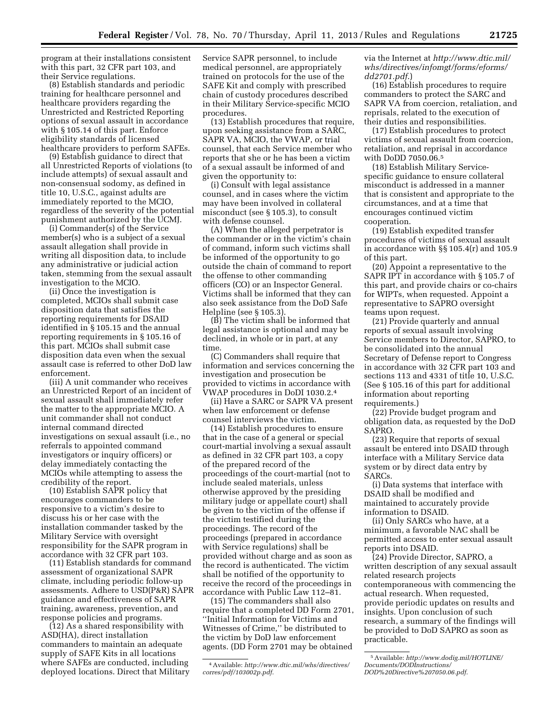program at their installations consistent with this part, 32 CFR part 103, and their Service regulations.

(8) Establish standards and periodic training for healthcare personnel and healthcare providers regarding the Unrestricted and Restricted Reporting options of sexual assault in accordance with § 105.14 of this part. Enforce eligibility standards of licensed healthcare providers to perform SAFEs.

(9) Establish guidance to direct that all Unrestricted Reports of violations (to include attempts) of sexual assault and non-consensual sodomy, as defined in title 10, U.S.C., against adults are immediately reported to the MCIO, regardless of the severity of the potential punishment authorized by the UCMJ.

(i) Commander(s) of the Service member(s) who is a subject of a sexual assault allegation shall provide in writing all disposition data, to include any administrative or judicial action taken, stemming from the sexual assault investigation to the MCIO.

(ii) Once the investigation is completed, MCIOs shall submit case disposition data that satisfies the reporting requirements for DSAID identified in § 105.15 and the annual reporting requirements in § 105.16 of this part. MCIOs shall submit case disposition data even when the sexual assault case is referred to other DoD law enforcement.

(iii) A unit commander who receives an Unrestricted Report of an incident of sexual assault shall immediately refer the matter to the appropriate MCIO. A unit commander shall not conduct internal command directed investigations on sexual assault (i.e., no referrals to appointed command investigators or inquiry officers) or delay immediately contacting the MCIOs while attempting to assess the credibility of the report.

(10) Establish SAPR policy that encourages commanders to be responsive to a victim's desire to discuss his or her case with the installation commander tasked by the Military Service with oversight responsibility for the SAPR program in accordance with 32 CFR part 103.

(11) Establish standards for command assessment of organizational SAPR climate, including periodic follow-up assessments. Adhere to USD(P&R) SAPR guidance and effectiveness of SAPR training, awareness, prevention, and response policies and programs.

(12) As a shared responsibility with ASD(HA), direct installation commanders to maintain an adequate supply of SAFE Kits in all locations where SAFEs are conducted, including deployed locations. Direct that Military Service SAPR personnel, to include medical personnel, are appropriately trained on protocols for the use of the SAFE Kit and comply with prescribed chain of custody procedures described in their Military Service-specific MCIO procedures.

(13) Establish procedures that require, upon seeking assistance from a SARC, SAPR VA, MCIO, the VWAP, or trial counsel, that each Service member who reports that she or he has been a victim of a sexual assault be informed of and given the opportunity to:

(i) Consult with legal assistance counsel, and in cases where the victim may have been involved in collateral misconduct (see § 105.3), to consult with defense counsel.

(A) When the alleged perpetrator is the commander or in the victim's chain of command, inform such victims shall be informed of the opportunity to go outside the chain of command to report the offense to other commanding officers (CO) or an Inspector General. Victims shall be informed that they can also seek assistance from the DoD Safe Helpline (see § 105.3).

(B) The victim shall be informed that legal assistance is optional and may be declined, in whole or in part, at any time.

(C) Commanders shall require that information and services concerning the investigation and prosecution be provided to victims in accordance with VWAP procedures in DoDI 1030.2.4

(ii) Have a SARC or SAPR VA present when law enforcement or defense counsel interviews the victim.

(14) Establish procedures to ensure that in the case of a general or special court-martial involving a sexual assault as defined in 32 CFR part 103, a copy of the prepared record of the proceedings of the court-martial (not to include sealed materials, unless otherwise approved by the presiding military judge or appellate court) shall be given to the victim of the offense if the victim testified during the proceedings. The record of the proceedings (prepared in accordance with Service regulations) shall be provided without charge and as soon as the record is authenticated. The victim shall be notified of the opportunity to receive the record of the proceedings in accordance with Public Law 112–81.

(15) The commanders shall also require that a completed DD Form 2701, ''Initial Information for Victims and Witnesses of Crime,'' be distributed to the victim by DoD law enforcement agents. (DD Form 2701 may be obtained

via the Internet at *[http://www.dtic.mil/](http://www.dtic.mil/whs/directives/infomgt/forms/eforms/dd2701.pdf) [whs/directives/infomgt/forms/eforms/](http://www.dtic.mil/whs/directives/infomgt/forms/eforms/dd2701.pdf)  [dd2701.pdf](http://www.dtic.mil/whs/directives/infomgt/forms/eforms/dd2701.pdf)*.)

(16) Establish procedures to require commanders to protect the SARC and SAPR VA from coercion, retaliation, and reprisals, related to the execution of their duties and responsibilities.

(17) Establish procedures to protect victims of sexual assault from coercion, retaliation, and reprisal in accordance with DoDD 7050.06.5

(18) Establish Military Servicespecific guidance to ensure collateral misconduct is addressed in a manner that is consistent and appropriate to the circumstances, and at a time that encourages continued victim cooperation.

(19) Establish expedited transfer procedures of victims of sexual assault in accordance with §§ 105.4(r) and 105.9 of this part.

(20) Appoint a representative to the SAPR IPT in accordance with § 105.7 of this part, and provide chairs or co-chairs for WIPTs, when requested. Appoint a representative to SAPRO oversight teams upon request.

(21) Provide quarterly and annual reports of sexual assault involving Service members to Director, SAPRO, to be consolidated into the annual Secretary of Defense report to Congress in accordance with 32 CFR part 103 and sections 113 and 4331 of title 10, U.S.C. (See § 105.16 of this part for additional information about reporting requirements.)

(22) Provide budget program and obligation data, as requested by the DoD SAPRO.

(23) Require that reports of sexual assault be entered into DSAID through interface with a Military Service data system or by direct data entry by SARCs.

(i) Data systems that interface with DSAID shall be modified and maintained to accurately provide information to DSAID.

(ii) Only SARCs who have, at a minimum, a favorable NAC shall be permitted access to enter sexual assault reports into DSAID.

(24) Provide Director, SAPRO, a written description of any sexual assault related research projects contemporaneous with commencing the actual research. When requested, provide periodic updates on results and insights. Upon conclusion of such research, a summary of the findings will be provided to DoD SAPRO as soon as practicable.

<sup>4</sup>Available: *[http://www.dtic.mil/whs/directives/](http://www.dtic.mil/whs/directives/corres/pdf/103002p.pdf)  [corres/pdf/103002p.pdf](http://www.dtic.mil/whs/directives/corres/pdf/103002p.pdf)*.

<sup>5</sup>Available: *[http://www.dodig.mil/HOTLINE/](http://www.dodig.mil/HOTLINE/Documents/DODInstructions/DOD%20Directive%207050.06.pdf)  [Documents/DODInstructions/](http://www.dodig.mil/HOTLINE/Documents/DODInstructions/DOD%20Directive%207050.06.pdf)  [DOD%20Directive%207050.06.pdf](http://www.dodig.mil/HOTLINE/Documents/DODInstructions/DOD%20Directive%207050.06.pdf)*.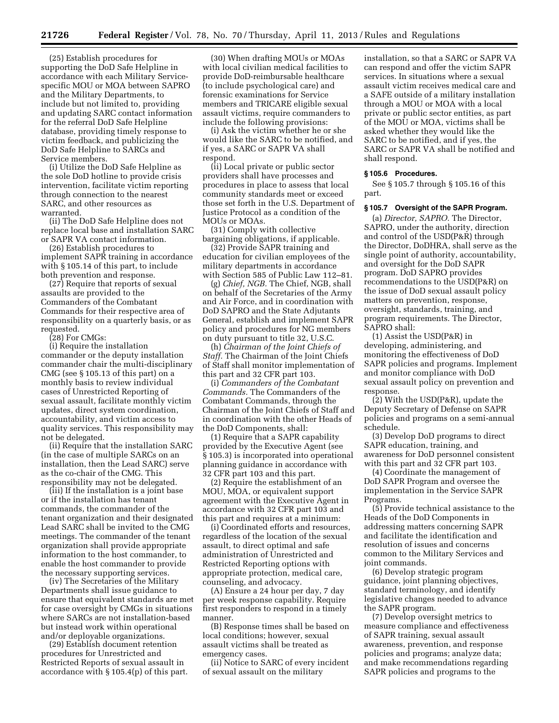(25) Establish procedures for supporting the DoD Safe Helpline in accordance with each Military Servicespecific MOU or MOA between SAPRO and the Military Departments, to include but not limited to, providing and updating SARC contact information for the referral DoD Safe Helpline database, providing timely response to victim feedback, and publicizing the DoD Safe Helpline to SARCs and Service members.

(i) Utilize the DoD Safe Helpline as the sole DoD hotline to provide crisis intervention, facilitate victim reporting through connection to the nearest SARC, and other resources as warranted.

(ii) The DoD Safe Helpline does not replace local base and installation SARC or SAPR VA contact information.

(26) Establish procedures to implement SAPR training in accordance with § 105.14 of this part, to include both prevention and response.

(27) Require that reports of sexual assaults are provided to the Commanders of the Combatant Commands for their respective area of responsibility on a quarterly basis, or as requested.

(28) For CMGs:

(i) Require the installation commander or the deputy installation commander chair the multi-disciplinary CMG (see § 105.13 of this part) on a monthly basis to review individual cases of Unrestricted Reporting of sexual assault, facilitate monthly victim updates, direct system coordination, accountability, and victim access to quality services. This responsibility may not be delegated.

(ii) Require that the installation SARC (in the case of multiple SARCs on an installation, then the Lead SARC) serve as the co-chair of the CMG. This responsibility may not be delegated.

(iii) If the installation is a joint base or if the installation has tenant commands, the commander of the tenant organization and their designated Lead SARC shall be invited to the CMG meetings. The commander of the tenant organization shall provide appropriate information to the host commander, to enable the host commander to provide the necessary supporting services.

(iv) The Secretaries of the Military Departments shall issue guidance to ensure that equivalent standards are met for case oversight by CMGs in situations where SARCs are not installation-based but instead work within operational and/or deployable organizations.

(29) Establish document retention procedures for Unrestricted and Restricted Reports of sexual assault in accordance with § 105.4(p) of this part.

(30) When drafting MOUs or MOAs with local civilian medical facilities to provide DoD-reimbursable healthcare (to include psychological care) and forensic examinations for Service members and TRICARE eligible sexual assault victims, require commanders to include the following provisions:

(i) Ask the victim whether he or she would like the SARC to be notified, and if yes, a SARC or SAPR VA shall respond.

(ii) Local private or public sector providers shall have processes and procedures in place to assess that local community standards meet or exceed those set forth in the U.S. Department of Justice Protocol as a condition of the MOUs or MOAs.

(31) Comply with collective bargaining obligations, if applicable.

(32) Provide SAPR training and education for civilian employees of the military departments in accordance with Section 585 of Public Law 112–81.

(g) *Chief, NGB.* The Chief, NGB, shall on behalf of the Secretaries of the Army and Air Force, and in coordination with DoD SAPRO and the State Adjutants General, establish and implement SAPR policy and procedures for NG members on duty pursuant to title 32, U.S.C.

(h) *Chairman of the Joint Chiefs of Staff.* The Chairman of the Joint Chiefs of Staff shall monitor implementation of this part and 32 CFR part 103.

(i) *Commanders of the Combatant Commands.* The Commanders of the Combatant Commands, through the Chairman of the Joint Chiefs of Staff and in coordination with the other Heads of the DoD Components, shall:

(1) Require that a SAPR capability provided by the Executive Agent (see § 105.3) is incorporated into operational planning guidance in accordance with 32 CFR part 103 and this part.

(2) Require the establishment of an MOU, MOA, or equivalent support agreement with the Executive Agent in accordance with 32 CFR part 103 and this part and requires at a minimum:

(i) Coordinated efforts and resources, regardless of the location of the sexual assault, to direct optimal and safe administration of Unrestricted and Restricted Reporting options with appropriate protection, medical care, counseling, and advocacy.

(A) Ensure a 24 hour per day, 7 day per week response capability. Require first responders to respond in a timely manner.

(B) Response times shall be based on local conditions; however, sexual assault victims shall be treated as emergency cases.

(ii) Notice to SARC of every incident of sexual assault on the military

installation, so that a SARC or SAPR VA can respond and offer the victim SAPR services. In situations where a sexual assault victim receives medical care and a SAFE outside of a military installation through a MOU or MOA with a local private or public sector entities, as part of the MOU or MOA, victims shall be asked whether they would like the SARC to be notified, and if yes, the SARC or SAPR VA shall be notified and shall respond.

#### **§ 105.6 Procedures.**

See § 105.7 through § 105.16 of this part.

#### **§ 105.7 Oversight of the SAPR Program.**

(a) *Director, SAPRO.* The Director, SAPRO, under the authority, direction and control of the USD(P&R) through the Director, DoDHRA, shall serve as the single point of authority, accountability, and oversight for the DoD SAPR program. DoD SAPRO provides recommendations to the USD(P&R) on the issue of DoD sexual assault policy matters on prevention, response, oversight, standards, training, and program requirements. The Director, SAPRO shall:

(1) Assist the USD(P&R) in developing, administering, and monitoring the effectiveness of DoD SAPR policies and programs. Implement and monitor compliance with DoD sexual assault policy on prevention and response.

(2) With the USD(P&R), update the Deputy Secretary of Defense on SAPR policies and programs on a semi-annual schedule.

(3) Develop DoD programs to direct SAPR education, training, and awareness for DoD personnel consistent with this part and 32 CFR part 103.

(4) Coordinate the management of DoD SAPR Program and oversee the implementation in the Service SAPR Programs.

(5) Provide technical assistance to the Heads of the DoD Components in addressing matters concerning SAPR and facilitate the identification and resolution of issues and concerns common to the Military Services and joint commands.

(6) Develop strategic program guidance, joint planning objectives, standard terminology, and identify legislative changes needed to advance the SAPR program.

(7) Develop oversight metrics to measure compliance and effectiveness of SAPR training, sexual assault awareness, prevention, and response policies and programs; analyze data; and make recommendations regarding SAPR policies and programs to the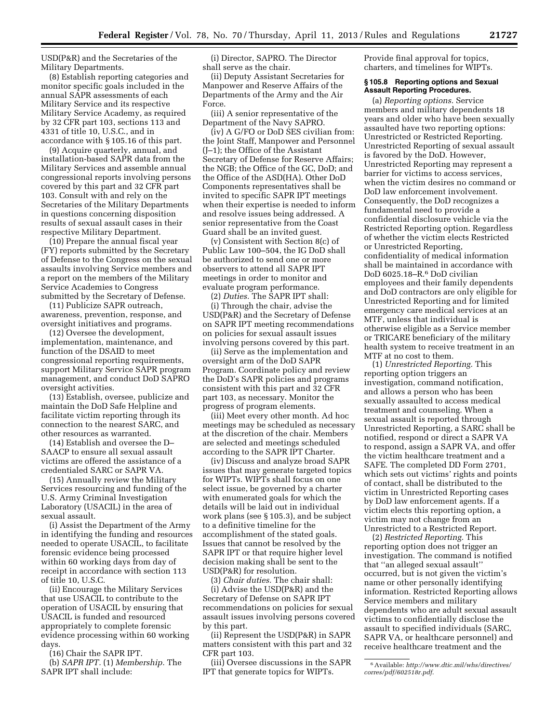USD(P&R) and the Secretaries of the Military Departments.

(8) Establish reporting categories and monitor specific goals included in the annual SAPR assessments of each Military Service and its respective Military Service Academy, as required by 32 CFR part 103, sections 113 and 4331 of title 10, U.S.C., and in accordance with § 105.16 of this part.

(9) Acquire quarterly, annual, and installation-based SAPR data from the Military Services and assemble annual congressional reports involving persons covered by this part and 32 CFR part 103. Consult with and rely on the Secretaries of the Military Departments in questions concerning disposition results of sexual assault cases in their respective Military Department.

(10) Prepare the annual fiscal year (FY) reports submitted by the Secretary of Defense to the Congress on the sexual assaults involving Service members and a report on the members of the Military Service Academies to Congress submitted by the Secretary of Defense.

(11) Publicize SAPR outreach, awareness, prevention, response, and oversight initiatives and programs.

(12) Oversee the development, implementation, maintenance, and function of the DSAID to meet congressional reporting requirements, support Military Service SAPR program management, and conduct DoD SAPRO oversight activities.

(13) Establish, oversee, publicize and maintain the DoD Safe Helpline and facilitate victim reporting through its connection to the nearest SARC, and other resources as warranted.

(14) Establish and oversee the D– SAACP to ensure all sexual assault victims are offered the assistance of a credentialed SARC or SAPR VA.

(15) Annually review the Military Services resourcing and funding of the U.S. Army Criminal Investigation Laboratory (USACIL) in the area of sexual assault.

(i) Assist the Department of the Army in identifying the funding and resources needed to operate USACIL, to facilitate forensic evidence being processed within 60 working days from day of receipt in accordance with section 113 of title 10, U.S.C.

(ii) Encourage the Military Services that use USACIL to contribute to the operation of USACIL by ensuring that USACIL is funded and resourced appropriately to complete forensic evidence processing within 60 working days.

(16) Chair the SAPR IPT.

(b) *SAPR IPT.* (1) *Membership.* The SAPR IPT shall include:

(i) Director, SAPRO. The Director shall serve as the chair.

(ii) Deputy Assistant Secretaries for Manpower and Reserve Affairs of the Departments of the Army and the Air Force.

(iii) A senior representative of the Department of the Navy SAPRO.

(iv) A G/FO or DoD SES civilian from: the Joint Staff, Manpower and Personnel (J–1); the Office of the Assistant Secretary of Defense for Reserve Affairs; the NGB; the Office of the GC, DoD; and the Office of the ASD(HA). Other DoD Components representatives shall be invited to specific SAPR IPT meetings when their expertise is needed to inform and resolve issues being addressed. A senior representative from the Coast Guard shall be an invited guest.

(v) Consistent with Section 8(c) of Public Law 100–504, the IG DoD shall be authorized to send one or more observers to attend all SAPR IPT meetings in order to monitor and evaluate program performance.

(2) *Duties.* The SAPR IPT shall: (i) Through the chair, advise the USD(P&R) and the Secretary of Defense on SAPR IPT meeting recommendations on policies for sexual assault issues involving persons covered by this part.

(ii) Serve as the implementation and oversight arm of the DoD SAPR Program. Coordinate policy and review the DoD's SAPR policies and programs consistent with this part and 32 CFR part 103, as necessary. Monitor the progress of program elements.

(iii) Meet every other month. Ad hoc meetings may be scheduled as necessary at the discretion of the chair. Members are selected and meetings scheduled according to the SAPR IPT Charter.

(iv) Discuss and analyze broad SAPR issues that may generate targeted topics for WIPTs. WIPTs shall focus on one select issue, be governed by a charter with enumerated goals for which the details will be laid out in individual work plans (see § 105.3), and be subject to a definitive timeline for the accomplishment of the stated goals. Issues that cannot be resolved by the SAPR IPT or that require higher level decision making shall be sent to the USD(P&R) for resolution.

(3) *Chair duties.* The chair shall: (i) Advise the USD(P&R) and the Secretary of Defense on SAPR IPT recommendations on policies for sexual assault issues involving persons covered by this part.

(ii) Represent the USD(P&R) in SAPR matters consistent with this part and 32 CFR part 103.

(iii) Oversee discussions in the SAPR IPT that generate topics for WIPTs.

Provide final approval for topics, charters, and timelines for WIPTs.

#### **§ 105.8 Reporting options and Sexual Assault Reporting Procedures.**

(a) *Reporting options.* Service members and military dependents 18 years and older who have been sexually assaulted have two reporting options: Unrestricted or Restricted Reporting. Unrestricted Reporting of sexual assault is favored by the DoD. However, Unrestricted Reporting may represent a barrier for victims to access services, when the victim desires no command or DoD law enforcement involvement. Consequently, the DoD recognizes a fundamental need to provide a confidential disclosure vehicle via the Restricted Reporting option. Regardless of whether the victim elects Restricted or Unrestricted Reporting, confidentiality of medical information shall be maintained in accordance with DoD 6025.18–R.6 DoD civilian employees and their family dependents and DoD contractors are only eligible for Unrestricted Reporting and for limited emergency care medical services at an MTF, unless that individual is otherwise eligible as a Service member or TRICARE beneficiary of the military health system to receive treatment in an MTF at no cost to them.

(1) *Unrestricted Reporting.* This reporting option triggers an investigation, command notification, and allows a person who has been sexually assaulted to access medical treatment and counseling. When a sexual assault is reported through Unrestricted Reporting, a SARC shall be notified, respond or direct a SAPR VA to respond, assign a SAPR VA, and offer the victim healthcare treatment and a SAFE. The completed DD Form 2701, which sets out victims' rights and points of contact, shall be distributed to the victim in Unrestricted Reporting cases by DoD law enforcement agents. If a victim elects this reporting option, a victim may not change from an Unrestricted to a Restricted Report.

(2) *Restricted Reporting.* This reporting option does not trigger an investigation. The command is notified that ''an alleged sexual assault'' occurred, but is not given the victim's name or other personally identifying information. Restricted Reporting allows Service members and military dependents who are adult sexual assault victims to confidentially disclose the assault to specified individuals (SARC, SAPR VA, or healthcare personnel) and receive healthcare treatment and the

<sup>6</sup>Available: *[http://www.dtic.mil/whs/directives/](http://www.dtic.mil/whs/directives/corres/pdf/602518r.pdf)  [corres/pdf/602518r.pdf](http://www.dtic.mil/whs/directives/corres/pdf/602518r.pdf)*.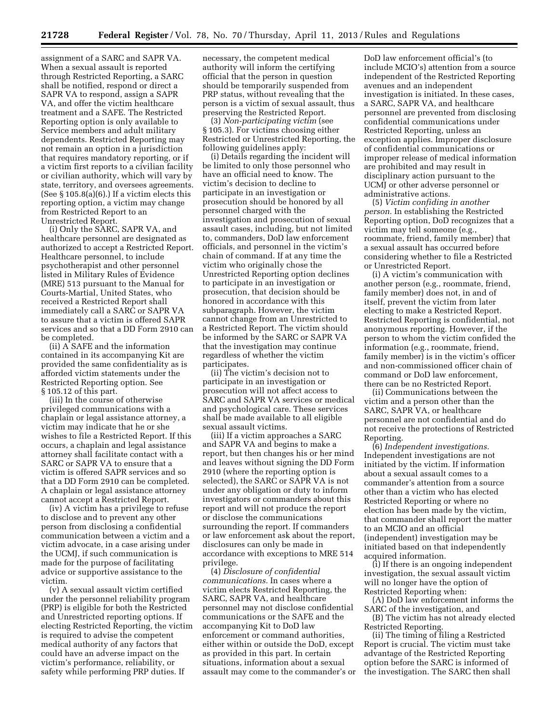assignment of a SARC and SAPR VA. When a sexual assault is reported through Restricted Reporting, a SARC shall be notified, respond or direct a SAPR VA to respond, assign a SAPR VA, and offer the victim healthcare treatment and a SAFE. The Restricted Reporting option is only available to Service members and adult military dependents. Restricted Reporting may not remain an option in a jurisdiction that requires mandatory reporting, or if a victim first reports to a civilian facility or civilian authority, which will vary by state, territory, and oversees agreements. (See  $\S 105.8(a)(6)$ .) If a victim elects this reporting option, a victim may change from Restricted Report to an Unrestricted Report.

(i) Only the SARC, SAPR VA, and healthcare personnel are designated as authorized to accept a Restricted Report. Healthcare personnel, to include psychotherapist and other personnel listed in Military Rules of Evidence (MRE) 513 pursuant to the Manual for Courts-Martial, United States, who received a Restricted Report shall immediately call a SARC or SAPR VA to assure that a victim is offered SAPR services and so that a DD Form 2910 can be completed.

(ii) A SAFE and the information contained in its accompanying Kit are provided the same confidentiality as is afforded victim statements under the Restricted Reporting option. See § 105.12 of this part.

(iii) In the course of otherwise privileged communications with a chaplain or legal assistance attorney, a victim may indicate that he or she wishes to file a Restricted Report. If this occurs, a chaplain and legal assistance attorney shall facilitate contact with a SARC or SAPR VA to ensure that a victim is offered SAPR services and so that a DD Form 2910 can be completed. A chaplain or legal assistance attorney cannot accept a Restricted Report.

(iv) A victim has a privilege to refuse to disclose and to prevent any other person from disclosing a confidential communication between a victim and a victim advocate, in a case arising under the UCMJ, if such communication is made for the purpose of facilitating advice or supportive assistance to the victim.

(v) A sexual assault victim certified under the personnel reliability program (PRP) is eligible for both the Restricted and Unrestricted reporting options. If electing Restricted Reporting, the victim is required to advise the competent medical authority of any factors that could have an adverse impact on the victim's performance, reliability, or safety while performing PRP duties. If

necessary, the competent medical authority will inform the certifying official that the person in question should be temporarily suspended from PRP status, without revealing that the person is a victim of sexual assault, thus preserving the Restricted Report.

(3) *Non-participating victim* (see § 105.3). For victims choosing either Restricted or Unrestricted Reporting, the following guidelines apply:

(i) Details regarding the incident will be limited to only those personnel who have an official need to know. The victim's decision to decline to participate in an investigation or prosecution should be honored by all personnel charged with the investigation and prosecution of sexual assault cases, including, but not limited to, commanders, DoD law enforcement officials, and personnel in the victim's chain of command. If at any time the victim who originally chose the Unrestricted Reporting option declines to participate in an investigation or prosecution, that decision should be honored in accordance with this subparagraph. However, the victim cannot change from an Unrestricted to a Restricted Report. The victim should be informed by the SARC or SAPR VA that the investigation may continue regardless of whether the victim participates.

(ii) The victim's decision not to participate in an investigation or prosecution will not affect access to SARC and SAPR VA services or medical and psychological care. These services shall be made available to all eligible sexual assault victims.

(iii) If a victim approaches a SARC and SAPR VA and begins to make a report, but then changes his or her mind and leaves without signing the DD Form 2910 (where the reporting option is selected), the SARC or SAPR VA is not under any obligation or duty to inform investigators or commanders about this report and will not produce the report or disclose the communications surrounding the report. If commanders or law enforcement ask about the report, disclosures can only be made in accordance with exceptions to MRE 514 privilege.

(4) *Disclosure of confidential communications.* In cases where a victim elects Restricted Reporting, the SARC, SAPR VA, and healthcare personnel may not disclose confidential communications or the SAFE and the accompanying Kit to DoD law enforcement or command authorities, either within or outside the DoD, except as provided in this part. In certain situations, information about a sexual assault may come to the commander's or

DoD law enforcement official's (to include MCIO's) attention from a source independent of the Restricted Reporting avenues and an independent investigation is initiated. In these cases, a SARC, SAPR VA, and healthcare personnel are prevented from disclosing confidential communications under Restricted Reporting, unless an exception applies. Improper disclosure of confidential communications or improper release of medical information are prohibited and may result in disciplinary action pursuant to the UCMJ or other adverse personnel or administrative actions.

(5) *Victim confiding in another person.* In establishing the Restricted Reporting option, DoD recognizes that a victim may tell someone (e.g., roommate, friend, family member) that a sexual assault has occurred before considering whether to file a Restricted or Unrestricted Report.

(i) A victim's communication with another person (e.g., roommate, friend, family member) does not, in and of itself, prevent the victim from later electing to make a Restricted Report. Restricted Reporting is confidential, not anonymous reporting. However, if the person to whom the victim confided the information (e.g., roommate, friend, family member) is in the victim's officer and non-commissioned officer chain of command or DoD law enforcement, there can be no Restricted Report.

(ii) Communications between the victim and a person other than the SARC, SAPR VA, or healthcare personnel are not confidential and do not receive the protections of Restricted Reporting.

(6) *Independent investigations.*  Independent investigations are not initiated by the victim. If information about a sexual assault comes to a commander's attention from a source other than a victim who has elected Restricted Reporting or where no election has been made by the victim, that commander shall report the matter to an MCIO and an official (independent) investigation may be initiated based on that independently acquired information.

(i) If there is an ongoing independent investigation, the sexual assault victim will no longer have the option of Restricted Reporting when:

(A) DoD law enforcement informs the SARC of the investigation, and

(B) The victim has not already elected Restricted Reporting.

(ii) The timing of filing a Restricted Report is crucial. The victim must take advantage of the Restricted Reporting option before the SARC is informed of the investigation. The SARC then shall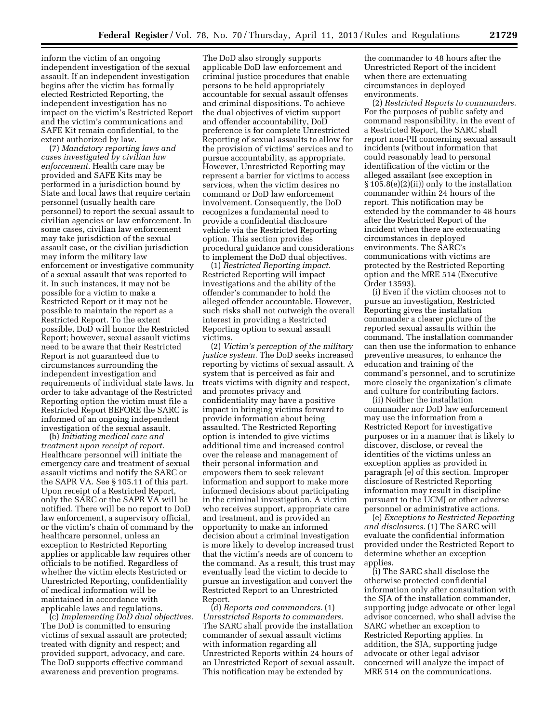inform the victim of an ongoing independent investigation of the sexual assault. If an independent investigation begins after the victim has formally elected Restricted Reporting, the independent investigation has no impact on the victim's Restricted Report and the victim's communications and SAFE Kit remain confidential, to the extent authorized by law.

(7) *Mandatory reporting laws and cases investigated by civilian law enforcement.* Health care may be provided and SAFE Kits may be performed in a jurisdiction bound by State and local laws that require certain personnel (usually health care personnel) to report the sexual assault to civilian agencies or law enforcement. In some cases, civilian law enforcement may take jurisdiction of the sexual assault case, or the civilian jurisdiction may inform the military law enforcement or investigative community of a sexual assault that was reported to it. In such instances, it may not be possible for a victim to make a Restricted Report or it may not be possible to maintain the report as a Restricted Report. To the extent possible, DoD will honor the Restricted Report; however, sexual assault victims need to be aware that their Restricted Report is not guaranteed due to circumstances surrounding the independent investigation and requirements of individual state laws. In order to take advantage of the Restricted Reporting option the victim must file a Restricted Report BEFORE the SARC is informed of an ongoing independent investigation of the sexual assault.

(b) *Initiating medical care and treatment upon receipt of report.*  Healthcare personnel will initiate the emergency care and treatment of sexual assault victims and notify the SARC or the SAPR VA. See § 105.11 of this part. Upon receipt of a Restricted Report, only the SARC or the SAPR VA will be notified. There will be no report to DoD law enforcement, a supervisory official, or the victim's chain of command by the healthcare personnel, unless an exception to Restricted Reporting applies or applicable law requires other officials to be notified. Regardless of whether the victim elects Restricted or Unrestricted Reporting, confidentiality of medical information will be maintained in accordance with applicable laws and regulations.

(c) *Implementing DoD dual objectives.*  The DoD is committed to ensuring victims of sexual assault are protected; treated with dignity and respect; and provided support, advocacy, and care. The DoD supports effective command awareness and prevention programs.

The DoD also strongly supports applicable DoD law enforcement and criminal justice procedures that enable persons to be held appropriately accountable for sexual assault offenses and criminal dispositions. To achieve the dual objectives of victim support and offender accountability, DoD preference is for complete Unrestricted Reporting of sexual assaults to allow for the provision of victims' services and to pursue accountability, as appropriate. However, Unrestricted Reporting may represent a barrier for victims to access services, when the victim desires no command or DoD law enforcement involvement. Consequently, the DoD recognizes a fundamental need to provide a confidential disclosure vehicle via the Restricted Reporting option. This section provides procedural guidance and considerations to implement the DoD dual objectives.

(1) *Restricted Reporting impact.*  Restricted Reporting will impact investigations and the ability of the offender's commander to hold the alleged offender accountable. However, such risks shall not outweigh the overall interest in providing a Restricted Reporting option to sexual assault victims.

(2) *Victim's perception of the military justice system.* The DoD seeks increased reporting by victims of sexual assault. A system that is perceived as fair and treats victims with dignity and respect, and promotes privacy and confidentiality may have a positive impact in bringing victims forward to provide information about being assaulted. The Restricted Reporting option is intended to give victims additional time and increased control over the release and management of their personal information and empowers them to seek relevant information and support to make more informed decisions about participating in the criminal investigation. A victim who receives support, appropriate care and treatment, and is provided an opportunity to make an informed decision about a criminal investigation is more likely to develop increased trust that the victim's needs are of concern to the command. As a result, this trust may eventually lead the victim to decide to pursue an investigation and convert the Restricted Report to an Unrestricted Report.

(d) *Reports and commanders.* (1) *Unrestricted Reports to commanders.*  The SARC shall provide the installation commander of sexual assault victims with information regarding all Unrestricted Reports within 24 hours of an Unrestricted Report of sexual assault. This notification may be extended by

the commander to 48 hours after the Unrestricted Report of the incident when there are extenuating circumstances in deployed environments.

(2) *Restricted Reports to commanders.*  For the purposes of public safety and command responsibility, in the event of a Restricted Report, the SARC shall report non-PII concerning sexual assault incidents (without information that could reasonably lead to personal identification of the victim or the alleged assailant (see exception in § 105.8(e)(2)(ii)) only to the installation commander within 24 hours of the report. This notification may be extended by the commander to 48 hours after the Restricted Report of the incident when there are extenuating circumstances in deployed environments. The SARC's communications with victims are protected by the Restricted Reporting option and the MRE 514 (Executive Order 13593).

(i) Even if the victim chooses not to pursue an investigation, Restricted Reporting gives the installation commander a clearer picture of the reported sexual assaults within the command. The installation commander can then use the information to enhance preventive measures, to enhance the education and training of the command's personnel, and to scrutinize more closely the organization's climate and culture for contributing factors.

(ii) Neither the installation commander nor DoD law enforcement may use the information from a Restricted Report for investigative purposes or in a manner that is likely to discover, disclose, or reveal the identities of the victims unless an exception applies as provided in paragraph (e) of this section. Improper disclosure of Restricted Reporting information may result in discipline pursuant to the UCMJ or other adverse personnel or administrative actions.

(e) *Exceptions to Restricted Reporting and disclosures.* (1) The SARC will evaluate the confidential information provided under the Restricted Report to determine whether an exception applies.

(i) The SARC shall disclose the otherwise protected confidential information only after consultation with the SJA of the installation commander, supporting judge advocate or other legal advisor concerned, who shall advise the SARC whether an exception to Restricted Reporting applies. In addition, the SJA, supporting judge advocate or other legal advisor concerned will analyze the impact of MRE 514 on the communications.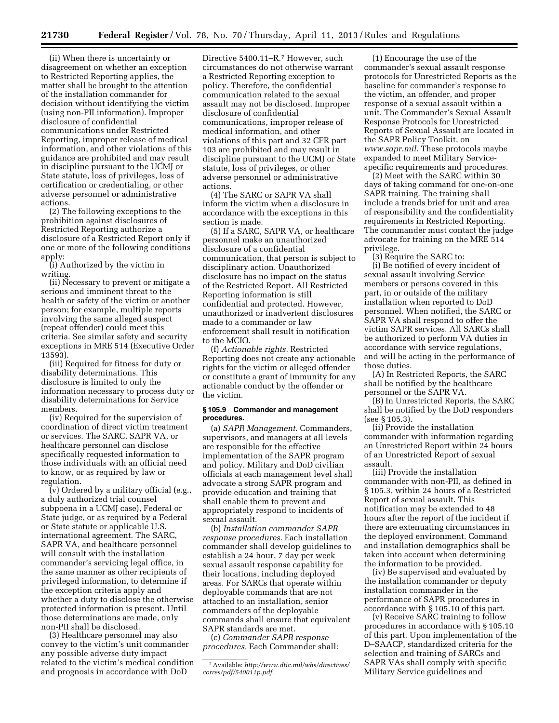(ii) When there is uncertainty or disagreement on whether an exception to Restricted Reporting applies, the matter shall be brought to the attention of the installation commander for decision without identifying the victim (using non-PII information). Improper disclosure of confidential communications under Restricted Reporting, improper release of medical information, and other violations of this guidance are prohibited and may result in discipline pursuant to the UCMJ or State statute, loss of privileges, loss of certification or credentialing, or other adverse personnel or administrative actions.

(2) The following exceptions to the prohibition against disclosures of Restricted Reporting authorize a disclosure of a Restricted Report only if one or more of the following conditions apply:

(i) Authorized by the victim in writing.

(ii) Necessary to prevent or mitigate a serious and imminent threat to the health or safety of the victim or another person; for example, multiple reports involving the same alleged suspect (repeat offender) could meet this criteria. See similar safety and security exceptions in MRE 514 (Executive Order 13593).

(iii) Required for fitness for duty or disability determinations. This disclosure is limited to only the information necessary to process duty or disability determinations for Service members.

(iv) Required for the supervision of coordination of direct victim treatment or services. The SARC, SAPR VA, or healthcare personnel can disclose specifically requested information to those individuals with an official need to know, or as required by law or regulation.

(v) Ordered by a military official (e.g., a duly authorized trial counsel subpoena in a UCMJ case), Federal or State judge, or as required by a Federal or State statute or applicable U.S. international agreement. The SARC, SAPR VA, and healthcare personnel will consult with the installation commander's servicing legal office, in the same manner as other recipients of privileged information, to determine if the exception criteria apply and whether a duty to disclose the otherwise protected information is present. Until those determinations are made, only non-PII shall be disclosed.

(3) Healthcare personnel may also convey to the victim's unit commander any possible adverse duty impact related to the victim's medical condition and prognosis in accordance with DoD

Directive 5400.11–R.<sup>7</sup> However, such circumstances do not otherwise warrant a Restricted Reporting exception to policy. Therefore, the confidential communication related to the sexual assault may not be disclosed. Improper disclosure of confidential communications, improper release of medical information, and other violations of this part and 32 CFR part 103 are prohibited and may result in discipline pursuant to the UCMJ or State statute, loss of privileges, or other adverse personnel or administrative actions.

(4) The SARC or SAPR VA shall inform the victim when a disclosure in accordance with the exceptions in this section is made.

(5) If a SARC, SAPR VA, or healthcare personnel make an unauthorized disclosure of a confidential communication, that person is subject to disciplinary action. Unauthorized disclosure has no impact on the status of the Restricted Report. All Restricted Reporting information is still confidential and protected. However, unauthorized or inadvertent disclosures made to a commander or law enforcement shall result in notification to the MCIO.

(f) *Actionable rights.* Restricted Reporting does not create any actionable rights for the victim or alleged offender or constitute a grant of immunity for any actionable conduct by the offender or the victim.

#### **§ 105.9 Commander and management procedures.**

(a) *SAPR Management.* Commanders, supervisors, and managers at all levels are responsible for the effective implementation of the SAPR program and policy. Military and DoD civilian officials at each management level shall advocate a strong SAPR program and provide education and training that shall enable them to prevent and appropriately respond to incidents of sexual assault.

(b) *Installation commander SAPR response procedures.* Each installation commander shall develop guidelines to establish a 24 hour, 7 day per week sexual assault response capability for their locations, including deployed areas. For SARCs that operate within deployable commands that are not attached to an installation, senior commanders of the deployable commands shall ensure that equivalent SAPR standards are met.

(c) *Commander SAPR response procedures.* Each Commander shall:

(1) Encourage the use of the commander's sexual assault response protocols for Unrestricted Reports as the baseline for commander's response to the victim, an offender, and proper response of a sexual assault within a unit. The Commander's Sexual Assault Response Protocols for Unrestricted Reports of Sexual Assault are located in the SAPR Policy Toolkit, on *[www.sapr.mil.](http://www.sapr.mil)* These protocols maybe expanded to meet Military Servicespecific requirements and procedures.

(2) Meet with the SARC within 30 days of taking command for one-on-one SAPR training. The training shall include a trends brief for unit and area of responsibility and the confidentiality requirements in Restricted Reporting. The commander must contact the judge advocate for training on the MRE 514 privilege.

(3) Require the SARC to:

(i) Be notified of every incident of sexual assault involving Service members or persons covered in this part, in or outside of the military installation when reported to DoD personnel. When notified, the SARC or SAPR VA shall respond to offer the victim SAPR services. All SARCs shall be authorized to perform VA duties in accordance with service regulations, and will be acting in the performance of those duties.

(A) In Restricted Reports, the SARC shall be notified by the healthcare personnel or the SAPR VA.

(B) In Unrestricted Reports, the SARC shall be notified by the DoD responders (see § 105.3).

(ii) Provide the installation commander with information regarding an Unrestricted Report within 24 hours of an Unrestricted Report of sexual assault.

(iii) Provide the installation commander with non-PII, as defined in § 105.3, within 24 hours of a Restricted Report of sexual assault. This notification may be extended to 48 hours after the report of the incident if there are extenuating circumstances in the deployed environment. Command and installation demographics shall be taken into account when determining the information to be provided.

(iv) Be supervised and evaluated by the installation commander or deputy installation commander in the performance of SAPR procedures in accordance with § 105.10 of this part.

(v) Receive SARC training to follow procedures in accordance with § 105.10 of this part. Upon implementation of the D–SAACP, standardized criteria for the selection and training of SARCs and SAPR VAs shall comply with specific Military Service guidelines and

<sup>7</sup>Available: *[http://www.dtic.mil/whs/directives/](http://www.dtic.mil/whs/directives/corres/pdf/540011p.pdf)  [corres/pdf/540011p.pdf.](http://www.dtic.mil/whs/directives/corres/pdf/540011p.pdf)*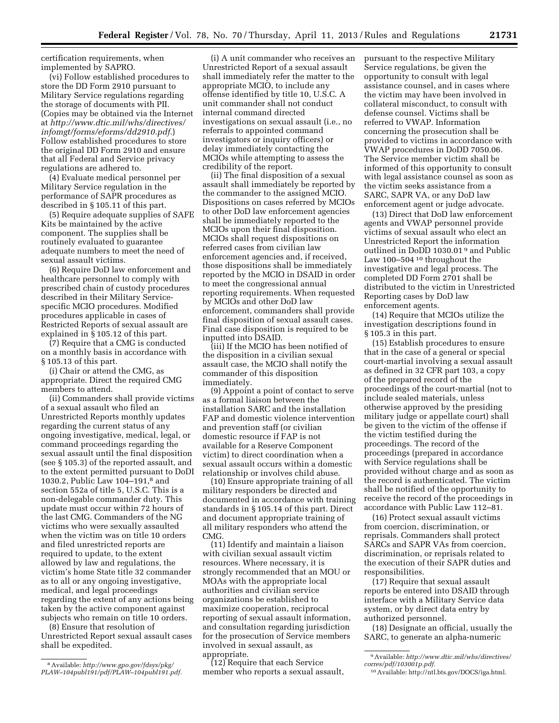certification requirements, when implemented by SAPRO.

(vi) Follow established procedures to store the DD Form 2910 pursuant to Military Service regulations regarding the storage of documents with PII. (Copies may be obtained via the Internet at *[http://www.dtic.mil/whs/directives/](http://www.dtic.mil/whs/directives/infomgt/forms/eforms/dd2910.pdf) [infomgt/forms/eforms/dd2910.pdf.](http://www.dtic.mil/whs/directives/infomgt/forms/eforms/dd2910.pdf)*) Follow established procedures to store the original DD Form 2910 and ensure that all Federal and Service privacy regulations are adhered to.

(4) Evaluate medical personnel per Military Service regulation in the performance of SAPR procedures as described in § 105.11 of this part.

(5) Require adequate supplies of SAFE Kits be maintained by the active component. The supplies shall be routinely evaluated to guarantee adequate numbers to meet the need of sexual assault victims.

(6) Require DoD law enforcement and healthcare personnel to comply with prescribed chain of custody procedures described in their Military Servicespecific MCIO procedures. Modified procedures applicable in cases of Restricted Reports of sexual assault are explained in § 105.12 of this part.

(7) Require that a CMG is conducted on a monthly basis in accordance with § 105.13 of this part.

(i) Chair or attend the CMG, as appropriate. Direct the required CMG members to attend.

(ii) Commanders shall provide victims of a sexual assault who filed an Unrestricted Reports monthly updates regarding the current status of any ongoing investigative, medical, legal, or command proceedings regarding the sexual assault until the final disposition (see § 105.3) of the reported assault, and to the extent permitted pursuant to DoDI 1030.2, Public Law 104–191,8 and section 552a of title 5, U.S.C. This is a non-delegable commander duty. This update must occur within 72 hours of the last CMG. Commanders of the NG victims who were sexually assaulted when the victim was on title 10 orders and filed unrestricted reports are required to update, to the extent allowed by law and regulations, the victim's home State title 32 commander as to all or any ongoing investigative, medical, and legal proceedings regarding the extent of any actions being taken by the active component against subjects who remain on title 10 orders.

(8) Ensure that resolution of Unrestricted Report sexual assault cases shall be expedited.

8Available: *[http://www.gpo.gov/fdsys/pkg/](http://www.gpo.gov/fdsys/pkg/PLAW-104publ191/pdf/PLAW-104publ191.pdf) [PLAW–104publ191/pdf/PLAW–104publ191.pdf.](http://www.gpo.gov/fdsys/pkg/PLAW-104publ191/pdf/PLAW-104publ191.pdf)* 

(i) A unit commander who receives an Unrestricted Report of a sexual assault shall immediately refer the matter to the appropriate MCIO, to include any offense identified by title 10, U.S.C. A unit commander shall not conduct internal command directed investigations on sexual assault (i.e., no referrals to appointed command investigators or inquiry officers) or delay immediately contacting the MCIOs while attempting to assess the credibility of the report.

(ii) The final disposition of a sexual assault shall immediately be reported by the commander to the assigned MCIO. Dispositions on cases referred by MCIOs to other DoD law enforcement agencies shall be immediately reported to the MCIOs upon their final disposition. MCIOs shall request dispositions on referred cases from civilian law enforcement agencies and, if received, those dispositions shall be immediately reported by the MCIO in DSAID in order to meet the congressional annual reporting requirements. When requested by MCIOs and other DoD law enforcement, commanders shall provide final disposition of sexual assault cases. Final case disposition is required to be inputted into DSAID.

(iii) If the MCIO has been notified of the disposition in a civilian sexual assault case, the MCIO shall notify the commander of this disposition immediately.

(9) Appoint a point of contact to serve as a formal liaison between the installation SARC and the installation FAP and domestic violence intervention and prevention staff (or civilian domestic resource if FAP is not available for a Reserve Component victim) to direct coordination when a sexual assault occurs within a domestic relationship or involves child abuse.

(10) Ensure appropriate training of all military responders be directed and documented in accordance with training standards in § 105.14 of this part. Direct and document appropriate training of all military responders who attend the CMG.

(11) Identify and maintain a liaison with civilian sexual assault victim resources. Where necessary, it is strongly recommended that an MOU or MOAs with the appropriate local authorities and civilian service organizations be established to maximize cooperation, reciprocal reporting of sexual assault information, and consultation regarding jurisdiction for the prosecution of Service members involved in sexual assault, as appropriate.

(12) Require that each Service member who reports a sexual assault, pursuant to the respective Military Service regulations, be given the opportunity to consult with legal assistance counsel, and in cases where the victim may have been involved in collateral misconduct, to consult with defense counsel. Victims shall be referred to VWAP. Information concerning the prosecution shall be provided to victims in accordance with VWAP procedures in DoDD 7050.06. The Service member victim shall be informed of this opportunity to consult with legal assistance counsel as soon as the victim seeks assistance from a SARC, SAPR VA, or any DoD law enforcement agent or judge advocate.

(13) Direct that DoD law enforcement agents and VWAP personnel provide victims of sexual assault who elect an Unrestricted Report the information outlined in DoDD 1030.01 9 and Public Law 100–504 10 throughout the investigative and legal process. The completed DD Form 2701 shall be distributed to the victim in Unrestricted Reporting cases by DoD law enforcement agents.

(14) Require that MCIOs utilize the investigation descriptions found in § 105.3 in this part.

(15) Establish procedures to ensure that in the case of a general or special court-martial involving a sexual assault as defined in 32 CFR part 103, a copy of the prepared record of the proceedings of the court-martial (not to include sealed materials, unless otherwise approved by the presiding military judge or appellate court) shall be given to the victim of the offense if the victim testified during the proceedings. The record of the proceedings (prepared in accordance with Service regulations shall be provided without charge and as soon as the record is authenticated. The victim shall be notified of the opportunity to receive the record of the proceedings in accordance with Public Law 112–81.

(16) Protect sexual assault victims from coercion, discrimination, or reprisals. Commanders shall protect SARCs and SAPR VAs from coercion, discrimination, or reprisals related to the execution of their SAPR duties and responsibilities.

(17) Require that sexual assault reports be entered into DSAID through interface with a Military Service data system, or by direct data entry by authorized personnel.

(18) Designate an official, usually the SARC, to generate an alpha-numeric

<sup>9</sup>Available: *[http://www.dtic.mil/whs/directives/](http://www.dtic.mil/whs/directives/corres/pdf/103001p.pdf)  [corres/pdf/103001p.pdf.](http://www.dtic.mil/whs/directives/corres/pdf/103001p.pdf)* 

<sup>10</sup>Available: [http://ntl.bts.gov/DOCS/iga.html.](http://ntl.bts.gov/DOCS/iga.html)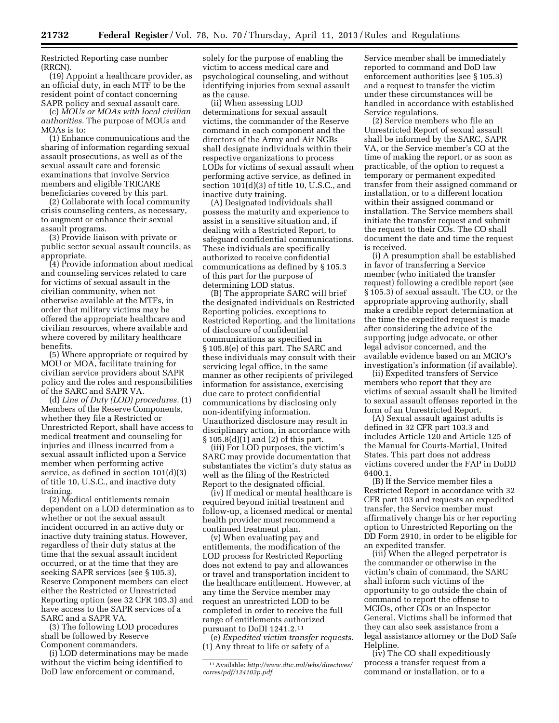Restricted Reporting case number (RRCN).

(19) Appoint a healthcare provider, as an official duty, in each MTF to be the resident point of contact concerning SAPR policy and sexual assault care.

(c) *MOUs or MOAs with local civilian authorities.* The purpose of MOUs and MOAs is to:

(1) Enhance communications and the sharing of information regarding sexual assault prosecutions, as well as of the sexual assault care and forensic examinations that involve Service members and eligible TRICARE beneficiaries covered by this part.

(2) Collaborate with local community crisis counseling centers, as necessary, to augment or enhance their sexual assault programs.

(3) Provide liaison with private or public sector sexual assault councils, as appropriate.

(4) Provide information about medical and counseling services related to care for victims of sexual assault in the civilian community, when not otherwise available at the MTFs, in order that military victims may be offered the appropriate healthcare and civilian resources, where available and where covered by military healthcare benefits.

(5) Where appropriate or required by MOU or MOA, facilitate training for civilian service providers about SAPR policy and the roles and responsibilities of the SARC and SAPR VA.

(d) *Line of Duty (LOD) procedures.* (1) Members of the Reserve Components, whether they file a Restricted or Unrestricted Report, shall have access to medical treatment and counseling for injuries and illness incurred from a sexual assault inflicted upon a Service member when performing active service, as defined in section 101(d)(3) of title 10, U.S.C., and inactive duty training.

(2) Medical entitlements remain dependent on a LOD determination as to whether or not the sexual assault incident occurred in an active duty or inactive duty training status. However, regardless of their duty status at the time that the sexual assault incident occurred, or at the time that they are seeking SAPR services (see § 105.3), Reserve Component members can elect either the Restricted or Unrestricted Reporting option (see 32 CFR 103.3) and have access to the SAPR services of a SARC and a SAPR VA.

(3) The following LOD procedures shall be followed by Reserve Component commanders.

(i) LOD determinations may be made without the victim being identified to DoD law enforcement or command,

solely for the purpose of enabling the victim to access medical care and psychological counseling, and without identifying injuries from sexual assault as the cause.

(ii) When assessing LOD determinations for sexual assault victims, the commander of the Reserve command in each component and the directors of the Army and Air NGBs shall designate individuals within their respective organizations to process LODs for victims of sexual assault when performing active service, as defined in section 101(d)(3) of title 10, U.S.C., and inactive duty training.

(A) Designated individuals shall possess the maturity and experience to assist in a sensitive situation and, if dealing with a Restricted Report, to safeguard confidential communications. These individuals are specifically authorized to receive confidential communications as defined by § 105.3 of this part for the purpose of determining LOD status.

(B) The appropriate SARC will brief the designated individuals on Restricted Reporting policies, exceptions to Restricted Reporting, and the limitations of disclosure of confidential communications as specified in § 105.8(e) of this part. The SARC and these individuals may consult with their servicing legal office, in the same manner as other recipients of privileged information for assistance, exercising due care to protect confidential communications by disclosing only non-identifying information. Unauthorized disclosure may result in disciplinary action, in accordance with § 105.8(d)(1) and (2) of this part.

(iii) For LOD purposes, the victim's SARC may provide documentation that substantiates the victim's duty status as well as the filing of the Restricted Report to the designated official.

(iv) If medical or mental healthcare is required beyond initial treatment and follow-up, a licensed medical or mental health provider must recommend a continued treatment plan.

(v) When evaluating pay and entitlements, the modification of the LOD process for Restricted Reporting does not extend to pay and allowances or travel and transportation incident to the healthcare entitlement. However, at any time the Service member may request an unrestricted LOD to be completed in order to receive the full range of entitlements authorized pursuant to DoDI 1241.2.11

(e) *Expedited victim transfer requests.*  (1) Any threat to life or safety of a

Service member shall be immediately reported to command and DoD law enforcement authorities (see § 105.3) and a request to transfer the victim under these circumstances will be handled in accordance with established Service regulations.

(2) Service members who file an Unrestricted Report of sexual assault shall be informed by the SARC, SAPR VA, or the Service member's CO at the time of making the report, or as soon as practicable, of the option to request a temporary or permanent expedited transfer from their assigned command or installation, or to a different location within their assigned command or installation. The Service members shall initiate the transfer request and submit the request to their COs. The CO shall document the date and time the request is received.

(i) A presumption shall be established in favor of transferring a Service member (who initiated the transfer request) following a credible report (see § 105.3) of sexual assault. The CO, or the appropriate approving authority, shall make a credible report determination at the time the expedited request is made after considering the advice of the supporting judge advocate, or other legal advisor concerned, and the available evidence based on an MCIO's investigation's information (if available).

(ii) Expedited transfers of Service members who report that they are victims of sexual assault shall be limited to sexual assault offenses reported in the form of an Unrestricted Report.

(A) Sexual assault against adults is defined in 32 CFR part 103.3 and includes Article 120 and Article 125 of the Manual for Courts-Martial, United States. This part does not address victims covered under the FAP in DoDD 6400.1.

(B) If the Service member files a Restricted Report in accordance with 32 CFR part 103 and requests an expedited transfer, the Service member must affirmatively change his or her reporting option to Unrestricted Reporting on the DD Form 2910, in order to be eligible for an expedited transfer.

(iii) When the alleged perpetrator is the commander or otherwise in the victim's chain of command, the SARC shall inform such victims of the opportunity to go outside the chain of command to report the offense to MCIOs, other COs or an Inspector General. Victims shall be informed that they can also seek assistance from a legal assistance attorney or the DoD Safe Helpline.

(iv) The CO shall expeditiously process a transfer request from a command or installation, or to a

<sup>11</sup>Available: *[http://www.dtic.mil/whs/directives/](http://www.dtic.mil/whs/directives/corres/pdf/124102p.pdf) [corres/pdf/124102p.pdf](http://www.dtic.mil/whs/directives/corres/pdf/124102p.pdf)*.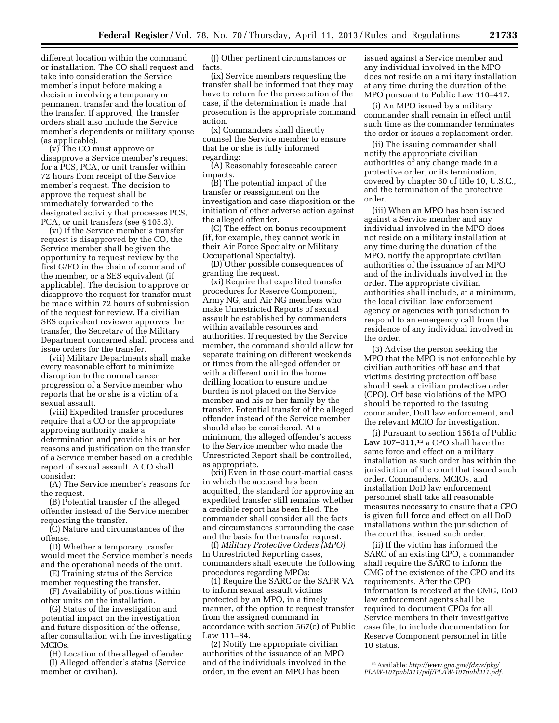different location within the command or installation. The CO shall request and take into consideration the Service member's input before making a decision involving a temporary or permanent transfer and the location of the transfer. If approved, the transfer orders shall also include the Service member's dependents or military spouse (as applicable).

(v) The CO must approve or disapprove a Service member's request for a PCS, PCA, or unit transfer within 72 hours from receipt of the Service member's request. The decision to approve the request shall be immediately forwarded to the designated activity that processes PCS, PCA, or unit transfers (see § 105.3).

(vi) If the Service member's transfer request is disapproved by the CO, the Service member shall be given the opportunity to request review by the first G/FO in the chain of command of the member, or a SES equivalent (if applicable). The decision to approve or disapprove the request for transfer must be made within 72 hours of submission of the request for review. If a civilian SES equivalent reviewer approves the transfer, the Secretary of the Military Department concerned shall process and issue orders for the transfer.

(vii) Military Departments shall make every reasonable effort to minimize disruption to the normal career progression of a Service member who reports that he or she is a victim of a sexual assault.

(viii) Expedited transfer procedures require that a CO or the appropriate approving authority make a determination and provide his or her reasons and justification on the transfer of a Service member based on a credible report of sexual assault. A CO shall consider:

(A) The Service member's reasons for the request.

(B) Potential transfer of the alleged offender instead of the Service member requesting the transfer.

(C) Nature and circumstances of the offense.

(D) Whether a temporary transfer would meet the Service member's needs and the operational needs of the unit.

(E) Training status of the Service member requesting the transfer.

(F) Availability of positions within other units on the installation.

(G) Status of the investigation and potential impact on the investigation and future disposition of the offense, after consultation with the investigating MCIOs.

(H) Location of the alleged offender. (I) Alleged offender's status (Service member or civilian).

(J) Other pertinent circumstances or facts.

(ix) Service members requesting the transfer shall be informed that they may have to return for the prosecution of the case, if the determination is made that prosecution is the appropriate command action.

(x) Commanders shall directly counsel the Service member to ensure that he or she is fully informed regarding:

(A) Reasonably foreseeable career impacts.

(B) The potential impact of the transfer or reassignment on the investigation and case disposition or the initiation of other adverse action against the alleged offender.

(C) The effect on bonus recoupment (if, for example, they cannot work in their Air Force Specialty or Military Occupational Specialty).

(D) Other possible consequences of granting the request.

(xi) Require that expedited transfer procedures for Reserve Component, Army NG, and Air NG members who make Unrestricted Reports of sexual assault be established by commanders within available resources and authorities. If requested by the Service member, the command should allow for separate training on different weekends or times from the alleged offender or with a different unit in the home drilling location to ensure undue burden is not placed on the Service member and his or her family by the transfer. Potential transfer of the alleged offender instead of the Service member should also be considered. At a minimum, the alleged offender's access to the Service member who made the Unrestricted Report shall be controlled, as appropriate.

(xii) Even in those court-martial cases in which the accused has been acquitted, the standard for approving an expedited transfer still remains whether a credible report has been filed. The commander shall consider all the facts and circumstances surrounding the case and the basis for the transfer request.

(f) *Military Protective Orders (MPO).*  In Unrestricted Reporting cases, commanders shall execute the following procedures regarding MPOs:

(1) Require the SARC or the SAPR VA to inform sexual assault victims protected by an MPO, in a timely manner, of the option to request transfer from the assigned command in accordance with section 567(c) of Public Law 111–84.

(2) Notify the appropriate civilian authorities of the issuance of an MPO and of the individuals involved in the order, in the event an MPO has been

issued against a Service member and any individual involved in the MPO does not reside on a military installation at any time during the duration of the MPO pursuant to Public Law 110–417.

(i) An MPO issued by a military commander shall remain in effect until such time as the commander terminates the order or issues a replacement order.

(ii) The issuing commander shall notify the appropriate civilian authorities of any change made in a protective order, or its termination, covered by chapter 80 of title 10, U.S.C., and the termination of the protective order.

(iii) When an MPO has been issued against a Service member and any individual involved in the MPO does not reside on a military installation at any time during the duration of the MPO, notify the appropriate civilian authorities of the issuance of an MPO and of the individuals involved in the order. The appropriate civilian authorities shall include, at a minimum, the local civilian law enforcement agency or agencies with jurisdiction to respond to an emergency call from the residence of any individual involved in the order.

(3) Advise the person seeking the MPO that the MPO is not enforceable by civilian authorities off base and that victims desiring protection off base should seek a civilian protective order (CPO). Off base violations of the MPO should be reported to the issuing commander, DoD law enforcement, and the relevant MCIO for investigation.

(i) Pursuant to section 1561a of Public Law 107–311,12 a CPO shall have the same force and effect on a military installation as such order has within the jurisdiction of the court that issued such order. Commanders, MCIOs, and installation DoD law enforcement personnel shall take all reasonable measures necessary to ensure that a CPO is given full force and effect on all DoD installations within the jurisdiction of the court that issued such order.

(ii) If the victim has informed the SARC of an existing CPO, a commander shall require the SARC to inform the CMG of the existence of the CPO and its requirements. After the CPO information is received at the CMG, DoD law enforcement agents shall be required to document CPOs for all Service members in their investigative case file, to include documentation for Reserve Component personnel in title 10 status.

<sup>12</sup>Available: *[http://www.gpo.gov/fdsys/pkg/](http://www.gpo.gov/fdsys/pkg/PLAW-107publ311/pdf/PLAW-107publ311.pdf) [PLAW-107publ311/pdf/PLAW-107publ311.pdf.](http://www.gpo.gov/fdsys/pkg/PLAW-107publ311/pdf/PLAW-107publ311.pdf)*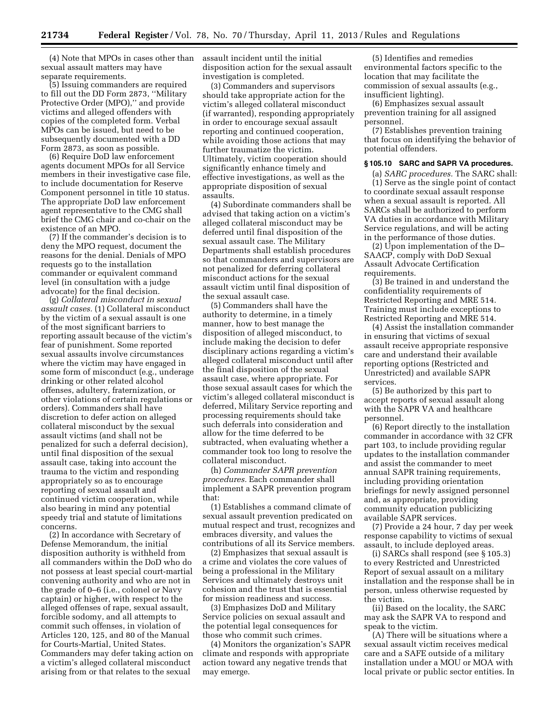(4) Note that MPOs in cases other than sexual assault matters may have separate requirements.

(5) Issuing commanders are required to fill out the DD Form 2873, ''Military Protective Order (MPO),'' and provide victims and alleged offenders with copies of the completed form. Verbal MPOs can be issued, but need to be subsequently documented with a DD Form 2873, as soon as possible.

(6) Require DoD law enforcement agents document MPOs for all Service members in their investigative case file, to include documentation for Reserve Component personnel in title 10 status. The appropriate DoD law enforcement agent representative to the CMG shall brief the CMG chair and co-chair on the existence of an MPO.

(7) If the commander's decision is to deny the MPO request, document the reasons for the denial. Denials of MPO requests go to the installation commander or equivalent command level (in consultation with a judge advocate) for the final decision.

(g) *Collateral misconduct in sexual assault cases.* (1) Collateral misconduct by the victim of a sexual assault is one of the most significant barriers to reporting assault because of the victim's fear of punishment. Some reported sexual assaults involve circumstances where the victim may have engaged in some form of misconduct (e.g., underage drinking or other related alcohol offenses, adultery, fraternization, or other violations of certain regulations or orders). Commanders shall have discretion to defer action on alleged collateral misconduct by the sexual assault victims (and shall not be penalized for such a deferral decision), until final disposition of the sexual assault case, taking into account the trauma to the victim and responding appropriately so as to encourage reporting of sexual assault and continued victim cooperation, while also bearing in mind any potential speedy trial and statute of limitations concerns.

(2) In accordance with Secretary of Defense Memorandum, the initial disposition authority is withheld from all commanders within the DoD who do not possess at least special court-martial convening authority and who are not in the grade of 0–6 (i.e., colonel or Navy captain) or higher, with respect to the alleged offenses of rape, sexual assault, forcible sodomy, and all attempts to commit such offenses, in violation of Articles 120, 125, and 80 of the Manual for Courts-Martial, United States. Commanders may defer taking action on a victim's alleged collateral misconduct arising from or that relates to the sexual

assault incident until the initial disposition action for the sexual assault investigation is completed.

(3) Commanders and supervisors should take appropriate action for the victim's alleged collateral misconduct (if warranted), responding appropriately in order to encourage sexual assault reporting and continued cooperation, while avoiding those actions that may further traumatize the victim. Ultimately, victim cooperation should significantly enhance timely and effective investigations, as well as the appropriate disposition of sexual assaults.

(4) Subordinate commanders shall be advised that taking action on a victim's alleged collateral misconduct may be deferred until final disposition of the sexual assault case. The Military Departments shall establish procedures so that commanders and supervisors are not penalized for deferring collateral misconduct actions for the sexual assault victim until final disposition of the sexual assault case.

(5) Commanders shall have the authority to determine, in a timely manner, how to best manage the disposition of alleged misconduct, to include making the decision to defer disciplinary actions regarding a victim's alleged collateral misconduct until after the final disposition of the sexual assault case, where appropriate. For those sexual assault cases for which the victim's alleged collateral misconduct is deferred, Military Service reporting and processing requirements should take such deferrals into consideration and allow for the time deferred to be subtracted, when evaluating whether a commander took too long to resolve the collateral misconduct.

(h) *Commander SAPR prevention procedures.* Each commander shall implement a SAPR prevention program that:

(1) Establishes a command climate of sexual assault prevention predicated on mutual respect and trust, recognizes and embraces diversity, and values the contributions of all its Service members.

(2) Emphasizes that sexual assault is a crime and violates the core values of being a professional in the Military Services and ultimately destroys unit cohesion and the trust that is essential for mission readiness and success.

(3) Emphasizes DoD and Military Service policies on sexual assault and the potential legal consequences for those who commit such crimes.

(4) Monitors the organization's SAPR climate and responds with appropriate action toward any negative trends that may emerge.

(5) Identifies and remedies environmental factors specific to the location that may facilitate the commission of sexual assaults (e.g., insufficient lighting).

(6) Emphasizes sexual assault prevention training for all assigned personnel.

(7) Establishes prevention training that focus on identifying the behavior of potential offenders.

#### **§ 105.10 SARC and SAPR VA procedures.**

(a) *SARC procedures.* The SARC shall: (1) Serve as the single point of contact to coordinate sexual assault response when a sexual assault is reported. All SARCs shall be authorized to perform VA duties in accordance with Military Service regulations, and will be acting in the performance of those duties.

(2) Upon implementation of the D– SAACP, comply with DoD Sexual Assault Advocate Certification requirements.

(3) Be trained in and understand the confidentiality requirements of Restricted Reporting and MRE 514. Training must include exceptions to Restricted Reporting and MRE 514.

(4) Assist the installation commander in ensuring that victims of sexual assault receive appropriate responsive care and understand their available reporting options (Restricted and Unrestricted) and available SAPR services.

(5) Be authorized by this part to accept reports of sexual assault along with the SAPR VA and healthcare personnel.

(6) Report directly to the installation commander in accordance with 32 CFR part 103, to include providing regular updates to the installation commander and assist the commander to meet annual SAPR training requirements, including providing orientation briefings for newly assigned personnel and, as appropriate, providing community education publicizing available SAPR services.

(7) Provide a 24 hour, 7 day per week response capability to victims of sexual assault, to include deployed areas.

(i) SARCs shall respond (see § 105.3) to every Restricted and Unrestricted Report of sexual assault on a military installation and the response shall be in person, unless otherwise requested by the victim.

(ii) Based on the locality, the SARC may ask the SAPR VA to respond and speak to the victim.

(A) There will be situations where a sexual assault victim receives medical care and a SAFE outside of a military installation under a MOU or MOA with local private or public sector entities. In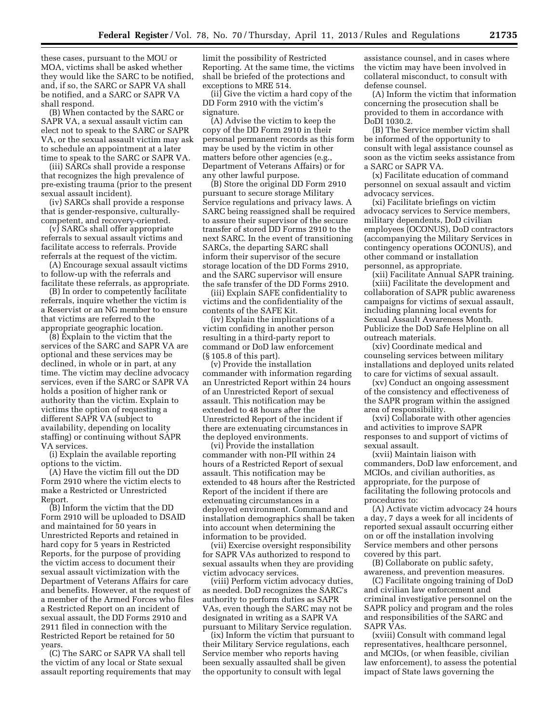these cases, pursuant to the MOU or MOA, victims shall be asked whether they would like the SARC to be notified, and, if so, the SARC or SAPR VA shall be notified, and a SARC or SAPR VA shall respond.

(B) When contacted by the SARC or SAPR VA, a sexual assault victim can elect not to speak to the SARC or SAPR VA, or the sexual assault victim may ask to schedule an appointment at a later time to speak to the SARC or SAPR VA.

(iii) SARCs shall provide a response that recognizes the high prevalence of pre-existing trauma (prior to the present sexual assault incident).

(iv) SARCs shall provide a response that is gender-responsive, culturallycompetent, and recovery-oriented.

(v) SARCs shall offer appropriate referrals to sexual assault victims and facilitate access to referrals. Provide referrals at the request of the victim.

(A) Encourage sexual assault victims to follow-up with the referrals and facilitate these referrals, as appropriate.

(B) In order to competently facilitate referrals, inquire whether the victim is a Reservist or an NG member to ensure that victims are referred to the appropriate geographic location.

(8) Explain to the victim that the services of the SARC and SAPR VA are optional and these services may be declined, in whole or in part, at any time. The victim may decline advocacy services, even if the SARC or SAPR VA holds a position of higher rank or authority than the victim. Explain to victims the option of requesting a different SAPR VA (subject to availability, depending on locality staffing) or continuing without SAPR VA services.

(i) Explain the available reporting options to the victim.

(A) Have the victim fill out the DD Form 2910 where the victim elects to make a Restricted or Unrestricted Report.

(B) Inform the victim that the DD Form 2910 will be uploaded to DSAID and maintained for 50 years in Unrestricted Reports and retained in hard copy for 5 years in Restricted Reports, for the purpose of providing the victim access to document their sexual assault victimization with the Department of Veterans Affairs for care and benefits. However, at the request of a member of the Armed Forces who files a Restricted Report on an incident of sexual assault, the DD Forms 2910 and 2911 filed in connection with the Restricted Report be retained for 50 years.

(C) The SARC or SAPR VA shall tell the victim of any local or State sexual assault reporting requirements that may

limit the possibility of Restricted Reporting. At the same time, the victims shall be briefed of the protections and exceptions to MRE 514.

(ii) Give the victim a hard copy of the DD Form 2910 with the victim's signature.

(A) Advise the victim to keep the copy of the DD Form 2910 in their personal permanent records as this form may be used by the victim in other matters before other agencies (e.g., Department of Veterans Affairs) or for any other lawful purpose.

(B) Store the original DD Form 2910 pursuant to secure storage Military Service regulations and privacy laws. A SARC being reassigned shall be required to assure their supervisor of the secure transfer of stored DD Forms 2910 to the next SARC. In the event of transitioning SARCs, the departing SARC shall inform their supervisor of the secure storage location of the DD Forms 2910, and the SARC supervisor will ensure the safe transfer of the DD Forms 2910.

(iii) Explain SAFE confidentiality to victims and the confidentiality of the contents of the SAFE Kit.

(iv) Explain the implications of a victim confiding in another person resulting in a third-party report to command or DoD law enforcement (§ 105.8 of this part).

(v) Provide the installation commander with information regarding an Unrestricted Report within 24 hours of an Unrestricted Report of sexual assault. This notification may be extended to 48 hours after the Unrestricted Report of the incident if there are extenuating circumstances in the deployed environments.

(vi) Provide the installation commander with non-PII within 24 hours of a Restricted Report of sexual assault. This notification may be extended to 48 hours after the Restricted Report of the incident if there are extenuating circumstances in a deployed environment. Command and installation demographics shall be taken into account when determining the information to be provided.

(vii) Exercise oversight responsibility for SAPR VAs authorized to respond to sexual assaults when they are providing victim advocacy services.

(viii) Perform victim advocacy duties, as needed. DoD recognizes the SARC's authority to perform duties as SAPR VAs, even though the SARC may not be designated in writing as a SAPR VA pursuant to Military Service regulation.

(ix) Inform the victim that pursuant to their Military Service regulations, each Service member who reports having been sexually assaulted shall be given the opportunity to consult with legal

assistance counsel, and in cases where the victim may have been involved in collateral misconduct, to consult with defense counsel.

(A) Inform the victim that information concerning the prosecution shall be provided to them in accordance with DoDI 1030.2.

(B) The Service member victim shall be informed of the opportunity to consult with legal assistance counsel as soon as the victim seeks assistance from a SARC or SAPR VA.

(x) Facilitate education of command personnel on sexual assault and victim advocacy services.

(xi) Facilitate briefings on victim advocacy services to Service members, military dependents, DoD civilian employees (OCONUS), DoD contractors (accompanying the Military Services in contingency operations OCONUS), and other command or installation personnel, as appropriate.

(xii) Facilitate Annual SAPR training. (xiii) Facilitate the development and collaboration of SAPR public awareness campaigns for victims of sexual assault, including planning local events for Sexual Assault Awareness Month. Publicize the DoD Safe Helpline on all outreach materials.

(xiv) Coordinate medical and counseling services between military installations and deployed units related to care for victims of sexual assault.

(xv) Conduct an ongoing assessment of the consistency and effectiveness of the SAPR program within the assigned area of responsibility.

(xvi) Collaborate with other agencies and activities to improve SAPR responses to and support of victims of sexual assault.

(xvii) Maintain liaison with commanders, DoD law enforcement, and MCIOs, and civilian authorities, as appropriate, for the purpose of facilitating the following protocols and procedures to:

(A) Activate victim advocacy 24 hours a day, 7 days a week for all incidents of reported sexual assault occurring either on or off the installation involving Service members and other persons covered by this part.

(B) Collaborate on public safety, awareness, and prevention measures.

(C) Facilitate ongoing training of DoD and civilian law enforcement and criminal investigative personnel on the SAPR policy and program and the roles and responsibilities of the SARC and SAPR VAs.

(xviii) Consult with command legal representatives, healthcare personnel, and MCIOs, (or when feasible, civilian law enforcement), to assess the potential impact of State laws governing the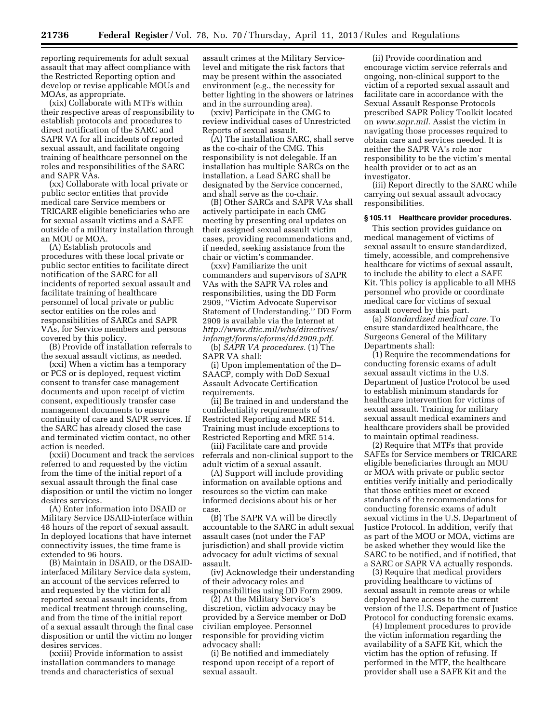reporting requirements for adult sexual assault that may affect compliance with the Restricted Reporting option and develop or revise applicable MOUs and MOAs, as appropriate.

(xix) Collaborate with MTFs within their respective areas of responsibility to establish protocols and procedures to direct notification of the SARC and SAPR VA for all incidents of reported sexual assault, and facilitate ongoing training of healthcare personnel on the roles and responsibilities of the SARC and SAPR VAs.

(xx) Collaborate with local private or public sector entities that provide medical care Service members or TRICARE eligible beneficiaries who are for sexual assault victims and a SAFE outside of a military installation through an MOU or MOA.

(A) Establish protocols and procedures with these local private or public sector entities to facilitate direct notification of the SARC for all incidents of reported sexual assault and facilitate training of healthcare personnel of local private or public sector entities on the roles and responsibilities of SARCs and SAPR VAs, for Service members and persons covered by this policy.

(B) Provide off installation referrals to the sexual assault victims, as needed.

(xxi) When a victim has a temporary or PCS or is deployed, request victim consent to transfer case management documents and upon receipt of victim consent, expeditiously transfer case management documents to ensure continuity of care and SAPR services. If the SARC has already closed the case and terminated victim contact, no other action is needed.

(xxii) Document and track the services referred to and requested by the victim from the time of the initial report of a sexual assault through the final case disposition or until the victim no longer desires services.

(A) Enter information into DSAID or Military Service DSAID-interface within 48 hours of the report of sexual assault. In deployed locations that have internet connectivity issues, the time frame is extended to 96 hours.

(B) Maintain in DSAID, or the DSAIDinterfaced Military Service data system, an account of the services referred to and requested by the victim for all reported sexual assault incidents, from medical treatment through counseling, and from the time of the initial report of a sexual assault through the final case disposition or until the victim no longer desires services.

(xxiii) Provide information to assist installation commanders to manage trends and characteristics of sexual

assault crimes at the Military Servicelevel and mitigate the risk factors that may be present within the associated environment (e.g., the necessity for better lighting in the showers or latrines and in the surrounding area).

(xxiv) Participate in the CMG to review individual cases of Unrestricted Reports of sexual assault.

(A) The installation SARC, shall serve as the co-chair of the CMG. This responsibility is not delegable. If an installation has multiple SARCs on the installation, a Lead SARC shall be designated by the Service concerned, and shall serve as the co-chair.

(B) Other SARCs and SAPR VAs shall actively participate in each CMG meeting by presenting oral updates on their assigned sexual assault victim cases, providing recommendations and, if needed, seeking assistance from the chair or victim's commander.

(xxv) Familiarize the unit commanders and supervisors of SAPR VAs with the SAPR VA roles and responsibilities, using the DD Form 2909, ''Victim Advocate Supervisor Statement of Understanding.'' DD Form 2909 is available via the Internet at *[http://www.dtic.mil/whs/directives/](http://www.dtic.mil/whs/directives/infomgt/forms/eforms/dd2909.pdf) [infomgt/forms/eforms/dd2909.pdf.](http://www.dtic.mil/whs/directives/infomgt/forms/eforms/dd2909.pdf)* 

(b) *SAPR VA procedures.* (1) The SAPR VA shall:

(i) Upon implementation of the D– SAACP, comply with DoD Sexual Assault Advocate Certification requirements.

(ii) Be trained in and understand the confidentiality requirements of Restricted Reporting and MRE 514. Training must include exceptions to Restricted Reporting and MRE 514.

(iii) Facilitate care and provide referrals and non-clinical support to the adult victim of a sexual assault.

(A) Support will include providing information on available options and resources so the victim can make informed decisions about his or her case.

(B) The SAPR VA will be directly accountable to the SARC in adult sexual assault cases (not under the FAP jurisdiction) and shall provide victim advocacy for adult victims of sexual assault.

(iv) Acknowledge their understanding of their advocacy roles and responsibilities using DD Form 2909.

(2) At the Military Service's discretion, victim advocacy may be provided by a Service member or DoD civilian employee. Personnel responsible for providing victim advocacy shall:

(i) Be notified and immediately respond upon receipt of a report of sexual assault.

(ii) Provide coordination and encourage victim service referrals and ongoing, non-clinical support to the victim of a reported sexual assault and facilitate care in accordance with the Sexual Assault Response Protocols prescribed SAPR Policy Toolkit located on *[www.sapr.mil](http://www.sapr.mil)*. Assist the victim in navigating those processes required to obtain care and services needed. It is neither the SAPR VA's role nor responsibility to be the victim's mental health provider or to act as an investigator.

(iii) Report directly to the SARC while carrying out sexual assault advocacy responsibilities.

#### **§ 105.11 Healthcare provider procedures.**

This section provides guidance on medical management of victims of sexual assault to ensure standardized, timely, accessible, and comprehensive healthcare for victims of sexual assault, to include the ability to elect a SAFE Kit. This policy is applicable to all MHS personnel who provide or coordinate medical care for victims of sexual assault covered by this part.

(a) *Standardized medical care.* To ensure standardized healthcare, the Surgeons General of the Military Departments shall:

(1) Require the recommendations for conducting forensic exams of adult sexual assault victims in the U.S. Department of Justice Protocol be used to establish minimum standards for healthcare intervention for victims of sexual assault. Training for military sexual assault medical examiners and healthcare providers shall be provided to maintain optimal readiness.

(2) Require that MTFs that provide SAFEs for Service members or TRICARE eligible beneficiaries through an MOU or MOA with private or public sector entities verify initially and periodically that those entities meet or exceed standards of the recommendations for conducting forensic exams of adult sexual victims in the U.S. Department of Justice Protocol. In addition, verify that as part of the MOU or MOA, victims are be asked whether they would like the SARC to be notified, and if notified, that a SARC or SAPR VA actually responds.

(3) Require that medical providers providing healthcare to victims of sexual assault in remote areas or while deployed have access to the current version of the U.S. Department of Justice Protocol for conducting forensic exams.

(4) Implement procedures to provide the victim information regarding the availability of a SAFE Kit, which the victim has the option of refusing. If performed in the MTF, the healthcare provider shall use a SAFE Kit and the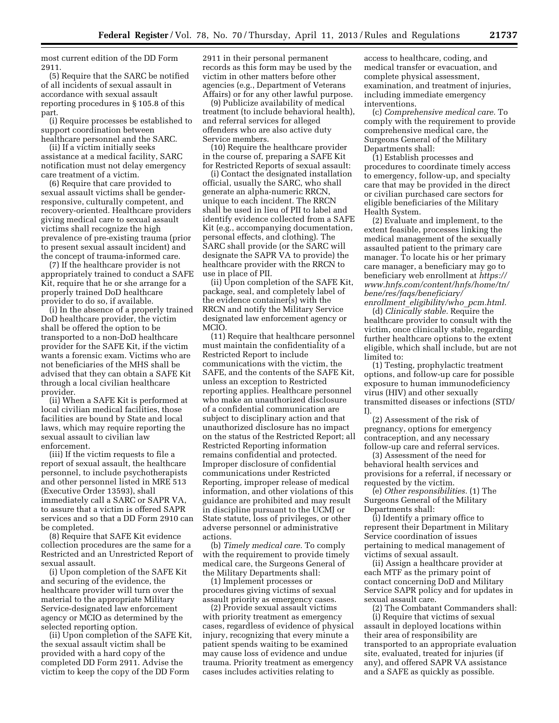most current edition of the DD Form 2911.

(5) Require that the SARC be notified of all incidents of sexual assault in accordance with sexual assault reporting procedures in § 105.8 of this part.

(i) Require processes be established to support coordination between healthcare personnel and the SARC.

(ii) If a victim initially seeks assistance at a medical facility, SARC notification must not delay emergency care treatment of a victim.

(6) Require that care provided to sexual assault victims shall be genderresponsive, culturally competent, and recovery-oriented. Healthcare providers giving medical care to sexual assault victims shall recognize the high prevalence of pre-existing trauma (prior to present sexual assault incident) and the concept of trauma-informed care.

(7) If the healthcare provider is not appropriately trained to conduct a SAFE Kit, require that he or she arrange for a properly trained DoD healthcare provider to do so, if available.

(i) In the absence of a properly trained DoD healthcare provider, the victim shall be offered the option to be transported to a non-DoD healthcare provider for the SAFE Kit, if the victim wants a forensic exam. Victims who are not beneficiaries of the MHS shall be advised that they can obtain a SAFE Kit through a local civilian healthcare provider.

(ii) When a SAFE Kit is performed at local civilian medical facilities, those facilities are bound by State and local laws, which may require reporting the sexual assault to civilian law enforcement.

(iii) If the victim requests to file a report of sexual assault, the healthcare personnel, to include psychotherapists and other personnel listed in MRE 513 (Executive Order 13593), shall immediately call a SARC or SAPR VA, to assure that a victim is offered SAPR services and so that a DD Form 2910 can be completed.

(8) Require that SAFE Kit evidence collection procedures are the same for a Restricted and an Unrestricted Report of sexual assault.

(i) Upon completion of the SAFE Kit and securing of the evidence, the healthcare provider will turn over the material to the appropriate Military Service-designated law enforcement agency or MCIO as determined by the selected reporting option.

(ii) Upon completion of the SAFE Kit, the sexual assault victim shall be provided with a hard copy of the completed DD Form 2911. Advise the victim to keep the copy of the DD Form

2911 in their personal permanent records as this form may be used by the victim in other matters before other agencies (e.g., Department of Veterans Affairs) or for any other lawful purpose.

(9) Publicize availability of medical treatment (to include behavioral health), and referral services for alleged offenders who are also active duty Service members.

(10) Require the healthcare provider in the course of, preparing a SAFE Kit for Restricted Reports of sexual assault:

(i) Contact the designated installation official, usually the SARC, who shall generate an alpha-numeric RRCN, unique to each incident. The RRCN shall be used in lieu of PII to label and identify evidence collected from a SAFE Kit (e.g., accompanying documentation, personal effects, and clothing). The SARC shall provide (or the SARC will designate the SAPR VA to provide) the healthcare provider with the RRCN to use in place of PII.

(ii) Upon completion of the SAFE Kit, package, seal, and completely label of the evidence container(s) with the RRCN and notify the Military Service designated law enforcement agency or MCIO.

(11) Require that healthcare personnel must maintain the confidentiality of a Restricted Report to include communications with the victim, the SAFE, and the contents of the SAFE Kit, unless an exception to Restricted reporting applies. Healthcare personnel who make an unauthorized disclosure of a confidential communication are subject to disciplinary action and that unauthorized disclosure has no impact on the status of the Restricted Report; all Restricted Reporting information remains confidential and protected. Improper disclosure of confidential communications under Restricted Reporting, improper release of medical information, and other violations of this guidance are prohibited and may result in discipline pursuant to the UCMJ or State statute, loss of privileges, or other adverse personnel or administrative actions.

(b) *Timely medical care.* To comply with the requirement to provide timely medical care, the Surgeons General of the Military Departments shall:

(1) Implement processes or procedures giving victims of sexual assault priority as emergency cases.

(2) Provide sexual assault victims with priority treatment as emergency cases, regardless of evidence of physical injury, recognizing that every minute a patient spends waiting to be examined may cause loss of evidence and undue trauma. Priority treatment as emergency cases includes activities relating to

access to healthcare, coding, and medical transfer or evacuation, and complete physical assessment, examination, and treatment of injuries, including immediate emergency interventions.

(c) *Comprehensive medical care.* To comply with the requirement to provide comprehensive medical care, the Surgeons General of the Military Departments shall:

(1) Establish processes and procedures to coordinate timely access to emergency, follow-up, and specialty care that may be provided in the direct or civilian purchased care sectors for eligible beneficiaries of the Military Health System.

(2) Evaluate and implement, to the extent feasible, processes linking the medical management of the sexually assaulted patient to the primary care manager. To locate his or her primary care manager, a beneficiary may go to beneficiary web enrollment at *[https://](https://www.hnfs.com/content/hnfs/home/tn/bene/res/faqs/beneficiary/enrollment_eligibility/who_pcm.html) [www.hnfs.com/content/hnfs/home/tn/](https://www.hnfs.com/content/hnfs/home/tn/bene/res/faqs/beneficiary/enrollment_eligibility/who_pcm.html) [bene/res/faqs/beneficiary/](https://www.hnfs.com/content/hnfs/home/tn/bene/res/faqs/beneficiary/enrollment_eligibility/who_pcm.html) enrollment*\_*[eligibility/who](https://www.hnfs.com/content/hnfs/home/tn/bene/res/faqs/beneficiary/enrollment_eligibility/who_pcm.html)*\_*pcm.html.* 

(d) *Clinically stable.* Require the healthcare provider to consult with the victim, once clinically stable, regarding further healthcare options to the extent eligible, which shall include, but are not limited to:

(1) Testing, prophylactic treatment options, and follow-up care for possible exposure to human immunodeficiency virus (HIV) and other sexually transmitted diseases or infections (STD/ I).

(2) Assessment of the risk of pregnancy, options for emergency contraception, and any necessary follow-up care and referral services.

(3) Assessment of the need for behavioral health services and provisions for a referral, if necessary or requested by the victim.

(e) *Other responsibilities.* (1) The Surgeons General of the Military Departments shall:

(i) Identify a primary office to represent their Department in Military Service coordination of issues pertaining to medical management of victims of sexual assault.

(ii) Assign a healthcare provider at each MTF as the primary point of contact concerning DoD and Military Service SAPR policy and for updates in sexual assault care.

(2) The Combatant Commanders shall: (i) Require that victims of sexual assault in deployed locations within their area of responsibility are transported to an appropriate evaluation site, evaluated, treated for injuries (if any), and offered SAPR VA assistance and a SAFE as quickly as possible.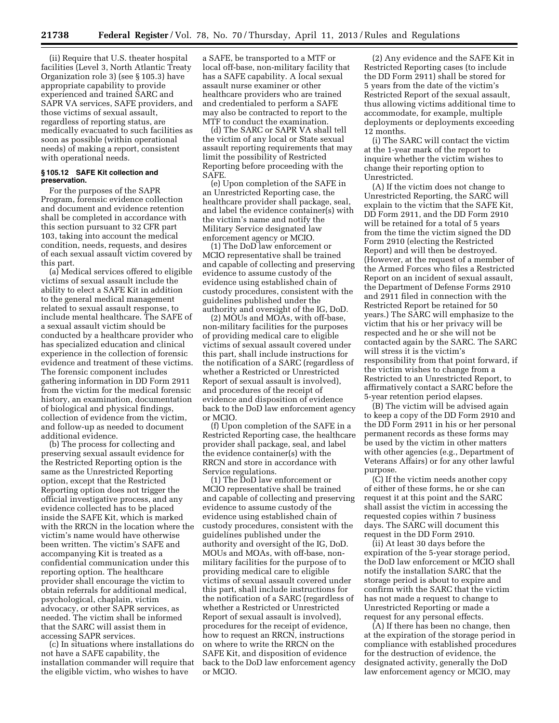(ii) Require that U.S. theater hospital facilities (Level 3, North Atlantic Treaty Organization role 3) (see § 105.3) have appropriate capability to provide experienced and trained SARC and SAPR VA services, SAFE providers, and those victims of sexual assault, regardless of reporting status, are medically evacuated to such facilities as soon as possible (within operational needs) of making a report, consistent with operational needs.

#### **§ 105.12 SAFE Kit collection and preservation.**

For the purposes of the SAPR Program, forensic evidence collection and document and evidence retention shall be completed in accordance with this section pursuant to 32 CFR part 103, taking into account the medical condition, needs, requests, and desires of each sexual assault victim covered by this part.

(a) Medical services offered to eligible victims of sexual assault include the ability to elect a SAFE Kit in addition to the general medical management related to sexual assault response, to include mental healthcare. The SAFE of a sexual assault victim should be conducted by a healthcare provider who has specialized education and clinical experience in the collection of forensic evidence and treatment of these victims. The forensic component includes gathering information in DD Form 2911 from the victim for the medical forensic history, an examination, documentation of biological and physical findings, collection of evidence from the victim, and follow-up as needed to document additional evidence.

(b) The process for collecting and preserving sexual assault evidence for the Restricted Reporting option is the same as the Unrestricted Reporting option, except that the Restricted Reporting option does not trigger the official investigative process, and any evidence collected has to be placed inside the SAFE Kit, which is marked with the RRCN in the location where the victim's name would have otherwise been written. The victim's SAFE and accompanying Kit is treated as a confidential communication under this reporting option. The healthcare provider shall encourage the victim to obtain referrals for additional medical, psychological, chaplain, victim advocacy, or other SAPR services, as needed. The victim shall be informed that the SARC will assist them in accessing SAPR services.

(c) In situations where installations do not have a SAFE capability, the installation commander will require that the eligible victim, who wishes to have

a SAFE, be transported to a MTF or local off-base, non-military facility that has a SAFE capability. A local sexual assault nurse examiner or other healthcare providers who are trained and credentialed to perform a SAFE may also be contracted to report to the MTF to conduct the examination.

(d) The SARC or SAPR VA shall tell the victim of any local or State sexual assault reporting requirements that may limit the possibility of Restricted Reporting before proceeding with the SAFE.

(e) Upon completion of the SAFE in an Unrestricted Reporting case, the healthcare provider shall package, seal, and label the evidence container(s) with the victim's name and notify the Military Service designated law enforcement agency or MCIO.

(1) The DoD law enforcement or MCIO representative shall be trained and capable of collecting and preserving evidence to assume custody of the evidence using established chain of custody procedures, consistent with the guidelines published under the authority and oversight of the IG, DoD.

(2) MOUs and MOAs, with off-base, non-military facilities for the purposes of providing medical care to eligible victims of sexual assault covered under this part, shall include instructions for the notification of a SARC (regardless of whether a Restricted or Unrestricted Report of sexual assault is involved), and procedures of the receipt of evidence and disposition of evidence back to the DoD law enforcement agency or MCIO.

(f) Upon completion of the SAFE in a Restricted Reporting case, the healthcare provider shall package, seal, and label the evidence container(s) with the RRCN and store in accordance with Service regulations.

(1) The DoD law enforcement or MCIO representative shall be trained and capable of collecting and preserving evidence to assume custody of the evidence using established chain of custody procedures, consistent with the guidelines published under the authority and oversight of the IG, DoD. MOUs and MOAs, with off-base, nonmilitary facilities for the purpose of to providing medical care to eligible victims of sexual assault covered under this part, shall include instructions for the notification of a SARC (regardless of whether a Restricted or Unrestricted Report of sexual assault is involved), procedures for the receipt of evidence, how to request an RRCN, instructions on where to write the RRCN on the SAFE Kit, and disposition of evidence back to the DoD law enforcement agency or MCIO.

(2) Any evidence and the SAFE Kit in Restricted Reporting cases (to include the DD Form 2911) shall be stored for 5 years from the date of the victim's Restricted Report of the sexual assault, thus allowing victims additional time to accommodate, for example, multiple deployments or deployments exceeding 12 months.

(i) The SARC will contact the victim at the 1-year mark of the report to inquire whether the victim wishes to change their reporting option to Unrestricted.

(A) If the victim does not change to Unrestricted Reporting, the SARC will explain to the victim that the SAFE Kit, DD Form 2911, and the DD Form 2910 will be retained for a total of 5 years from the time the victim signed the DD Form 2910 (electing the Restricted Report) and will then be destroyed. (However, at the request of a member of the Armed Forces who files a Restricted Report on an incident of sexual assault, the Department of Defense Forms 2910 and 2911 filed in connection with the Restricted Report be retained for 50 years.) The SARC will emphasize to the victim that his or her privacy will be respected and he or she will not be contacted again by the SARC. The SARC will stress it is the victim's responsibility from that point forward, if the victim wishes to change from a Restricted to an Unrestricted Report, to affirmatively contact a SARC before the 5-year retention period elapses.

(B) The victim will be advised again to keep a copy of the DD Form 2910 and the DD Form 2911 in his or her personal permanent records as these forms may be used by the victim in other matters with other agencies (e.g., Department of Veterans Affairs) or for any other lawful purpose.

(C) If the victim needs another copy of either of these forms, he or she can request it at this point and the SARC shall assist the victim in accessing the requested copies within 7 business days. The SARC will document this request in the DD Form 2910.

(ii) At least 30 days before the expiration of the 5-year storage period, the DoD law enforcement or MCIO shall notify the installation SARC that the storage period is about to expire and confirm with the SARC that the victim has not made a request to change to Unrestricted Reporting or made a request for any personal effects.

(A) If there has been no change, then at the expiration of the storage period in compliance with established procedures for the destruction of evidence, the designated activity, generally the DoD law enforcement agency or MCIO, may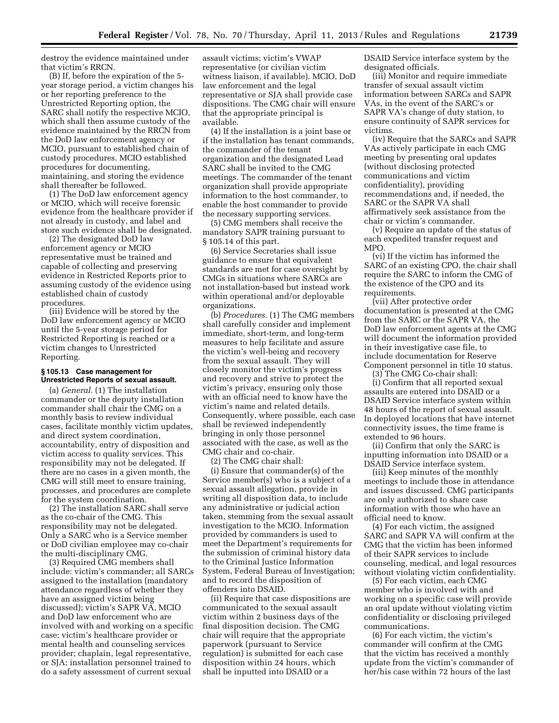destroy the evidence maintained under that victim's RRCN.

(B) If, before the expiration of the 5 year storage period, a victim changes his or her reporting preference to the Unrestricted Reporting option, the SARC shall notify the respective MCIO, which shall then assume custody of the evidence maintained by the RRCN from the DoD law enforcement agency or MCIO, pursuant to established chain of custody procedures. MCIO established procedures for documenting, maintaining, and storing the evidence shall thereafter be followed.

(1) The DoD law enforcement agency or MCIO, which will receive forensic evidence from the healthcare provider if not already in custody, and label and store such evidence shall be designated.

(2) The designated DoD law enforcement agency or MCIO representative must be trained and capable of collecting and preserving evidence in Restricted Reports prior to assuming custody of the evidence using established chain of custody procedures.

(iii) Evidence will be stored by the DoD law enforcement agency or MCIO until the 5-year storage period for Restricted Reporting is reached or a victim changes to Unrestricted Reporting.

#### **§ 105.13 Case management for Unrestricted Reports of sexual assault.**

(a) *General.* (1) The installation commander or the deputy installation commander shall chair the CMG on a monthly basis to review individual cases, facilitate monthly victim updates, and direct system coordination, accountability, entry of disposition and victim access to quality services. This responsibility may not be delegated. If there are no cases in a given month, the CMG will still meet to ensure training, processes, and procedures are complete for the system coordination.

(2) The installation SARC shall serve as the co-chair of the CMG. This responsibility may not be delegated. Only a SARC who is a Service member or DoD civilian employee may co-chair the multi-disciplinary CMG.

(3) Required CMG members shall include: victim's commander; all SARCs assigned to the installation (mandatory attendance regardless of whether they have an assigned victim being discussed); victim's SAPR VA, MCIO and DoD law enforcement who are involved with and working on a specific case; victim's healthcare provider or mental health and counseling services provider; chaplain, legal representative, or SJA; installation personnel trained to do a safety assessment of current sexual

assault victims; victim's VWAP representative (or civilian victim witness liaison, if available). MCIO, DoD law enforcement and the legal representative or SJA shall provide case dispositions. The CMG chair will ensure that the appropriate principal is available.

(4) If the installation is a joint base or if the installation has tenant commands, the commander of the tenant organization and the designated Lead SARC shall be invited to the CMG meetings. The commander of the tenant organization shall provide appropriate information to the host commander, to enable the host commander to provide the necessary supporting services.

(5) CMG members shall receive the mandatory SAPR training pursuant to § 105.14 of this part.

(6) Service Secretaries shall issue guidance to ensure that equivalent standards are met for case oversight by CMGs in situations where SARCs are not installation-based but instead work within operational and/or deployable organizations.

(b) *Procedures.* (1) The CMG members shall carefully consider and implement immediate, short-term, and long-term measures to help facilitate and assure the victim's well-being and recovery from the sexual assault. They will closely monitor the victim's progress and recovery and strive to protect the victim's privacy, ensuring only those with an official need to know have the victim's name and related details. Consequently, where possible, each case shall be reviewed independently bringing in only those personnel associated with the case, as well as the CMG chair and co-chair.

(2) The CMG chair shall:

(i) Ensure that commander(s) of the Service member(s) who is a subject of a sexual assault allegation, provide in writing all disposition data, to include any administrative or judicial action taken, stemming from the sexual assault investigation to the MCIO. Information provided by commanders is used to meet the Department's requirements for the submission of criminal history data to the Criminal Justice Information System, Federal Bureau of Investigation; and to record the disposition of offenders into DSAID.

(ii) Require that case dispositions are communicated to the sexual assault victim within 2 business days of the final disposition decision. The CMG chair will require that the appropriate paperwork (pursuant to Service regulation) is submitted for each case disposition within 24 hours, which shall be inputted into DSAID or a

DSAID Service interface system by the designated officials.

(iii) Monitor and require immediate transfer of sexual assault victim information between SARCs and SAPR VAs, in the event of the SARC's or SAPR VA's change of duty station, to ensure continuity of SAPR services for victims.

(iv) Require that the SARCs and SAPR VAs actively participate in each CMG meeting by presenting oral updates (without disclosing protected communications and victim confidentiality), providing recommendations and, if needed, the SARC or the SAPR VA shall affirmatively seek assistance from the chair or victim's commander.

(v) Require an update of the status of each expedited transfer request and MPO.

(vi) If the victim has informed the SARC of an existing CPO, the chair shall require the SARC to inform the CMG of the existence of the CPO and its requirements.

(vii) After protective order documentation is presented at the CMG from the SARC or the SAPR VA, the DoD law enforcement agents at the CMG will document the information provided in their investigative case file, to include documentation for Reserve Component personnel in title 10 status.

(3) The CMG Co-chair shall: (i) Confirm that all reported sexual assaults are entered into DSAID or a DSAID Service interface system within 48 hours of the report of sexual assault. In deployed locations that have internet connectivity issues, the time frame is extended to 96 hours.

(ii) Confirm that only the SARC is inputting information into DSAID or a DSAID Service interface system.

(iii) Keep minutes of the monthly meetings to include those in attendance and issues discussed. CMG participants are only authorized to share case information with those who have an official need to know.

(4) For each victim, the assigned SARC and SAPR VA will confirm at the CMG that the victim has been informed of their SAPR services to include counseling, medical, and legal resources without violating victim confidentiality.

(5) For each victim, each CMG member who is involved with and working on a specific case will provide an oral update without violating victim confidentiality or disclosing privileged communications.

(6) For each victim, the victim's commander will confirm at the CMG that the victim has received a monthly update from the victim's commander of her/his case within 72 hours of the last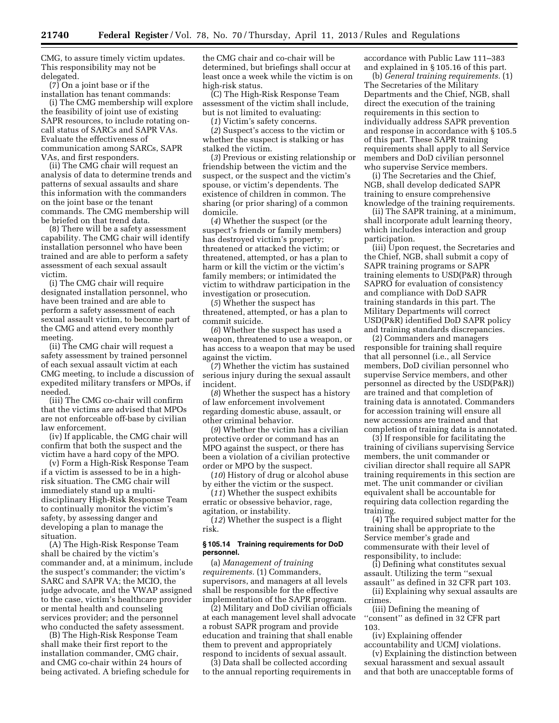CMG, to assure timely victim updates. This responsibility may not be delegated.

(7) On a joint base or if the installation has tenant commands:

(i) The CMG membership will explore the feasibility of joint use of existing SAPR resources, to include rotating oncall status of SARCs and SAPR VAs. Evaluate the effectiveness of communication among SARCs, SAPR VAs, and first responders.

(ii) The CMG chair will request an analysis of data to determine trends and patterns of sexual assaults and share this information with the commanders on the joint base or the tenant commands. The CMG membership will be briefed on that trend data.

(8) There will be a safety assessment capability. The CMG chair will identify installation personnel who have been trained and are able to perform a safety assessment of each sexual assault victim.

(i) The CMG chair will require designated installation personnel, who have been trained and are able to perform a safety assessment of each sexual assault victim, to become part of the CMG and attend every monthly meeting.

(ii) The CMG chair will request a safety assessment by trained personnel of each sexual assault victim at each CMG meeting, to include a discussion of expedited military transfers or MPOs, if needed.

(iii) The CMG co-chair will confirm that the victims are advised that MPOs are not enforceable off-base by civilian law enforcement.

(iv) If applicable, the CMG chair will confirm that both the suspect and the victim have a hard copy of the MPO.

(v) Form a High-Risk Response Team if a victim is assessed to be in a highrisk situation. The CMG chair will immediately stand up a multidisciplinary High-Risk Response Team to continually monitor the victim's safety, by assessing danger and developing a plan to manage the situation.

(A) The High-Risk Response Team shall be chaired by the victim's commander and, at a minimum, include the suspect's commander; the victim's SARC and SAPR VA; the MCIO, the judge advocate, and the VWAP assigned to the case, victim's healthcare provider or mental health and counseling services provider; and the personnel who conducted the safety assessment.

(B) The High-Risk Response Team shall make their first report to the installation commander, CMG chair, and CMG co-chair within 24 hours of being activated. A briefing schedule for the CMG chair and co-chair will be determined, but briefings shall occur at least once a week while the victim is on high-risk status.

(C) The High-Risk Response Team assessment of the victim shall include, but is not limited to evaluating:

(*1*) Victim's safety concerns.

(*2*) Suspect's access to the victim or whether the suspect is stalking or has stalked the victim.

(*3*) Previous or existing relationship or friendship between the victim and the suspect, or the suspect and the victim's spouse, or victim's dependents. The existence of children in common. The sharing (or prior sharing) of a common domicile.

(*4*) Whether the suspect (or the suspect's friends or family members) has destroyed victim's property; threatened or attacked the victim; or threatened, attempted, or has a plan to harm or kill the victim or the victim's family members; or intimidated the victim to withdraw participation in the investigation or prosecution.

(*5*) Whether the suspect has threatened, attempted, or has a plan to commit suicide.

(*6*) Whether the suspect has used a weapon, threatened to use a weapon, or has access to a weapon that may be used against the victim.

(*7*) Whether the victim has sustained serious injury during the sexual assault incident.

(*8*) Whether the suspect has a history of law enforcement involvement regarding domestic abuse, assault, or other criminal behavior.

(*9*) Whether the victim has a civilian protective order or command has an MPO against the suspect, or there has been a violation of a civilian protective order or MPO by the suspect.

(*10*) History of drug or alcohol abuse by either the victim or the suspect.

(*11*) Whether the suspect exhibits erratic or obsessive behavior, rage, agitation, or instability.

(*12*) Whether the suspect is a flight risk.

#### **§ 105.14 Training requirements for DoD personnel.**

(a) *Management of training requirements.* (1) Commanders, supervisors, and managers at all levels shall be responsible for the effective implementation of the SAPR program.

(2) Military and DoD civilian officials at each management level shall advocate a robust SAPR program and provide education and training that shall enable them to prevent and appropriately respond to incidents of sexual assault.

(3) Data shall be collected according to the annual reporting requirements in accordance with Public Law 111–383 and explained in § 105.16 of this part.

(b) *General training requirements.* (1) The Secretaries of the Military Departments and the Chief, NGB, shall direct the execution of the training requirements in this section to individually address SAPR prevention and response in accordance with § 105.5 of this part. These SAPR training requirements shall apply to all Service members and DoD civilian personnel who supervise Service members.

(i) The Secretaries and the Chief, NGB, shall develop dedicated SAPR training to ensure comprehensive knowledge of the training requirements.

(ii) The SAPR training, at a minimum, shall incorporate adult learning theory, which includes interaction and group participation.

(iii) Upon request, the Secretaries and the Chief, NGB, shall submit a copy of SAPR training programs or SAPR training elements to USD(P&R) through SAPRO for evaluation of consistency and compliance with DoD SAPR training standards in this part. The Military Departments will correct USD(P&R) identified DoD SAPR policy and training standards discrepancies.

(2) Commanders and managers responsible for training shall require that all personnel (i.e., all Service members, DoD civilian personnel who supervise Service members, and other personnel as directed by the USD(P&R)) are trained and that completion of training data is annotated. Commanders for accession training will ensure all new accessions are trained and that completion of training data is annotated.

(3) If responsible for facilitating the training of civilians supervising Service members, the unit commander or civilian director shall require all SAPR training requirements in this section are met. The unit commander or civilian equivalent shall be accountable for requiring data collection regarding the training.

(4) The required subject matter for the training shall be appropriate to the Service member's grade and commensurate with their level of responsibility, to include:

(i) Defining what constitutes sexual assault. Utilizing the term ''sexual assault'' as defined in 32 CFR part 103.

(ii) Explaining why sexual assaults are crimes.

(iii) Defining the meaning of ''consent'' as defined in 32 CFR part 103.

(iv) Explaining offender accountability and UCMJ violations.

(v) Explaining the distinction between sexual harassment and sexual assault and that both are unacceptable forms of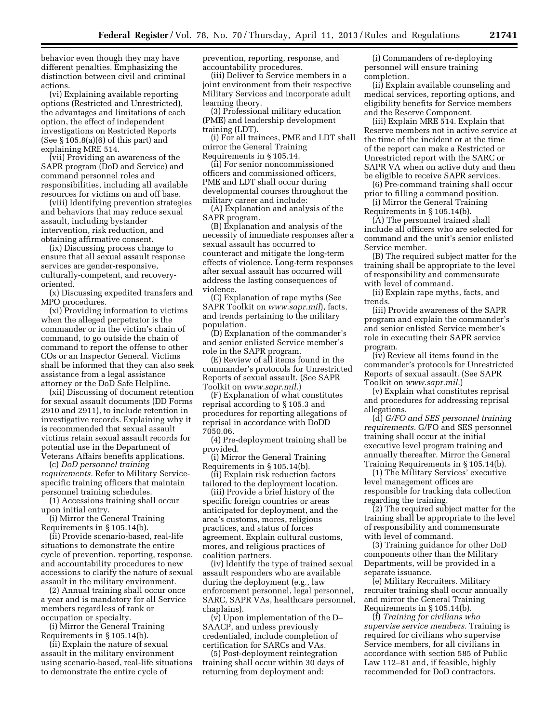behavior even though they may have different penalties. Emphasizing the distinction between civil and criminal actions.

(vi) Explaining available reporting options (Restricted and Unrestricted), the advantages and limitations of each option, the effect of independent investigations on Restricted Reports (See § 105.8(a)(6) of this part) and explaining MRE 514.

(vii) Providing an awareness of the SAPR program (DoD and Service) and command personnel roles and responsibilities, including all available resources for victims on and off base.

(viii) Identifying prevention strategies and behaviors that may reduce sexual assault, including bystander intervention, risk reduction, and obtaining affirmative consent.

(ix) Discussing process change to ensure that all sexual assault response services are gender-responsive, culturally-competent, and recoveryoriented.

(x) Discussing expedited transfers and MPO procedures.

(xi) Providing information to victims when the alleged perpetrator is the commander or in the victim's chain of command, to go outside the chain of command to report the offense to other COs or an Inspector General. Victims shall be informed that they can also seek assistance from a legal assistance attorney or the DoD Safe Helpline.

(xii) Discussing of document retention for sexual assault documents (DD Forms 2910 and 2911), to include retention in investigative records. Explaining why it is recommended that sexual assault victims retain sexual assault records for potential use in the Department of Veterans Affairs benefits applications.

(c) *DoD personnel training requirements.* Refer to Military Servicespecific training officers that maintain personnel training schedules.

(1) Accessions training shall occur upon initial entry.

(i) Mirror the General Training Requirements in § 105.14(b).

(ii) Provide scenario-based, real-life situations to demonstrate the entire cycle of prevention, reporting, response, and accountability procedures to new accessions to clarify the nature of sexual assault in the military environment.

(2) Annual training shall occur once a year and is mandatory for all Service members regardless of rank or occupation or specialty.

(i) Mirror the General Training Requirements in § 105.14(b).

(ii) Explain the nature of sexual assault in the military environment using scenario-based, real-life situations to demonstrate the entire cycle of

prevention, reporting, response, and accountability procedures.

(iii) Deliver to Service members in a joint environment from their respective Military Services and incorporate adult learning theory.

(3) Professional military education (PME) and leadership development training (LDT).

(i) For all trainees, PME and LDT shall mirror the General Training Requirements in § 105.14.

(ii) For senior noncommissioned officers and commissioned officers, PME and LDT shall occur during developmental courses throughout the military career and include:

(A) Explanation and analysis of the SAPR program.

(B) Explanation and analysis of the necessity of immediate responses after a sexual assault has occurred to counteract and mitigate the long-term effects of violence. Long-term responses after sexual assault has occurred will address the lasting consequences of violence.

(C) Explanation of rape myths (See SAPR Toolkit on *[www.sapr.mil](http://www.sapr.mil)*), facts, and trends pertaining to the military population.

(D) Explanation of the commander's and senior enlisted Service member's role in the SAPR program.

(E) Review of all items found in the commander's protocols for Unrestricted Reports of sexual assault. (See SAPR Toolkit on *[www.sapr.mil.](http://www.sapr.mil)*)

(F) Explanation of what constitutes reprisal according to § 105.3 and procedures for reporting allegations of reprisal in accordance with DoDD 7050.06.

(4) Pre-deployment training shall be provided.

(i) Mirror the General Training Requirements in § 105.14(b).

(ii) Explain risk reduction factors tailored to the deployment location.

(iii) Provide a brief history of the specific foreign countries or areas anticipated for deployment, and the area's customs, mores, religious practices, and status of forces agreement. Explain cultural customs, mores, and religious practices of coalition partners.

(iv) Identify the type of trained sexual assault responders who are available during the deployment (e.g., law enforcement personnel, legal personnel, SARC, SAPR VAs, healthcare personnel, chaplains).

(v) Upon implementation of the D– SAACP, and unless previously credentialed, include completion of certification for SARCs and VAs.

(5) Post-deployment reintegration training shall occur within 30 days of returning from deployment and:

(i) Commanders of re-deploying personnel will ensure training completion.

(ii) Explain available counseling and medical services, reporting options, and eligibility benefits for Service members and the Reserve Component.

(iii) Explain MRE 514. Explain that Reserve members not in active service at the time of the incident or at the time of the report can make a Restricted or Unrestricted report with the SARC or SAPR VA when on active duty and then be eligible to receive SAPR services.

(6) Pre-command training shall occur prior to filling a command position.

(i) Mirror the General Training Requirements in § 105.14(b).

(A) The personnel trained shall include all officers who are selected for command and the unit's senior enlisted Service member.

(B) The required subject matter for the training shall be appropriate to the level of responsibility and commensurate with level of command.

(ii) Explain rape myths, facts, and trends.

(iii) Provide awareness of the SAPR program and explain the commander's and senior enlisted Service member's role in executing their SAPR service program.

(iv) Review all items found in the commander's protocols for Unrestricted Reports of sexual assault. (See SAPR Toolkit on *[www.sapr.mil.](http://www.sapr.mil)*)

(v) Explain what constitutes reprisal and procedures for addressing reprisal allegations.

(d) *G/FO and SES personnel training requirements.* G/FO and SES personnel training shall occur at the initial executive level program training and annually thereafter. Mirror the General Training Requirements in § 105.14(b).

(1) The Military Services' executive level management offices are responsible for tracking data collection regarding the training.

(2) The required subject matter for the training shall be appropriate to the level of responsibility and commensurate with level of command.

(3) Training guidance for other DoD components other than the Military Departments, will be provided in a separate issuance.

(e) Military Recruiters. Military recruiter training shall occur annually and mirror the General Training Requirements in § 105.14(b).

(f) *Training for civilians who supervise service members.* Training is required for civilians who supervise Service members, for all civilians in accordance with section 585 of Public Law 112–81 and, if feasible, highly recommended for DoD contractors.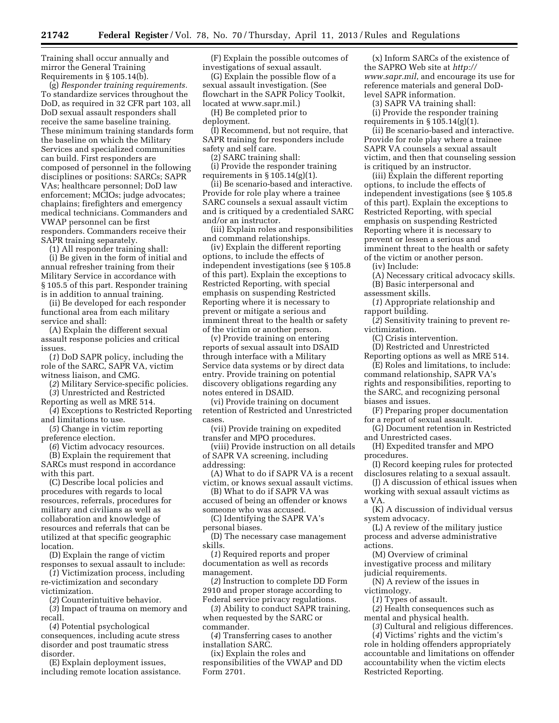Training shall occur annually and mirror the General Training Requirements in § 105.14(b).

(g) *Responder training requirements.*  To standardize services throughout the DoD, as required in 32 CFR part 103, all DoD sexual assault responders shall receive the same baseline training. These minimum training standards form the baseline on which the Military Services and specialized communities can build. First responders are composed of personnel in the following disciplines or positions: SARCs; SAPR VAs; healthcare personnel; DoD law enforcement; MCIOs; judge advocates; chaplains; firefighters and emergency medical technicians. Commanders and VWAP personnel can be first responders. Commanders receive their SAPR training separately.

(1) All responder training shall:

(i) Be given in the form of initial and annual refresher training from their Military Service in accordance with § 105.5 of this part. Responder training is in addition to annual training.

(ii) Be developed for each responder functional area from each military service and shall:

(A) Explain the different sexual assault response policies and critical issues.

(*1*) DoD SAPR policy, including the role of the SARC, SAPR VA, victim witness liaison, and CMG.

(*2*) Military Service-specific policies. (*3*) Unrestricted and Restricted

Reporting as well as MRE 514.

(*4*) Exceptions to Restricted Reporting and limitations to use.

(*5*) Change in victim reporting preference election.

(*6*) Victim advocacy resources.

(B) Explain the requirement that SARCs must respond in accordance with this part.

(C) Describe local policies and procedures with regards to local resources, referrals, procedures for military and civilians as well as collaboration and knowledge of resources and referrals that can be utilized at that specific geographic location.

(D) Explain the range of victim responses to sexual assault to include:

(*1*) Victimization process, including re-victimization and secondary victimization.

(*2*) Counterintuitive behavior.

(*3*) Impact of trauma on memory and recall.

(*4*) Potential psychological consequences, including acute stress disorder and post traumatic stress disorder.

(E) Explain deployment issues, including remote location assistance.

(F) Explain the possible outcomes of investigations of sexual assault.

(G) Explain the possible flow of a sexual assault investigation. (See flowchart in the SAPR Policy Toolkit, located at [www.sapr.mil.\)](http://www.sapr.mil) 

(H) Be completed prior to deployment.

(I) Recommend, but not require, that SAPR training for responders include safety and self care.

(2) SARC training shall:

(i) Provide the responder training requirements in  $\S 105.14(g)(1)$ .

(ii) Be scenario-based and interactive. Provide for role play where a trainee SARC counsels a sexual assault victim and is critiqued by a credentialed SARC and/or an instructor.

(iii) Explain roles and responsibilities and command relationships.

(iv) Explain the different reporting options, to include the effects of independent investigations (see § 105.8 of this part). Explain the exceptions to Restricted Reporting, with special emphasis on suspending Restricted Reporting where it is necessary to prevent or mitigate a serious and imminent threat to the health or safety of the victim or another person.

(v) Provide training on entering reports of sexual assault into DSAID through interface with a Military Service data systems or by direct data entry. Provide training on potential discovery obligations regarding any notes entered in DSAID.

(vi) Provide training on document retention of Restricted and Unrestricted cases.

(vii) Provide training on expedited transfer and MPO procedures.

(viii) Provide instruction on all details of SAPR VA screening, including addressing:

(A) What to do if SAPR VA is a recent victim, or knows sexual assault victims.

(B) What to do if SAPR VA was accused of being an offender or knows someone who was accused.

(C) Identifying the SAPR VA's personal biases.

(D) The necessary case management skills.

(*1*) Required reports and proper documentation as well as records management.

(*2*) Instruction to complete DD Form 2910 and proper storage according to Federal service privacy regulations.

(*3*) Ability to conduct SAPR training, when requested by the SARC or commander.

(*4*) Transferring cases to another installation SARC.

(ix) Explain the roles and responsibilities of the VWAP and DD Form 2701.

(x) Inform SARCs of the existence of the SAPRO Web site at *[http://](http://www.sapr.mil) [www.sapr.mil](http://www.sapr.mil)*, and encourage its use for reference materials and general DoDlevel SAPR information.

(3) SAPR VA training shall:

(i) Provide the responder training requirements in  $\S 105.14(g)(1)$ .

(ii) Be scenario-based and interactive. Provide for role play where a trainee SAPR VA counsels a sexual assault victim, and then that counseling session is critiqued by an instructor.

(iii) Explain the different reporting options, to include the effects of independent investigations (see § 105.8 of this part). Explain the exceptions to Restricted Reporting, with special emphasis on suspending Restricted Reporting where it is necessary to prevent or lessen a serious and imminent threat to the health or safety of the victim or another person.

(iv) Include:

(A) Necessary critical advocacy skills.

(B) Basic interpersonal and

assessment skills.

(*1*) Appropriate relationship and rapport building.

(*2*) Sensitivity training to prevent revictimization.

(C) Crisis intervention.

(D) Restricted and Unrestricted Reporting options as well as MRE 514.

(E) Roles and limitations, to include: command relationship, SAPR VA's rights and responsibilities, reporting to the SARC, and recognizing personal biases and issues.

(F) Preparing proper documentation for a report of sexual assault.

(G) Document retention in Restricted and Unrestricted cases.

(H) Expedited transfer and MPO procedures.

(I) Record keeping rules for protected disclosures relating to a sexual assault.

(J) A discussion of ethical issues when working with sexual assault victims as a VA.

(K) A discussion of individual versus system advocacy.

(L) A review of the military justice process and adverse administrative actions.

(M) Overview of criminal investigative process and military

judicial requirements. (N) A review of the issues in

victimology.

(*1*) Types of assault.

(*2*) Health consequences such as mental and physical health.

(*3*) Cultural and religious differences. (*4*) Victims' rights and the victim's role in holding offenders appropriately accountable and limitations on offender accountability when the victim elects Restricted Reporting.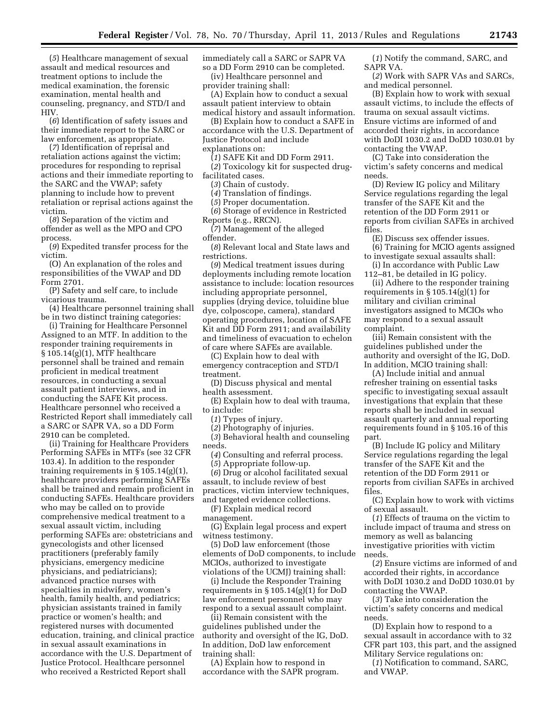(*5*) Healthcare management of sexual assault and medical resources and treatment options to include the medical examination, the forensic examination, mental health and counseling, pregnancy, and STD/I and HIV.

(*6*) Identification of safety issues and their immediate report to the SARC or law enforcement, as appropriate.

(*7*) Identification of reprisal and retaliation actions against the victim; procedures for responding to reprisal actions and their immediate reporting to the SARC and the VWAP; safety planning to include how to prevent retaliation or reprisal actions against the victim.

(*8*) Separation of the victim and offender as well as the MPO and CPO process.

(*9*) Expedited transfer process for the victim.

(O) An explanation of the roles and responsibilities of the VWAP and DD Form 2701.

(P) Safety and self care, to include vicarious trauma.

(4) Healthcare personnel training shall be in two distinct training categories:

(i) Training for Healthcare Personnel Assigned to an MTF. In addition to the responder training requirements in § 105.14(g)(1), MTF healthcare personnel shall be trained and remain proficient in medical treatment resources, in conducting a sexual assault patient interviews, and in conducting the SAFE Kit process. Healthcare personnel who received a Restricted Report shall immediately call a SARC or SAPR VA, so a DD Form 2910 can be completed.

(ii) Training for Healthcare Providers Performing SAFEs in MTFs (see 32 CFR 103.4). In addition to the responder training requirements in  $\S 105.14(g)(1)$ , healthcare providers performing SAFEs shall be trained and remain proficient in conducting SAFEs. Healthcare providers who may be called on to provide comprehensive medical treatment to a sexual assault victim, including performing SAFEs are: obstetricians and gynecologists and other licensed practitioners (preferably family physicians, emergency medicine physicians, and pediatricians); advanced practice nurses with specialties in midwifery, women's health, family health, and pediatrics; physician assistants trained in family practice or women's health; and registered nurses with documented education, training, and clinical practice in sexual assault examinations in accordance with the U.S. Department of Justice Protocol. Healthcare personnel who received a Restricted Report shall

immediately call a SARC or SAPR VA so a DD Form 2910 can be completed.

(iv) Healthcare personnel and provider training shall:

(A) Explain how to conduct a sexual assault patient interview to obtain medical history and assault information.

(B) Explain how to conduct a SAFE in accordance with the U.S. Department of Justice Protocol and include explanations on:

(*1*) SAFE Kit and DD Form 2911.

(*2*) Toxicology kit for suspected drugfacilitated cases.

(*3*) Chain of custody.

(*4*) Translation of findings.

(*5*) Proper documentation.

(*6*) Storage of evidence in Restricted Reports (e.g., RRCN).

(*7*) Management of the alleged offender.

(*8*) Relevant local and State laws and restrictions.

(*9*) Medical treatment issues during deployments including remote location assistance to include: location resources including appropriate personnel, supplies (drying device, toluidine blue dye, colposcope, camera), standard operating procedures, location of SAFE Kit and DD Form 2911; and availability and timeliness of evacuation to echelon of care where SAFEs are available.

(C) Explain how to deal with emergency contraception and STD/I treatment.

(D) Discuss physical and mental health assessment.

(E) Explain how to deal with trauma, to include:

(*1*) Types of injury.

(*2*) Photography of injuries.

(*3*) Behavioral health and counseling needs.

(*4*) Consulting and referral process. (*5*) Appropriate follow-up.

(*6*) Drug or alcohol facilitated sexual assault, to include review of best practices, victim interview techniques, and targeted evidence collections.

(F) Explain medical record

management.

(G) Explain legal process and expert witness testimony.

(5) DoD law enforcement (those elements of DoD components, to include MCIOs, authorized to investigate violations of the UCMJ) training shall:

(i) Include the Responder Training requirements in § 105.14(g)(1) for DoD law enforcement personnel who may respond to a sexual assault complaint.

(ii) Remain consistent with the guidelines published under the authority and oversight of the IG, DoD. In addition, DoD law enforcement training shall:

(A) Explain how to respond in accordance with the SAPR program.

(*1*) Notify the command, SARC, and SAPR VA.

(*2*) Work with SAPR VAs and SARCs, and medical personnel.

(B) Explain how to work with sexual assault victims, to include the effects of trauma on sexual assault victims. Ensure victims are informed of and accorded their rights, in accordance with DoDI 1030.2 and DoDD 1030.01 by contacting the VWAP.

(C) Take into consideration the victim's safety concerns and medical needs.

(D) Review IG policy and Military Service regulations regarding the legal transfer of the SAFE Kit and the retention of the DD Form 2911 or reports from civilian SAFEs in archived files.

(E) Discuss sex offender issues. (6) Training for MCIO agents assigned to investigate sexual assaults shall:

(i) In accordance with Public Law 112–81, be detailed in IG policy.

(ii) Adhere to the responder training requirements in § 105.14(g)(1) for military and civilian criminal investigators assigned to MCIOs who may respond to a sexual assault complaint.

(iii) Remain consistent with the guidelines published under the authority and oversight of the IG, DoD. In addition, MCIO training shall:

(A) Include initial and annual refresher training on essential tasks specific to investigating sexual assault investigations that explain that these reports shall be included in sexual assault quarterly and annual reporting requirements found in § 105.16 of this part.

(B) Include IG policy and Military Service regulations regarding the legal transfer of the SAFE Kit and the retention of the DD Form 2911 or reports from civilian SAFEs in archived files.

(C) Explain how to work with victims of sexual assault.

(*1*) Effects of trauma on the victim to include impact of trauma and stress on memory as well as balancing investigative priorities with victim needs.

(*2*) Ensure victims are informed of and accorded their rights, in accordance with DoDI 1030.2 and DoDD 1030.01 by contacting the VWAP.

(*3*) Take into consideration the victim's safety concerns and medical needs.

(D) Explain how to respond to a sexual assault in accordance with to 32 CFR part 103, this part, and the assigned Military Service regulations on:

(*1*) Notification to command, SARC, and VWAP.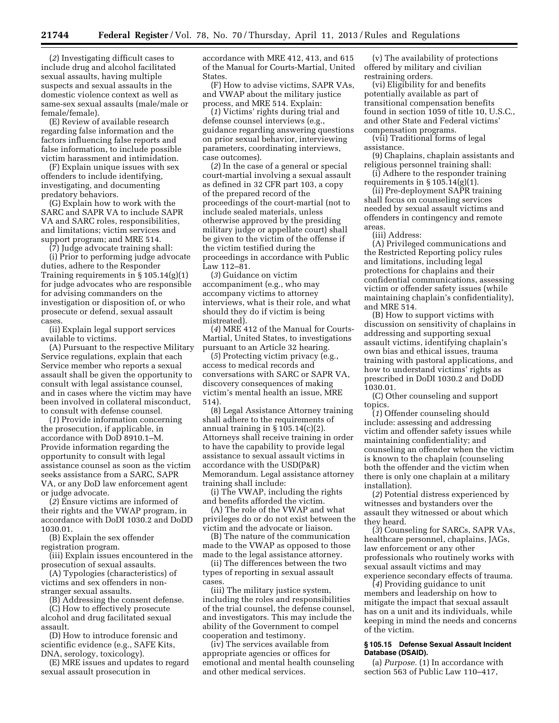(*2*) Investigating difficult cases to include drug and alcohol facilitated sexual assaults, having multiple suspects and sexual assaults in the domestic violence context as well as same-sex sexual assaults (male/male or female/female).

(E) Review of available research regarding false information and the factors influencing false reports and false information, to include possible victim harassment and intimidation.

(F) Explain unique issues with sex offenders to include identifying, investigating, and documenting predatory behaviors.

(G) Explain how to work with the SARC and SAPR VA to include SAPR VA and SARC roles, responsibilities, and limitations; victim services and support program; and MRE 514.

(7) Judge advocate training shall:

(i) Prior to performing judge advocate duties, adhere to the Responder Training requirements in  $\S 105.14(g)(1)$ for judge advocates who are responsible for advising commanders on the investigation or disposition of, or who prosecute or defend, sexual assault cases.

(ii) Explain legal support services available to victims.

(A) Pursuant to the respective Military Service regulations, explain that each Service member who reports a sexual assault shall be given the opportunity to consult with legal assistance counsel, and in cases where the victim may have been involved in collateral misconduct, to consult with defense counsel.

(*1*) Provide information concerning the prosecution, if applicable, in accordance with DoD 8910.1–M. Provide information regarding the opportunity to consult with legal assistance counsel as soon as the victim seeks assistance from a SARC, SAPR VA, or any DoD law enforcement agent or judge advocate.

(*2*) Ensure victims are informed of their rights and the VWAP program, in accordance with DoDI 1030.2 and DoDD 1030.01.

(B) Explain the sex offender registration program.

(iii) Explain issues encountered in the prosecution of sexual assaults.

(A) Typologies (characteristics) of victims and sex offenders in nonstranger sexual assaults.

(B) Addressing the consent defense.

(C) How to effectively prosecute alcohol and drug facilitated sexual assault.

(D) How to introduce forensic and scientific evidence (e.g., SAFE Kits, DNA, serology, toxicology).

(E) MRE issues and updates to regard sexual assault prosecution in

accordance with MRE 412, 413, and 615 of the Manual for Courts-Martial, United States.

(F) How to advise victims, SAPR VAs, and VWAP about the military justice process, and MRE 514. Explain:

(*1*) Victims' rights during trial and defense counsel interviews (e.g., guidance regarding answering questions on prior sexual behavior, interviewing parameters, coordinating interviews, case outcomes).

(*2*) In the case of a general or special court-martial involving a sexual assault as defined in 32 CFR part 103, a copy of the prepared record of the proceedings of the court-martial (not to include sealed materials, unless otherwise approved by the presiding military judge or appellate court) shall be given to the victim of the offense if the victim testified during the proceedings in accordance with Public Law 112–81.

(*3*) Guidance on victim accompaniment (e.g., who may accompany victims to attorney interviews, what is their role, and what should they do if victim is being mistreated).

(*4*) MRE 412 of the Manual for Courts-Martial, United States, to investigations pursuant to an Article 32 hearing.

(*5*) Protecting victim privacy (e.g., access to medical records and conversations with SARC or SAPR VA, discovery consequences of making victim's mental health an issue, MRE 514).

(8) Legal Assistance Attorney training shall adhere to the requirements of annual training in  $\S 105.14(c)(2)$ . Attorneys shall receive training in order to have the capability to provide legal assistance to sexual assault victims in accordance with the USD(P&R) Memorandum. Legal assistance attorney training shall include:

(i) The VWAP, including the rights and benefits afforded the victim.

(A) The role of the VWAP and what privileges do or do not exist between the victim and the advocate or liaison.

(B) The nature of the communication made to the VWAP as opposed to those made to the legal assistance attorney.

(ii) The differences between the two types of reporting in sexual assault cases.

(iii) The military justice system, including the roles and responsibilities of the trial counsel, the defense counsel, and investigators. This may include the ability of the Government to compel cooperation and testimony.

(iv) The services available from appropriate agencies or offices for emotional and mental health counseling and other medical services.

(v) The availability of protections offered by military and civilian restraining orders.

(vi) Eligibility for and benefits potentially available as part of transitional compensation benefits found in section 1059 of title 10, U.S.C., and other State and Federal victims' compensation programs.

(vii) Traditional forms of legal assistance.

(9) Chaplains, chaplain assistants and religious personnel training shall:

(i) Adhere to the responder training requirements in  $\S 105.14(g)(1)$ .

(ii) Pre-deployment SAPR training shall focus on counseling services needed by sexual assault victims and offenders in contingency and remote areas.

(iii) Address:

(A) Privileged communications and the Restricted Reporting policy rules and limitations, including legal protections for chaplains and their confidential communications, assessing victim or offender safety issues (while maintaining chaplain's confidentiality), and MRE 514.

(B) How to support victims with discussion on sensitivity of chaplains in addressing and supporting sexual assault victims, identifying chaplain's own bias and ethical issues, trauma training with pastoral applications, and how to understand victims' rights as prescribed in DoDI 1030.2 and DoDD 1030.01.

(C) Other counseling and support topics.

(*1*) Offender counseling should include: assessing and addressing victim and offender safety issues while maintaining confidentiality; and counseling an offender when the victim is known to the chaplain (counseling both the offender and the victim when there is only one chaplain at a military installation).

(*2*) Potential distress experienced by witnesses and bystanders over the assault they witnessed or about which they heard.

(*3*) Counseling for SARCs, SAPR VAs, healthcare personnel, chaplains, JAGs, law enforcement or any other professionals who routinely works with sexual assault victims and may experience secondary effects of trauma.

(*4*) Providing guidance to unit members and leadership on how to mitigate the impact that sexual assault has on a unit and its individuals, while keeping in mind the needs and concerns of the victim.

#### **§ 105.15 Defense Sexual Assault Incident Database (DSAID).**

(a) *Purpose.* (1) In accordance with section 563 of Public Law 110–417,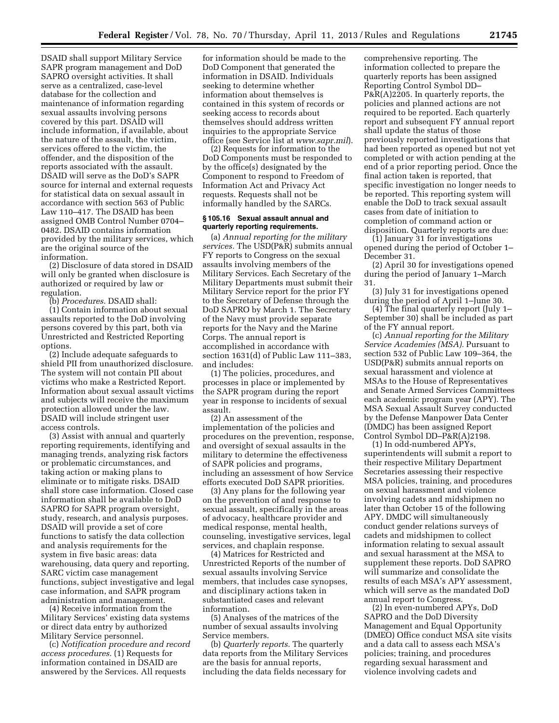DSAID shall support Military Service SAPR program management and DoD SAPRO oversight activities. It shall serve as a centralized, case-level database for the collection and maintenance of information regarding sexual assaults involving persons covered by this part. DSAID will include information, if available, about the nature of the assault, the victim, services offered to the victim, the offender, and the disposition of the reports associated with the assault. DSAID will serve as the DoD's SAPR source for internal and external requests for statistical data on sexual assault in accordance with section 563 of Public Law 110–417. The DSAID has been assigned OMB Control Number 0704– 0482. DSAID contains information provided by the military services, which are the original source of the information.

(2) Disclosure of data stored in DSAID will only be granted when disclosure is authorized or required by law or regulation.

(b) *Procedures.* DSAID shall:

(1) Contain information about sexual assaults reported to the DoD involving persons covered by this part, both via Unrestricted and Restricted Reporting options.

(2) Include adequate safeguards to shield PII from unauthorized disclosure. The system will not contain PII about victims who make a Restricted Report. Information about sexual assault victims and subjects will receive the maximum protection allowed under the law. DSAID will include stringent user access controls.

(3) Assist with annual and quarterly reporting requirements, identifying and managing trends, analyzing risk factors or problematic circumstances, and taking action or making plans to eliminate or to mitigate risks. DSAID shall store case information. Closed case information shall be available to DoD SAPRO for SAPR program oversight, study, research, and analysis purposes. DSAID will provide a set of core functions to satisfy the data collection and analysis requirements for the system in five basic areas: data warehousing, data query and reporting, SARC victim case management functions, subject investigative and legal case information, and SAPR program administration and management.

(4) Receive information from the Military Services' existing data systems or direct data entry by authorized Military Service personnel.

(c) *Notification procedure and record access procedures.* (1) Requests for information contained in DSAID are answered by the Services. All requests

for information should be made to the DoD Component that generated the information in DSAID. Individuals seeking to determine whether information about themselves is contained in this system of records or seeking access to records about themselves should address written inquiries to the appropriate Service office (see Service list at *[www.sapr.mil](http://www.sapr.mil)*).

(2) Requests for information to the DoD Components must be responded to by the office(s) designated by the Component to respond to Freedom of Information Act and Privacy Act requests. Requests shall not be informally handled by the SARCs.

#### **§ 105.16 Sexual assault annual and quarterly reporting requirements.**

(a) *Annual reporting for the military services.* The USD(P&R) submits annual FY reports to Congress on the sexual assaults involving members of the Military Services. Each Secretary of the Military Departments must submit their Military Service report for the prior FY to the Secretary of Defense through the DoD SAPRO by March 1. The Secretary of the Navy must provide separate reports for the Navy and the Marine Corps. The annual report is accomplished in accordance with section 1631(d) of Public Law 111–383, and includes:

(1) The policies, procedures, and processes in place or implemented by the SAPR program during the report year in response to incidents of sexual assault.

(2) An assessment of the implementation of the policies and procedures on the prevention, response, and oversight of sexual assaults in the military to determine the effectiveness of SAPR policies and programs, including an assessment of how Service efforts executed DoD SAPR priorities.

(3) Any plans for the following year on the prevention of and response to sexual assault, specifically in the areas of advocacy, healthcare provider and medical response, mental health, counseling, investigative services, legal services, and chaplain response.

(4) Matrices for Restricted and Unrestricted Reports of the number of sexual assaults involving Service members, that includes case synopses, and disciplinary actions taken in substantiated cases and relevant information.

(5) Analyses of the matrices of the number of sexual assaults involving Service members.

(b) *Quarterly reports.* The quarterly data reports from the Military Services are the basis for annual reports, including the data fields necessary for

comprehensive reporting. The information collected to prepare the quarterly reports has been assigned Reporting Control Symbol DD– P&R(A)2205. In quarterly reports, the policies and planned actions are not required to be reported. Each quarterly report and subsequent FY annual report shall update the status of those previously reported investigations that had been reported as opened but not yet completed or with action pending at the end of a prior reporting period. Once the final action taken is reported, that specific investigation no longer needs to be reported. This reporting system will enable the DoD to track sexual assault cases from date of initiation to completion of command action or disposition. Quarterly reports are due:

(1) January 31 for investigations opened during the period of October 1– December 31.

(2) April 30 for investigations opened during the period of January 1–March 31.

(3) July 31 for investigations opened during the period of April 1–June 30.

(4) The final quarterly report (July 1– September 30) shall be included as part of the FY annual report.

(c) *Annual reporting for the Military Service Academies (MSA).* Pursuant to section 532 of Public Law 109–364, the USD(P&R) submits annual reports on sexual harassment and violence at MSAs to the House of Representatives and Senate Armed Services Committees each academic program year (APY). The MSA Sexual Assault Survey conducted by the Defense Manpower Data Center (DMDC) has been assigned Report Control Symbol DD–P&R(A)2198.

(1) In odd-numbered APYs, superintendents will submit a report to their respective Military Department Secretaries assessing their respective MSA policies, training, and procedures on sexual harassment and violence involving cadets and midshipmen no later than October 15 of the following APY. DMDC will simultaneously conduct gender relations surveys of cadets and midshipmen to collect information relating to sexual assault and sexual harassment at the MSA to supplement these reports. DoD SAPRO will summarize and consolidate the results of each MSA's APY assessment, which will serve as the mandated DoD annual report to Congress.

(2) In even-numbered APYs, DoD SAPRO and the DoD Diversity Management and Equal Opportunity (DMEO) Office conduct MSA site visits and a data call to assess each MSA's policies; training, and procedures regarding sexual harassment and violence involving cadets and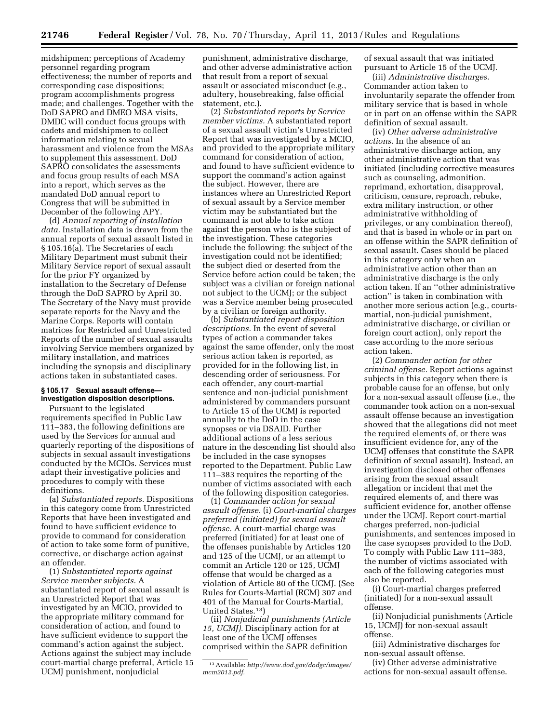midshipmen; perceptions of Academy personnel regarding program effectiveness; the number of reports and corresponding case dispositions; program accomplishments progress made; and challenges. Together with the DoD SAPRO and DMEO MSA visits, DMDC will conduct focus groups with cadets and midshipmen to collect information relating to sexual harassment and violence from the MSAs to supplement this assessment. DoD SAPRO consolidates the assessments and focus group results of each MSA into a report, which serves as the mandated DoD annual report to Congress that will be submitted in December of the following APY.

(d) *Annual reporting of installation data.* Installation data is drawn from the annual reports of sexual assault listed in § 105.16(a). The Secretaries of each Military Department must submit their Military Service report of sexual assault for the prior FY organized by installation to the Secretary of Defense through the DoD SAPRO by April 30. The Secretary of the Navy must provide separate reports for the Navy and the Marine Corps. Reports will contain matrices for Restricted and Unrestricted Reports of the number of sexual assaults involving Service members organized by military installation, and matrices including the synopsis and disciplinary actions taken in substantiated cases.

## **§ 105.17 Sexual assault offense investigation disposition descriptions.**

Pursuant to the legislated requirements specified in Public Law 111–383, the following definitions are used by the Services for annual and quarterly reporting of the dispositions of subjects in sexual assault investigations conducted by the MCIOs. Services must adapt their investigative policies and procedures to comply with these definitions.

(a) *Substantiated reports.* Dispositions in this category come from Unrestricted Reports that have been investigated and found to have sufficient evidence to provide to command for consideration of action to take some form of punitive, corrective, or discharge action against an offender.

(1) *Substantiated reports against Service member subjects.* A substantiated report of sexual assault is an Unrestricted Report that was investigated by an MCIO, provided to the appropriate military command for consideration of action, and found to have sufficient evidence to support the command's action against the subject. Actions against the subject may include court-martial charge preferral, Article 15 UCMJ punishment, nonjudicial

punishment, administrative discharge, and other adverse administrative action that result from a report of sexual assault or associated misconduct (e.g., adultery, housebreaking, false official statement, etc.).

(2) *Substantiated reports by Service member victims.* A substantiated report of a sexual assault victim's Unrestricted Report that was investigated by a MCIO, and provided to the appropriate military command for consideration of action, and found to have sufficient evidence to support the command's action against the subject. However, there are instances where an Unrestricted Report of sexual assault by a Service member victim may be substantiated but the command is not able to take action against the person who is the subject of the investigation. These categories include the following: the subject of the investigation could not be identified; the subject died or deserted from the Service before action could be taken; the subject was a civilian or foreign national not subject to the UCMJ; or the subject was a Service member being prosecuted by a civilian or foreign authority.

(b) *Substantiated report disposition descriptions.* In the event of several types of action a commander takes against the same offender, only the most serious action taken is reported, as provided for in the following list, in descending order of seriousness. For each offender, any court-martial sentence and non-judicial punishment administered by commanders pursuant to Article 15 of the UCMJ is reported annually to the DoD in the case synopses or via DSAID. Further additional actions of a less serious nature in the descending list should also be included in the case synopses reported to the Department. Public Law 111–383 requires the reporting of the number of victims associated with each of the following disposition categories.

(1) *Commander action for sexual assault offense.* (i) *Court-martial charges preferred (initiated) for sexual assault offense.* A court-martial charge was preferred (initiated) for at least one of the offenses punishable by Articles 120 and 125 of the UCMJ, or an attempt to commit an Article 120 or 125, UCMJ offense that would be charged as a violation of Article 80 of the UCMJ. (See Rules for Courts-Martial (RCM) 307 and 401 of the Manual for Courts-Martial, United States.13)

(ii) *Nonjudicial punishments (Article 15, UCMJ).* Disciplinary action for at least one of the UCMJ offenses comprised within the SAPR definition

of sexual assault that was initiated pursuant to Article 15 of the UCMJ.

(iii) *Administrative discharges.*  Commander action taken to involuntarily separate the offender from military service that is based in whole or in part on an offense within the SAPR definition of sexual assault.

(iv) *Other adverse administrative actions.* In the absence of an administrative discharge action, any other administrative action that was initiated (including corrective measures such as counseling, admonition, reprimand, exhortation, disapproval, criticism, censure, reproach, rebuke, extra military instruction, or other administrative withholding of privileges, or any combination thereof), and that is based in whole or in part on an offense within the SAPR definition of sexual assault. Cases should be placed in this category only when an administrative action other than an administrative discharge is the only action taken. If an ''other administrative action'' is taken in combination with another more serious action (e.g., courtsmartial, non-judicial punishment, administrative discharge, or civilian or foreign court action), only report the case according to the more serious action taken.

(2) *Commander action for other criminal offense.* Report actions against subjects in this category when there is probable cause for an offense, but only for a non-sexual assault offense (i.e., the commander took action on a non-sexual assault offense because an investigation showed that the allegations did not meet the required elements of, or there was insufficient evidence for, any of the UCMJ offenses that constitute the SAPR definition of sexual assault). Instead, an investigation disclosed other offenses arising from the sexual assault allegation or incident that met the required elements of, and there was sufficient evidence for, another offense under the UCMJ. Report court-martial charges preferred, non-judicial punishments, and sentences imposed in the case synopses provided to the DoD. To comply with Public Law 111–383, the number of victims associated with each of the following categories must also be reported.

(i) Court-martial charges preferred (initiated) for a non-sexual assault offense.

(ii) Nonjudicial punishments (Article 15, UCMJ) for non-sexual assault offense.

(iii) Administrative discharges for non-sexual assault offense.

(iv) Other adverse administrative actions for non-sexual assault offense.

<sup>13</sup>Available: *[http://www.dod.gov/dodgc/images/](http://www.dod.gov/dodgc/images/mcm2012.pdf)  [mcm2012.pdf.](http://www.dod.gov/dodgc/images/mcm2012.pdf)*